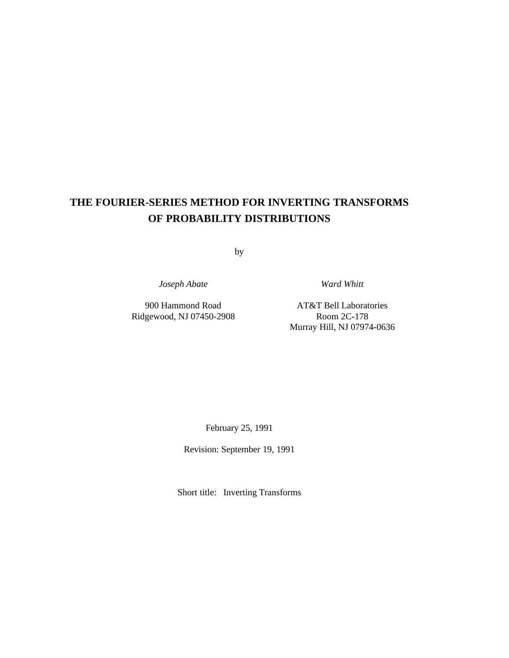# **THE FOURIER-SERIES METHOD FOR INVERTING TRANSFORMS OF PROBABILITY DISTRIBUTIONS**

by

*Joseph Abate Ward Whitt*

Ridgewood, NJ 07450-2908 Room 2C-178

900 Hammond Road AT&T Bell Laboratories Murray Hill, NJ 07974-0636

February 25, 1991

Revision: September 19, 1991

Short title: Inverting Transforms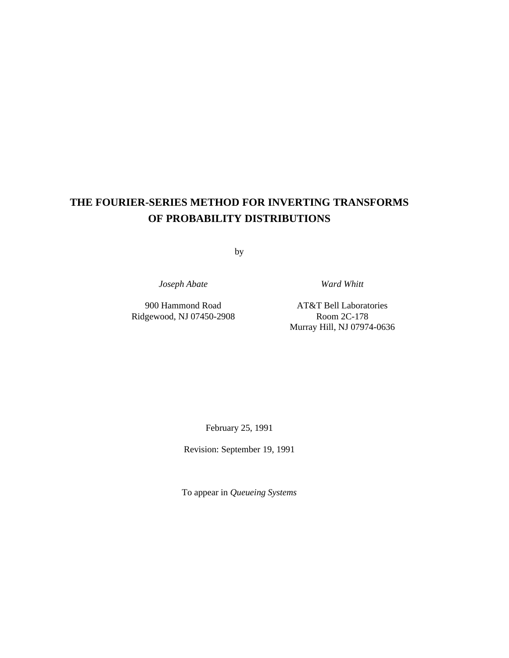# **THE FOURIER-SERIES METHOD FOR INVERTING TRANSFORMS OF PROBABILITY DISTRIBUTIONS**

by

*Joseph Abate Ward Whitt*

Ridgewood, NJ 07450-2908 Room 2C-178

900 Hammond Road AT&T Bell Laboratories Murray Hill, NJ 07974-0636

February 25, 1991

Revision: September 19, 1991

To appear in *Queueing Systems*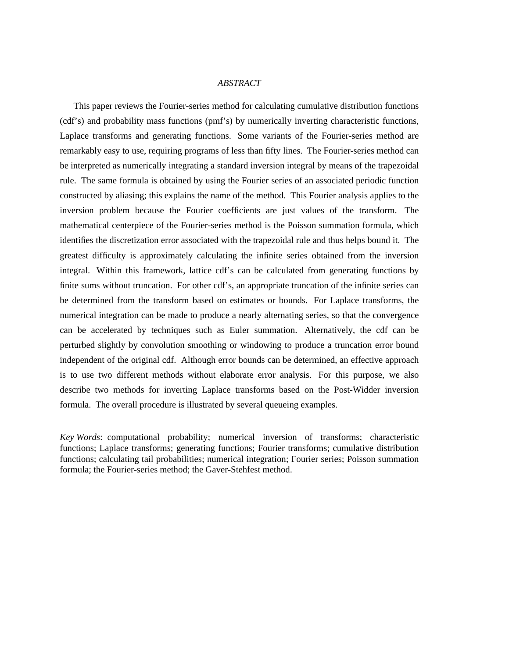### *ABSTRACT*

This paper reviews the Fourier-series method for calculating cumulative distribution functions (cdf's) and probability mass functions (pmf's) by numerically inverting characteristic functions, Laplace transforms and generating functions. Some variants of the Fourier-series method are remarkably easy to use, requiring programs of less than fifty lines. The Fourier-series method can be interpreted as numerically integrating a standard inversion integral by means of the trapezoidal rule. The same formula is obtained by using the Fourier series of an associated periodic function constructed by aliasing; this explains the name of the method. This Fourier analysis applies to the inversion problem because the Fourier coefficients are just values of the transform. The mathematical centerpiece of the Fourier-series method is the Poisson summation formula, which identifies the discretization error associated with the trapezoidal rule and thus helps bound it. The greatest difficulty is approximately calculating the infinite series obtained from the inversion integral. Within this framework, lattice cdf's can be calculated from generating functions by finite sums without truncation. For other cdf's, an appropriate truncation of the infinite series can be determined from the transform based on estimates or bounds. For Laplace transforms, the numerical integration can be made to produce a nearly alternating series, so that the convergence can be accelerated by techniques such as Euler summation. Alternatively, the cdf can be perturbed slightly by convolution smoothing or windowing to produce a truncation error bound independent of the original cdf. Although error bounds can be determined, an effective approach is to use two different methods without elaborate error analysis. For this purpose, we also describe two methods for inverting Laplace transforms based on the Post-Widder inversion formula. The overall procedure is illustrated by several queueing examples.

*Key Words*: computational probability; numerical inversion of transforms; characteristic functions; Laplace transforms; generating functions; Fourier transforms; cumulative distribution functions; calculating tail probabilities; numerical integration; Fourier series; Poisson summation formula; the Fourier-series method; the Gaver-Stehfest method.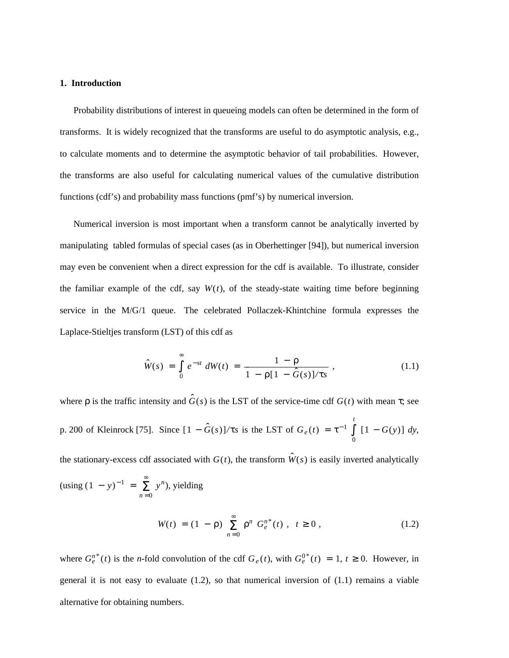#### **1. Introduction**

Probability distributions of interest in queueing models can often be determined in the form of transforms. It is widely recognized that the transforms are useful to do asymptotic analysis, e.g., to calculate moments and to determine the asymptotic behavior of tail probabilities. However, the transforms are also useful for calculating numerical values of the cumulative distribution functions (cdf's) and probability mass functions (pmf's) by numerical inversion.

Numerical inversion is most important when a transform cannot be analytically inverted by manipulating tabled formulas of special cases (as in Oberhettinger [94]), but numerical inversion may even be convenient when a direct expression for the cdf is available. To illustrate, consider the familiar example of the cdf, say  $W(t)$ , of the steady-state waiting time before beginning service in the M/G/1 queue. The celebrated Pollaczek-Khintchine formula expresses the Laplace-Stieltjes transform (LST) of this cdf as

$$
\hat{W}(s) = \int_{0}^{\infty} e^{-st} dW(t) = \frac{1 - \rho}{1 - \rho [1 - \hat{G}(s)] / \tau s},
$$
\n(1.1)

where  $\rho$  is the traffic intensity and  $\hat{G}(s)$  is the LST of the service-time cdf  $G(t)$  with mean  $\tau$ ; see p. 200 of Kleinrock [75]. Since  $[1 - \hat{G}(s)]/\tau s$  is the LST of  $G_e(t) = \tau^{-1}$ 0 ∫ *t*  $[1 - G(y)] dy$ ,

the stationary-excess cdf associated with  $G(t)$ , the transform  $\hat{W}(s)$  is easily inverted analytically

$$
(\text{using } (1 - y)^{-1} = \sum_{n=0}^{\infty} y^n), \text{ yielding}
$$
  

$$
W(t) = (1 - \rho) \sum_{n=0}^{\infty} \rho^n G_e^{n*}(t), \quad t \ge 0,
$$
 (1.2)

where  $G_e^{n*}(t)$  is the *n*-fold convolution of the cdf  $G_e(t)$ , with  $G_e^{0*}(t) = 1, t \ge 0$ . However, in general it is not easy to evaluate (1.2), so that numerical inversion of (1.1) remains a viable alternative for obtaining numbers.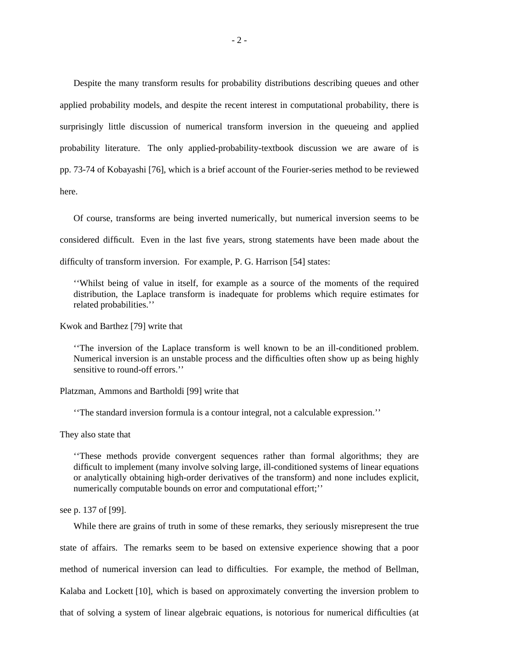Despite the many transform results for probability distributions describing queues and other applied probability models, and despite the recent interest in computational probability, there is surprisingly little discussion of numerical transform inversion in the queueing and applied probability literature. The only applied-probability-textbook discussion we are aware of is pp. 73-74 of Kobayashi [76], which is a brief account of the Fourier-series method to be reviewed here.

Of course, transforms are being inverted numerically, but numerical inversion seems to be considered difficult. Even in the last five years, strong statements have been made about the difficulty of transform inversion. For example, P. G. Harrison [54] states:

''Whilst being of value in itself, for example as a source of the moments of the required distribution, the Laplace transform is inadequate for problems which require estimates for related probabilities.''

Kwok and Barthez [79] write that

''The inversion of the Laplace transform is well known to be an ill-conditioned problem. Numerical inversion is an unstable process and the difficulties often show up as being highly sensitive to round-off errors.''

Platzman, Ammons and Bartholdi [99] write that

''The standard inversion formula is a contour integral, not a calculable expression.''

They also state that

''These methods provide convergent sequences rather than formal algorithms; they are difficult to implement (many involve solving large, ill-conditioned systems of linear equations or analytically obtaining high-order derivatives of the transform) and none includes explicit, numerically computable bounds on error and computational effort;''

see p. 137 of [99].

While there are grains of truth in some of these remarks, they seriously misrepresent the true state of affairs. The remarks seem to be based on extensive experience showing that a poor method of numerical inversion can lead to difficulties. For example, the method of Bellman, Kalaba and Lockett [10], which is based on approximately converting the inversion problem to that of solving a system of linear algebraic equations, is notorious for numerical difficulties (at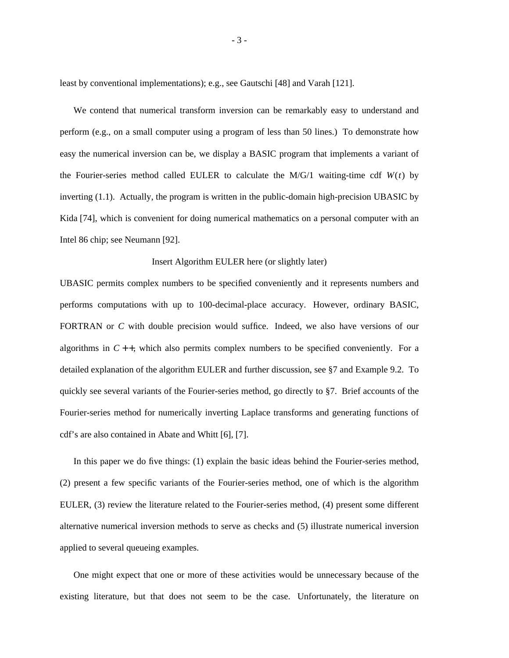least by conventional implementations); e.g., see Gautschi [48] and Varah [121].

We contend that numerical transform inversion can be remarkably easy to understand and perform (e.g., on a small computer using a program of less than 50 lines.) To demonstrate how easy the numerical inversion can be, we display a BASIC program that implements a variant of the Fourier-series method called EULER to calculate the  $M/G/1$  waiting-time cdf  $W(t)$  by inverting (1.1). Actually, the program is written in the public-domain high-precision UBASIC by Kida [74], which is convenient for doing numerical mathematics on a personal computer with an Intel 86 chip; see Neumann [92].

#### Insert Algorithm EULER here (or slightly later)

UBASIC permits complex numbers to be specified conveniently and it represents numbers and performs computations with up to 100-decimal-place accuracy. However, ordinary BASIC, FORTRAN or *C* with double precision would suffice. Indeed, we also have versions of our algorithms in  $C_{++}$ , which also permits complex numbers to be specified conveniently. For a detailed explanation of the algorithm EULER and further discussion, see §7 and Example 9.2. To quickly see several variants of the Fourier-series method, go directly to §7. Brief accounts of the Fourier-series method for numerically inverting Laplace transforms and generating functions of cdf's are also contained in Abate and Whitt [6], [7].

In this paper we do five things: (1) explain the basic ideas behind the Fourier-series method, (2) present a few specific variants of the Fourier-series method, one of which is the algorithm EULER, (3) review the literature related to the Fourier-series method, (4) present some different alternative numerical inversion methods to serve as checks and (5) illustrate numerical inversion applied to several queueing examples.

One might expect that one or more of these activities would be unnecessary because of the existing literature, but that does not seem to be the case. Unfortunately, the literature on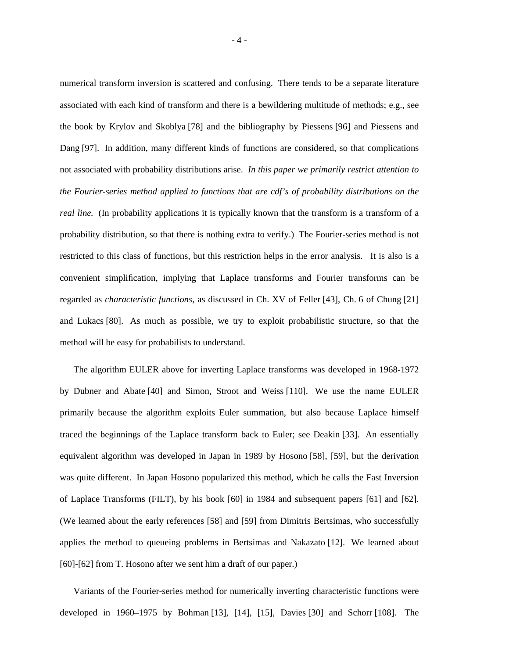numerical transform inversion is scattered and confusing. There tends to be a separate literature associated with each kind of transform and there is a bewildering multitude of methods; e.g., see the book by Krylov and Skoblya [78] and the bibliography by Piessens [96] and Piessens and Dang [97]. In addition, many different kinds of functions are considered, so that complications not associated with probability distributions arise. *In this paper we primarily restrict attention to the Fourier-series method applied to functions that are cdf's of probability distributions on the real line.* (In probability applications it is typically known that the transform is a transform of a probability distribution, so that there is nothing extra to verify.) The Fourier-series method is not restricted to this class of functions, but this restriction helps in the error analysis. It is also is a convenient simplification, implying that Laplace transforms and Fourier transforms can be regarded as *characteristic functions*, as discussed in Ch. XV of Feller [43], Ch. 6 of Chung [21] and Lukacs [80]. As much as possible, we try to exploit probabilistic structure, so that the method will be easy for probabilists to understand.

The algorithm EULER above for inverting Laplace transforms was developed in 1968-1972 by Dubner and Abate [40] and Simon, Stroot and Weiss [110]. We use the name EULER primarily because the algorithm exploits Euler summation, but also because Laplace himself traced the beginnings of the Laplace transform back to Euler; see Deakin [33]. An essentially equivalent algorithm was developed in Japan in 1989 by Hosono [58], [59], but the derivation was quite different. In Japan Hosono popularized this method, which he calls the Fast Inversion of Laplace Transforms (FILT), by his book [60] in 1984 and subsequent papers [61] and [62]. (We learned about the early references [58] and [59] from Dimitris Bertsimas, who successfully applies the method to queueing problems in Bertsimas and Nakazato [12]. We learned about [60]-[62] from T. Hosono after we sent him a draft of our paper.)

Variants of the Fourier-series method for numerically inverting characteristic functions were developed in 1960–1975 by Bohman [13], [14], [15], Davies [30] and Schorr [108]. The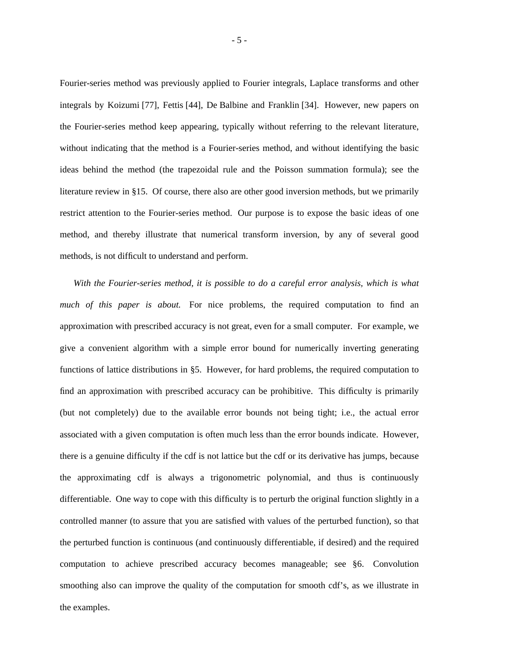Fourier-series method was previously applied to Fourier integrals, Laplace transforms and other integrals by Koizumi [77], Fettis [44], De Balbine and Franklin [34]. However, new papers on the Fourier-series method keep appearing, typically without referring to the relevant literature, without indicating that the method is a Fourier-series method, and without identifying the basic ideas behind the method (the trapezoidal rule and the Poisson summation formula); see the literature review in §15. Of course, there also are other good inversion methods, but we primarily restrict attention to the Fourier-series method. Our purpose is to expose the basic ideas of one method, and thereby illustrate that numerical transform inversion, by any of several good methods, is not difficult to understand and perform.

*With the Fourier-series method, it is possible to do a careful error analysis, which is what much of this paper is about.* For nice problems, the required computation to find an approximation with prescribed accuracy is not great, even for a small computer. For example, we give a convenient algorithm with a simple error bound for numerically inverting generating functions of lattice distributions in §5. However, for hard problems, the required computation to find an approximation with prescribed accuracy can be prohibitive. This difficulty is primarily (but not completely) due to the available error bounds not being tight; i.e., the actual error associated with a given computation is often much less than the error bounds indicate. However, there is a genuine difficulty if the cdf is not lattice but the cdf or its derivative has jumps, because the approximating cdf is always a trigonometric polynomial, and thus is continuously differentiable. One way to cope with this difficulty is to perturb the original function slightly in a controlled manner (to assure that you are satisfied with values of the perturbed function), so that the perturbed function is continuous (and continuously differentiable, if desired) and the required computation to achieve prescribed accuracy becomes manageable; see §6. Convolution smoothing also can improve the quality of the computation for smooth cdf's, as we illustrate in the examples.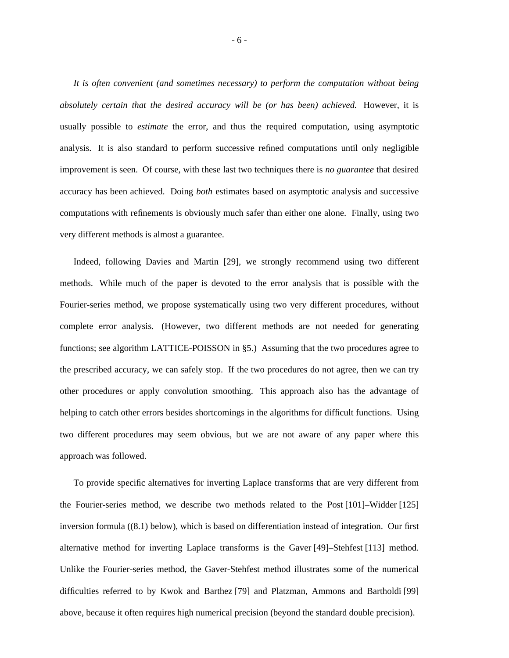*It is often convenient (and sometimes necessary) to perform the computation without being absolutely certain that the desired accuracy will be (or has been) achieved.* However, it is usually possible to *estimate* the error, and thus the required computation, using asymptotic analysis. It is also standard to perform successive refined computations until only negligible improvement is seen. Of course, with these last two techniques there is *no guarantee* that desired accuracy has been achieved. Doing *both* estimates based on asymptotic analysis and successive computations with refinements is obviously much safer than either one alone. Finally, using two very different methods is almost a guarantee.

Indeed, following Davies and Martin [29], we strongly recommend using two different methods. While much of the paper is devoted to the error analysis that is possible with the Fourier-series method, we propose systematically using two very different procedures, without complete error analysis. (However, two different methods are not needed for generating functions; see algorithm LATTICE-POISSON in §5.) Assuming that the two procedures agree to the prescribed accuracy, we can safely stop. If the two procedures do not agree, then we can try other procedures or apply convolution smoothing. This approach also has the advantage of helping to catch other errors besides shortcomings in the algorithms for difficult functions. Using two different procedures may seem obvious, but we are not aware of any paper where this approach was followed.

To provide specific alternatives for inverting Laplace transforms that are very different from the Fourier-series method, we describe two methods related to the Post [101]–Widder [125] inversion formula ((8.1) below), which is based on differentiation instead of integration. Our first alternative method for inverting Laplace transforms is the Gaver [49]–Stehfest [113] method. Unlike the Fourier-series method, the Gaver-Stehfest method illustrates some of the numerical difficulties referred to by Kwok and Barthez [79] and Platzman, Ammons and Bartholdi [99] above, because it often requires high numerical precision (beyond the standard double precision).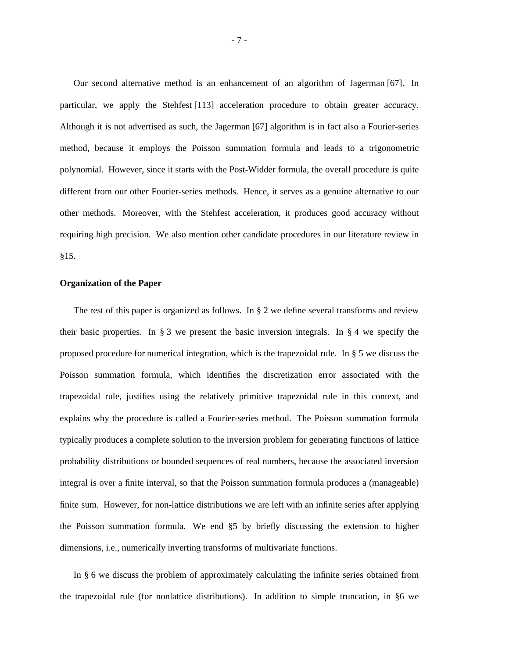Our second alternative method is an enhancement of an algorithm of Jagerman [67]. In particular, we apply the Stehfest [113] acceleration procedure to obtain greater accuracy. Although it is not advertised as such, the Jagerman [67] algorithm is in fact also a Fourier-series method, because it employs the Poisson summation formula and leads to a trigonometric polynomial. However, since it starts with the Post-Widder formula, the overall procedure is quite different from our other Fourier-series methods. Hence, it serves as a genuine alternative to our other methods. Moreover, with the Stehfest acceleration, it produces good accuracy without requiring high precision. We also mention other candidate procedures in our literature review in §15.

## **Organization of the Paper**

The rest of this paper is organized as follows. In § 2 we define several transforms and review their basic properties. In  $\S$  3 we present the basic inversion integrals. In  $\S$  4 we specify the proposed procedure for numerical integration, which is the trapezoidal rule. In § 5 we discuss the Poisson summation formula, which identifies the discretization error associated with the trapezoidal rule, justifies using the relatively primitive trapezoidal rule in this context, and explains why the procedure is called a Fourier-series method. The Poisson summation formula typically produces a complete solution to the inversion problem for generating functions of lattice probability distributions or bounded sequences of real numbers, because the associated inversion integral is over a finite interval, so that the Poisson summation formula produces a (manageable) finite sum. However, for non-lattice distributions we are left with an infinite series after applying the Poisson summation formula. We end §5 by briefly discussing the extension to higher dimensions, i.e., numerically inverting transforms of multivariate functions.

In § 6 we discuss the problem of approximately calculating the infinite series obtained from the trapezoidal rule (for nonlattice distributions). In addition to simple truncation, in §6 we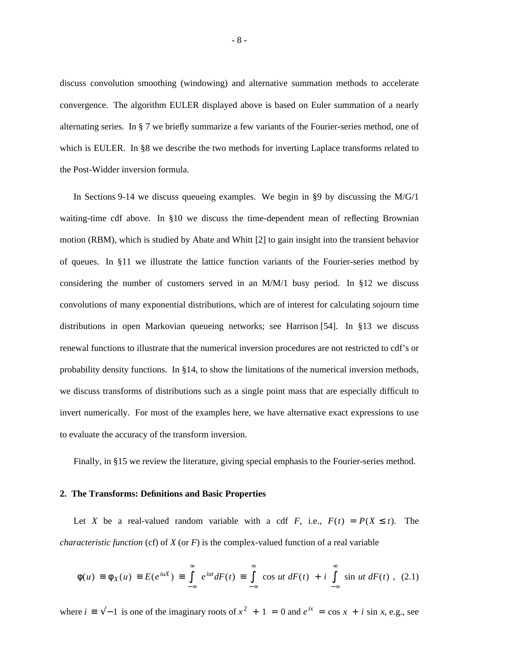discuss convolution smoothing (windowing) and alternative summation methods to accelerate convergence. The algorithm EULER displayed above is based on Euler summation of a nearly alternating series. In § 7 we briefly summarize a few variants of the Fourier-series method, one of which is EULER. In §8 we describe the two methods for inverting Laplace transforms related to the Post-Widder inversion formula.

In Sections 9-14 we discuss queueing examples. We begin in §9 by discussing the  $M/G/1$ waiting-time cdf above. In §10 we discuss the time-dependent mean of reflecting Brownian motion (RBM), which is studied by Abate and Whitt [2] to gain insight into the transient behavior of queues. In §11 we illustrate the lattice function variants of the Fourier-series method by considering the number of customers served in an M/M/1 busy period. In §12 we discuss convolutions of many exponential distributions, which are of interest for calculating sojourn time distributions in open Markovian queueing networks; see Harrison [54]. In §13 we discuss renewal functions to illustrate that the numerical inversion procedures are not restricted to cdf's or probability density functions. In §14, to show the limitations of the numerical inversion methods, we discuss transforms of distributions such as a single point mass that are especially difficult to invert numerically. For most of the examples here, we have alternative exact expressions to use to evaluate the accuracy of the transform inversion.

Finally, in §15 we review the literature, giving special emphasis to the Fourier-series method.

## **2. The Transforms: Definitions and Basic Properties**

Let *X* be a real-valued random variable with a cdf *F*, i.e.,  $F(t) = P(X \le t)$ . The *characteristic function* (cf) of  $X$  (or  $F$ ) is the complex-valued function of a real variable

$$
\phi(u) \equiv \phi_X(u) \equiv E(e^{iuX}) \equiv \int_{-\infty}^{\infty} e^{iut} dF(t) \equiv \int_{-\infty}^{\infty} \cos ut \, dF(t) + i \int_{-\infty}^{\infty} \sin ut \, dF(t) \quad (2.1)
$$

where  $i \equiv \sqrt{-1}$  is one of the imaginary roots of  $x^2 + 1 = 0$  and  $e^{ix} = \cos x + i \sin x$ , e.g., see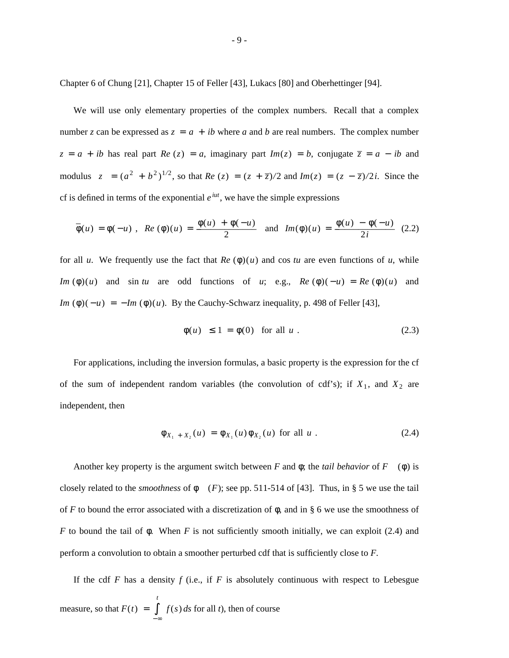Chapter 6 of Chung [21], Chapter 15 of Feller [43], Lukacs [80] and Oberhettinger [94].

We will use only elementary properties of the complex numbers. Recall that a complex number *z* can be expressed as  $z = a + ib$  where *a* and *b* are real numbers. The complex number  $z = a + ib$  has real part *Re* (*z*) = *a*, imaginary part *Im*(*z*) = *b*, conjugate  $\overline{z} = a - ib$  and modulus  $|z| = (a^2 + b^2)^{1/2}$ , so that  $Re(z) = (z + \overline{z})/2$  and  $Im(z) = (z - \overline{z})/2i$ . Since the cf is defined in terms of the exponential  $e^{iut}$ , we have the simple expressions

$$
\overline{\phi}(u) = \phi(-u) , Re(\phi)(u) = \frac{\phi(u) + \phi(-u)}{2} \text{ and } Im(\phi)(u) = \frac{\phi(u) - \phi(-u)}{2i} (2.2)
$$

for all *u*. We frequently use the fact that  $Re(\phi)(u)$  and cos *tu* are even functions of *u*, while *Im* ( $\phi$ )(*u*) and sin *tu* are odd functions of *u*; e.g., *Re* ( $\phi$ )( $-u$ ) = *Re* ( $\phi$ )(*u*) and *Im* ( $\phi$ )( $-u$ ) =  $-Im$  ( $\phi$ )( $u$ ). By the Cauchy-Schwarz inequality, p. 498 of Feller [43],

$$
|\phi(u)| \le 1 = \phi(0) \quad \text{for all } u \tag{2.3}
$$

For applications, including the inversion formulas, a basic property is the expression for the cf of the sum of independent random variables (the convolution of cdf's); if  $X_1$ , and  $X_2$  are independent, then

$$
\phi_{X_1 + X_2}(u) = \phi_{X_1}(u)\phi_{X_2}(u) \text{ for all } u. \qquad (2.4)
$$

Another key property is the argument switch between *F* and  $\phi$ ; the *tail behavior* of *F* ( $\phi$ ) is closely related to the *smoothness* of  $\phi$  (*F*); see pp. 511-514 of [43]. Thus, in § 5 we use the tail of *F* to bound the error associated with a discretization of  $\phi$ , and in § 6 we use the smoothness of *F* to bound the tail of φ. When *F* is not sufficiently smooth initially, we can exploit (2.4) and perform a convolution to obtain a smoother perturbed cdf that is sufficiently close to *F*.

If the cdf  $F$  has a density  $f$  (i.e., if  $F$  is absolutely continuous with respect to Lebesgue measure, so that  $F(t) =$ − ∞ ∫ *t f* (*s*) *ds* for all *t*), then of course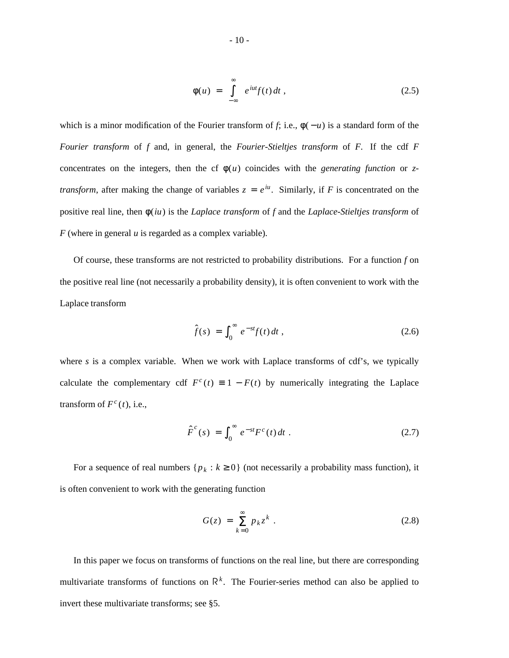$$
\phi(u) = \int_{-\infty}^{\infty} e^{iut} f(t) dt , \qquad (2.5)
$$

which is a minor modification of the Fourier transform of *f*; i.e.,  $\phi(-u)$  is a standard form of the *Fourier transform* of *f* and, in general, the *Fourier-Stieltjes transform* of *F*. If the cdf *F* concentrates on the integers, then the cf  $\phi(u)$  coincides with the *generating function* or *ztransform*, after making the change of variables  $z = e^{iu}$ . Similarly, if *F* is concentrated on the positive real line, then φ(*iu*) is the *Laplace transform* of *f* and the *Laplace-Stieltjes transform* of *F* (where in general *u* is regarded as a complex variable).

Of course, these transforms are not restricted to probability distributions. For a function *f* on the positive real line (not necessarily a probability density), it is often convenient to work with the Laplace transform

$$
\hat{f}(s) = \int_0^\infty e^{-st} f(t) dt,
$$
\n(2.6)

where  $s$  is a complex variable. When we work with Laplace transforms of cdf's, we typically calculate the complementary cdf  $F^c(t) \equiv 1 - F(t)$  by numerically integrating the Laplace transform of  $F^c(t)$ , i.e.,

$$
\hat{F}^c(s) = \int_0^\infty e^{-st} F^c(t) dt . \qquad (2.7)
$$

For a sequence of real numbers  $\{p_k : k \geq 0\}$  (not necessarily a probability mass function), it is often convenient to work with the generating function

$$
G(z) = \sum_{k=0}^{\infty} p_k z^k
$$
 (2.8)

In this paper we focus on transforms of functions on the real line, but there are corresponding multivariate transforms of functions on  $\mathsf{R}^k$ . The Fourier-series method can also be applied to invert these multivariate transforms; see §5.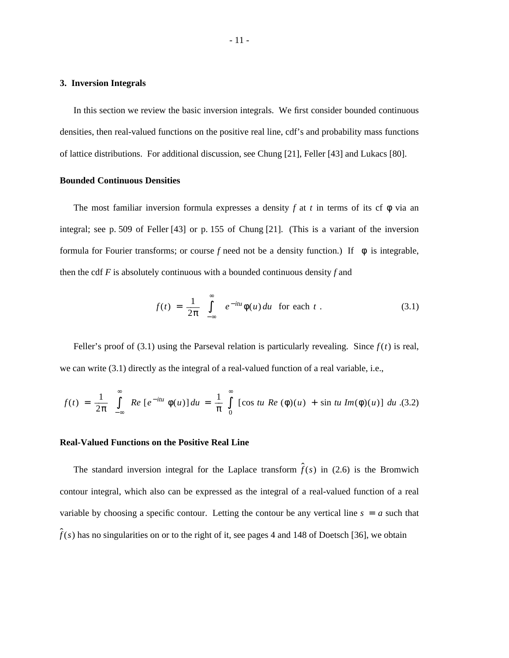#### **3. Inversion Integrals**

In this section we review the basic inversion integrals. We first consider bounded continuous densities, then real-valued functions on the positive real line, cdf's and probability mass functions of lattice distributions. For additional discussion, see Chung [21], Feller [43] and Lukacs [80].

## **Bounded Continuous Densities**

The most familiar inversion formula expresses a density *f* at *t* in terms of its cf  $\phi$  via an integral; see p. 509 of Feller [43] or p. 155 of Chung [21]. (This is a variant of the inversion formula for Fourier transforms; or course f need not be a density function.) If  $|\phi|$  is integrable, then the cdf *F* is absolutely continuous with a bounded continuous density *f* and

$$
f(t) = \frac{1}{2\pi} \int_{-\infty}^{\infty} e^{-itu} \phi(u) du \text{ for each } t.
$$
 (3.1)

Feller's proof of (3.1) using the Parseval relation is particularly revealing. Since  $f(t)$  is real, we can write (3.1) directly as the integral of a real-valued function of a real variable, i.e.,

$$
f(t) = \frac{1}{2\pi} \int_{-\infty}^{\infty} Re \left[ e^{-itu} \phi(u) \right] du = \frac{1}{\pi} \int_{0}^{\infty} \left[ \cos tu \; Re \; (\phi)(u) + \sin tu \; Im(\phi)(u) \right] du \; (3.2)
$$

### **Real-Valued Functions on the Positive Real Line**

The standard inversion integral for the Laplace transform  $\hat{f}(s)$  in (2.6) is the Bromwich contour integral, which also can be expressed as the integral of a real-valued function of a real variable by choosing a specific contour. Letting the contour be any vertical line  $s = a$  such that  $\hat{f}(s)$  has no singularities on or to the right of it, see pages 4 and 148 of Doetsch [36], we obtain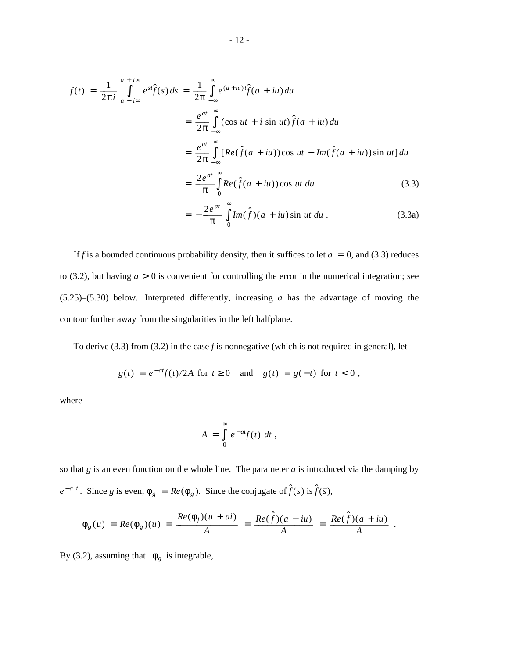$$
f(t) = \frac{1}{2\pi i} \int_{a - i\infty}^{a + i\infty} e^{st} \hat{f}(s) ds = \frac{1}{2\pi} \int_{-\infty}^{\infty} e^{(a + iu)t} \hat{f}(a + iu) du
$$
  

$$
= \frac{e^{at}}{2\pi} \int_{-\infty}^{\infty} (\cos ut + i \sin ut) \hat{f}(a + iu) du
$$
  

$$
= \frac{e^{at}}{2\pi} \int_{-\infty}^{\infty} [Re(\hat{f}(a + iu)) \cos ut - Im(\hat{f}(a + iu)) \sin ut] du
$$
  

$$
= \frac{2e^{at}}{\pi} \int_{0}^{\infty} Re(\hat{f}(a + iu)) \cos ut du
$$
(3.3)  

$$
= -\frac{2e^{at}}{\pi} \int_{0}^{\infty} Im(\hat{f})(a + iu) \sin ut du.
$$

$$
= -\frac{2e^{-}}{\pi} \int_{0} Im(\hat{f})(a + iu) \sin ut \, du \,. \tag{3.3a}
$$

If *f* is a bounded continuous probability density, then it suffices to let  $a = 0$ , and (3.3) reduces to (3.2), but having  $a > 0$  is convenient for controlling the error in the numerical integration; see (5.25)–(5.30) below. Interpreted differently, increasing *a* has the advantage of moving the contour further away from the singularities in the left halfplane.

To derive (3.3) from (3.2) in the case *f* is nonnegative (which is not required in general), let

$$
g(t) = e^{-at}f(t)/2A
$$
 for  $t \ge 0$  and  $g(t) = g(-t)$  for  $t < 0$ ,

where

$$
A = \int_{0}^{\infty} e^{-at} f(t) dt,
$$

so that *g* is an even function on the whole line. The parameter *a* is introduced via the damping by  $e^{-a|t|}$ . Since *g* is even,  $\phi_g = Re(\phi_g)$ . Since the conjugate of  $\hat{f}(s)$  is  $\hat{f}(\bar{s})$ ,

$$
\phi_g(u) = Re(\phi_g)(u) = \frac{Re(\phi_f)(u+ai)}{A} = \frac{Re(\hat{f})(a-iu)}{A} = \frac{Re(\hat{f})(a+iu)}{A}.
$$

By (3.2), assuming that  $|\phi_g|$  is integrable,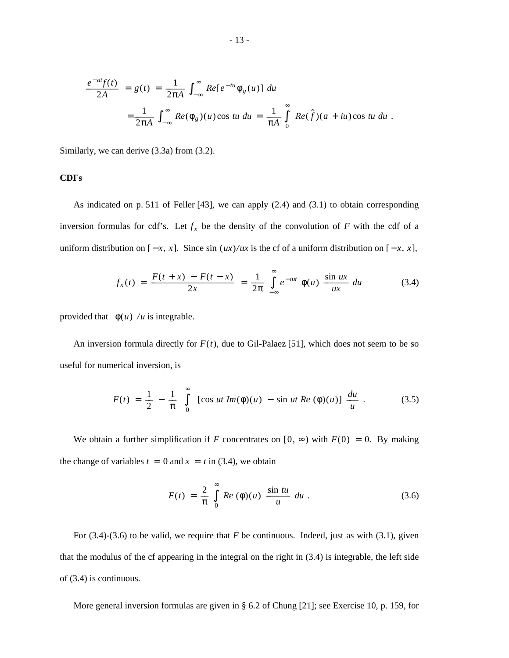$$
\frac{e^{-at}f(t)}{2A} = g(t) = \frac{1}{2\pi A} \int_{-\infty}^{\infty} Re[e^{-tu}\phi_g(u)] du
$$
  

$$
= \frac{1}{2\pi A} \int_{-\infty}^{\infty} Re(\phi_g)(u) \cos tu \, du = \frac{1}{\pi A} \int_{0}^{\infty} Re(\hat{f})(a+iu) \cos tu \, du.
$$

Similarly, we can derive (3.3a) from (3.2).

## **CDFs**

As indicated on p. 511 of Feller [43], we can apply (2.4) and (3.1) to obtain corresponding inversion formulas for cdf's. Let  $f_x$  be the density of the convolution of *F* with the cdf of a uniform distribution on  $[-x, x]$ . Since sin  $(ux)/ux$  is the cf of a uniform distribution on  $[-x, x]$ ,

$$
f_x(t) = \frac{F(t+x) - F(t-x)}{2x} = \frac{1}{2\pi} \int_{-\infty}^{\infty} e^{-iut} \phi(u) \frac{\sin ux}{ux} du \qquad (3.4)
$$

provided that  $|\phi(u)|/u$  is integrable.

An inversion formula directly for  $F(t)$ , due to Gil-Palaez [51], which does not seem to be so useful for numerical inversion, is

$$
F(t) = \frac{1}{2} - \frac{1}{\pi} \int_{0}^{\infty} [\cos ut \, Im(\phi)(u) - \sin ut \, Re(\phi)(u)] \, \frac{du}{u} \,. \tag{3.5}
$$

We obtain a further simplification if *F* concentrates on  $[0, \infty)$  with  $F(0) = 0$ . By making the change of variables  $t = 0$  and  $x = t$  in (3.4), we obtain

$$
F(t) = \frac{2}{\pi} \int_{0}^{\infty} Re(\phi)(u) \frac{\sin tu}{u} du.
$$
 (3.6)

For (3.4)-(3.6) to be valid, we require that *F* be continuous. Indeed, just as with (3.1), given that the modulus of the cf appearing in the integral on the right in (3.4) is integrable, the left side of (3.4) is continuous.

More general inversion formulas are given in § 6.2 of Chung [21]; see Exercise 10, p. 159, for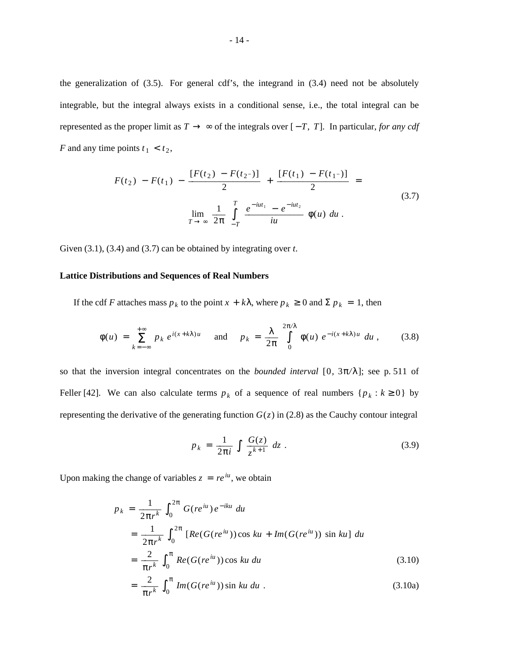the generalization of (3.5). For general cdf's, the integrand in (3.4) need not be absolutely integrable, but the integral always exists in a conditional sense, i.e., the total integral can be represented as the proper limit as  $T \rightarrow \infty$  of the integrals over  $[-T, T]$ . In particular, *for any cdf F* and any time points  $t_1 < t_2$ ,

$$
F(t_2) - F(t_1) - \frac{[F(t_2) - F(t_2)]}{2} + \frac{[F(t_1) - F(t_1)]}{2} =
$$
  

$$
\lim_{T \to \infty} \frac{1}{2\pi} \int_{-T}^{T} \frac{e^{-iut_1} - e^{-iut_2}}{iu} \phi(u) du.
$$
 (3.7)

Given (3.1), (3.4) and (3.7) can be obtained by integrating over *t*.

## **Lattice Distributions and Sequences of Real Numbers**

If the cdf *F* attaches mass  $p_k$  to the point  $x + k\lambda$ , where  $p_k \ge 0$  and  $\Sigma p_k = 1$ , then

$$
\phi(u) = \sum_{k=-\infty}^{+\infty} p_k e^{i(x+k\lambda)u} \quad \text{and} \quad p_k = \frac{\lambda}{2\pi} \int_{0}^{2\pi/\lambda} \phi(u) e^{-i(x+k\lambda)u} du, \quad (3.8)
$$

so that the inversion integral concentrates on the *bounded interval* [0,  $3\pi/\lambda$ ]; see p. 511 of Feller [42]. We can also calculate terms  $p_k$  of a sequence of real numbers  $\{p_k : k \ge 0\}$  by representing the derivative of the generating function  $G(z)$  in (2.8) as the Cauchy contour integral

$$
p_k = \frac{1}{2\pi i} \int \frac{G(z)}{z^{k+1}} dz.
$$
 (3.9)

Upon making the change of variables  $z = re^{iu}$ , we obtain

$$
p_k = \frac{1}{2\pi r^k} \int_0^{2\pi} G(re^{iu}) e^{-iku} du
$$
  
= 
$$
\frac{1}{2\pi r^k} \int_0^{2\pi} [Re(G(re^{iu})) \cos ku + Im(G(re^{iu})) \sin ku] du
$$
  
= 
$$
\frac{2}{\pi r^k} \int_0^{\pi} Re(G(re^{iu})) \cos ku du
$$
(3.10)

$$
= \frac{2}{\pi r^k} \int_0^{\pi} Im(G(re^{iu})) \sin ku \, du \tag{3.10a}
$$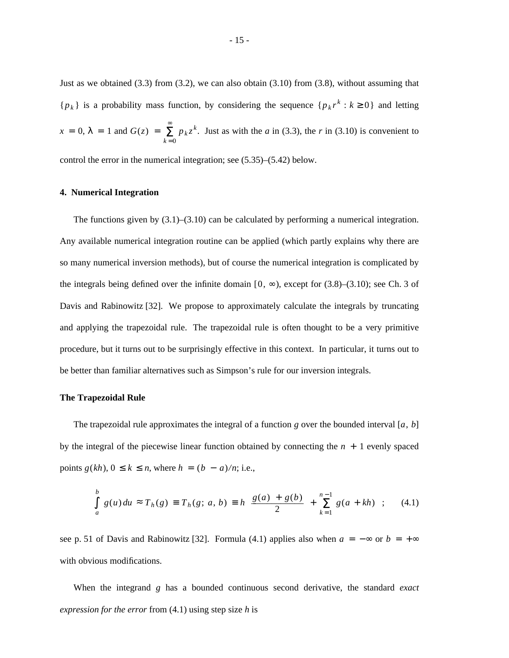Just as we obtained  $(3.3)$  from  $(3.2)$ , we can also obtain  $(3.10)$  from  $(3.8)$ , without assuming that  ${p_k}$  is a probability mass function, by considering the sequence  ${p_k}r^k : k \ge 0$  and letting  $x = 0, \lambda = 1$  and  $G(z) =$  $\sum_{k=0}^{\infty}$  $p_k z^k$ . Just as with the *a* in (3.3), the *r* in (3.10) is convenient to

control the error in the numerical integration; see (5.35)–(5.42) below.

#### **4. Numerical Integration**

The functions given by  $(3.1)$ – $(3.10)$  can be calculated by performing a numerical integration. Any available numerical integration routine can be applied (which partly explains why there are so many numerical inversion methods), but of course the numerical integration is complicated by the integrals being defined over the infinite domain  $[0, \infty)$ , except for  $(3.8)$ – $(3.10)$ ; see Ch. 3 of Davis and Rabinowitz [32]. We propose to approximately calculate the integrals by truncating and applying the trapezoidal rule. The trapezoidal rule is often thought to be a very primitive procedure, but it turns out to be surprisingly effective in this context. In particular, it turns out to be better than familiar alternatives such as Simpson's rule for our inversion integrals.

## **The Trapezoidal Rule**

The trapezoidal rule approximates the integral of a function *g* over the bounded interval [a, b] by the integral of the piecewise linear function obtained by connecting the  $n + 1$  evenly spaced *points*  $g(kh)$ *, 0 ≤*  $k$  *≤ <i>n*, where  $h = (b - a)/n$ ; i.e.,

$$
\int_{a}^{b} g(u) du \approx T_h(g) \equiv T_h(g; a, b) \equiv h \left[ \frac{g(a) + g(b)}{2} + \sum_{k=1}^{n-1} g(a + kh) \right]; \quad (4.1)
$$

see p. 51 of Davis and Rabinowitz [32]. Formula (4.1) applies also when  $a = -\infty$  or  $b = +\infty$ with obvious modifications.

When the integrand *g* has a bounded continuous second derivative, the standard *exact expression for the error* from (4.1) using step size *h* is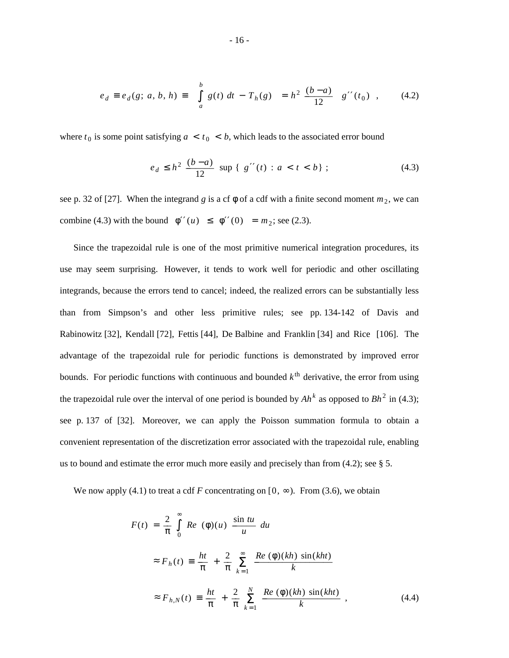$$
e_d \equiv e_d(g; a, b, h) \equiv \begin{vmatrix} b \\ \int_a^b g(t) \, dt - T_h(g) \\ a \end{vmatrix} = h^2 \frac{(b-a)}{12} |g''(t_0)| \,, \tag{4.2}
$$

where  $t_0$  is some point satisfying  $a < t_0 < b$ , which leads to the associated error bound

$$
e_d \le h^2 \frac{(b-a)}{12} \sup \{ |g''(t)| : a < t < b \}; \tag{4.3}
$$

see p. 32 of [27]. When the integrand *g* is a cf  $\phi$  of a cdf with a finite second moment  $m_2$ , we can combine (4.3) with the bound  $|\phi''(u)| \le |\phi''(0)| = m_2$ ; see (2.3).

Since the trapezoidal rule is one of the most primitive numerical integration procedures, its use may seem surprising. However, it tends to work well for periodic and other oscillating integrands, because the errors tend to cancel; indeed, the realized errors can be substantially less than from Simpson's and other less primitive rules; see pp. 134-142 of Davis and Rabinowitz [32], Kendall [72], Fettis [44], De Balbine and Franklin [34] and Rice [106]. The advantage of the trapezoidal rule for periodic functions is demonstrated by improved error bounds. For periodic functions with continuous and bounded  $k^{\text{th}}$  derivative, the error from using the trapezoidal rule over the interval of one period is bounded by  $Ah^k$  as opposed to  $Bh^2$  in (4.3); see p. 137 of [32]. Moreover, we can apply the Poisson summation formula to obtain a convenient representation of the discretization error associated with the trapezoidal rule, enabling us to bound and estimate the error much more easily and precisely than from (4.2); see § 5.

We now apply (4.1) to treat a cdf *F* concentrating on  $[0, \infty)$ . From (3.6), we obtain

$$
F(t) = \frac{2}{\pi} \int_{0}^{\infty} Re (\phi)(u) \frac{\sin tu}{u} du
$$
  
\n
$$
\approx F_h(t) \equiv \frac{ht}{\pi} + \frac{2}{\pi} \sum_{k=1}^{\infty} \frac{Re (\phi)(kh) \sin(kht)}{k}
$$
  
\n
$$
\approx F_{h,N}(t) \equiv \frac{ht}{\pi} + \frac{2}{\pi} \sum_{k=1}^{N} \frac{Re (\phi)(kh) \sin(kht)}{k}, \qquad (4.4)
$$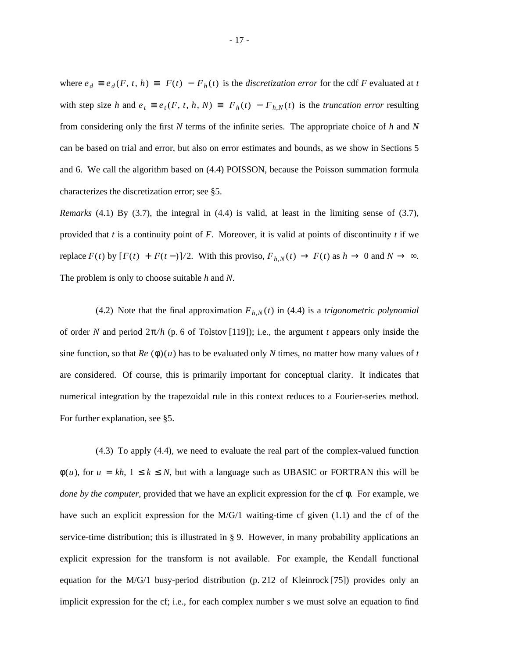where  $e_d \equiv e_d(F, t, h) \equiv |F(t) - F_h(t)|$  is the *discretization error* for the cdf *F* evaluated at *t* with step size *h* and  $e_t \equiv e_t(F, t, h, N) \equiv |F_h(t) - F_{h,N}(t)|$  is the *truncation error* resulting from considering only the first *N* terms of the infinite series. The appropriate choice of *h* and *N* can be based on trial and error, but also on error estimates and bounds, as we show in Sections 5 and 6. We call the algorithm based on (4.4) POISSON, because the Poisson summation formula characterizes the discretization error; see §5.

*Remarks* (4.1) By (3.7), the integral in (4.4) is valid, at least in the limiting sense of (3.7), provided that *t* is a continuity point of *F*. Moreover, it is valid at points of discontinuity *t* if we replace  $F(t)$  by  $[F(t) + F(t-)]/2$ . With this proviso,  $F_{h,N}(t) \rightarrow F(t)$  as  $h \rightarrow 0$  and  $N \rightarrow \infty$ . The problem is only to choose suitable *h* and *N*.

(4.2) Note that the final approximation  $F_{h,N}(t)$  in (4.4) is a *trigonometric polynomial* of order *N* and period 2π*/ h* (p. 6 of Tolstov [119]); i.e., the argument *t* appears only inside the sine function, so that  $Re(\phi)(u)$  has to be evaluated only N times, no matter how many values of *t* are considered. Of course, this is primarily important for conceptual clarity. It indicates that numerical integration by the trapezoidal rule in this context reduces to a Fourier-series method. For further explanation, see §5.

(4.3) To apply (4.4), we need to evaluate the real part of the complex-valued function  $\phi(u)$ , for  $u = kh$ ,  $1 \le k \le N$ , but with a language such as UBASIC or FORTRAN this will be *done by the computer*, provided that we have an explicit expression for the cf φ. For example, we have such an explicit expression for the M/G/1 waiting-time cf given (1.1) and the cf of the service-time distribution; this is illustrated in § 9. However, in many probability applications an explicit expression for the transform is not available. For example, the Kendall functional equation for the M/G/1 busy-period distribution (p. 212 of Kleinrock [75]) provides only an implicit expression for the cf; i.e., for each complex number *s* we must solve an equation to find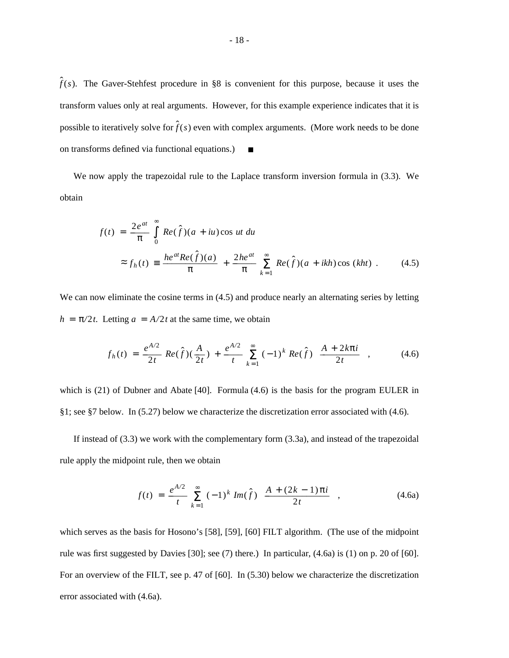$\hat{f}(s)$ . The Gaver-Stehfest procedure in §8 is convenient for this purpose, because it uses the transform values only at real arguments. However, for this example experience indicates that it is possible to iteratively solve for  $\hat{f}(s)$  even with complex arguments. (More work needs to be done on transforms defined via functional equations.)  $\blacksquare$ 

We now apply the trapezoidal rule to the Laplace transform inversion formula in (3.3). We obtain

$$
f(t) = \frac{2e^{at}}{\pi} \int_{0}^{\infty} Re(\hat{f})(a+iu)\cos ut \, du
$$
  

$$
\approx f_h(t) \equiv \frac{he^{at}Re(\hat{f})(a)}{\pi} + \frac{2he^{at}}{\pi} \sum_{k=1}^{\infty} Re(\hat{f})(a+ikh)\cos(kht) \, . \tag{4.5}
$$

We can now eliminate the cosine terms in  $(4.5)$  and produce nearly an alternating series by letting  $h = \pi/2t$ . Letting  $a = A/2t$  at the same time, we obtain

$$
f_h(t) = \frac{e^{A/2}}{2t} Re(\hat{f})(\frac{A}{2t}) + \frac{e^{A/2}}{t} \sum_{k=1}^{\infty} (-1)^k Re(\hat{f}) \left[ \frac{A + 2k\pi i}{2t} \right],
$$
 (4.6)

which is (21) of Dubner and Abate [40]. Formula (4.6) is the basis for the program EULER in §1; see §7 below. In (5.27) below we characterize the discretization error associated with (4.6).

If instead of (3.3) we work with the complementary form (3.3a), and instead of the trapezoidal rule apply the midpoint rule, then we obtain

$$
f(t) = \frac{e^{A/2}}{t} \sum_{k=1}^{\infty} (-1)^k Im(\hat{f}) \left[ \frac{A + (2k - 1)\pi i}{2t} \right],
$$
 (4.6a)

which serves as the basis for Hosono's [58], [59], [60] FILT algorithm. (The use of the midpoint rule was first suggested by Davies [30]; see (7) there.) In particular, (4.6a) is (1) on p. 20 of [60]. For an overview of the FILT, see p. 47 of [60]. In (5.30) below we characterize the discretization error associated with (4.6a).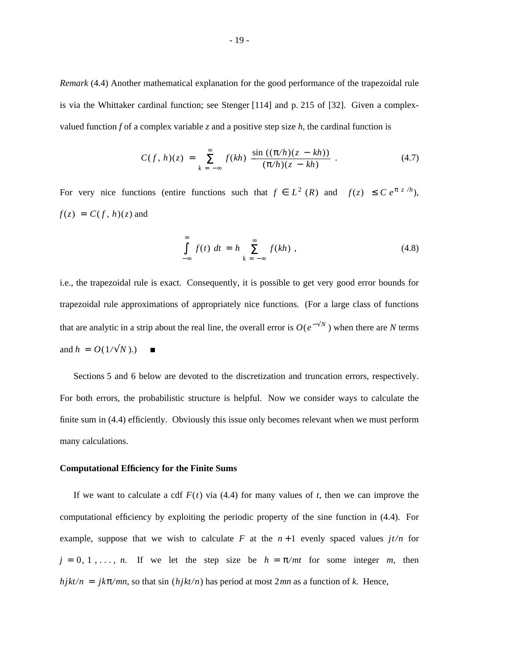*Remark* (4.4) Another mathematical explanation for the good performance of the trapezoidal rule is via the Whittaker cardinal function; see Stenger [114] and p. 215 of [32]. Given a complexvalued function *f* of a complex variable *z* and a positive step size *h*, the cardinal function is

$$
C(f, h)(z) = \sum_{k=-\infty}^{\infty} f(kh) \frac{\sin ((\pi/h)(z - kh))}{(\pi/h)(z - kh)}.
$$
 (4.7)

For very nice functions (entire functions such that  $f \in L^2(R)$  and  $|f(z)| \leq C e^{\pi |z|/h}$ ),  $f(z) = C(f, h)(z)$  and

$$
\int_{-\infty}^{\infty} f(t) dt = h \sum_{k=-\infty}^{\infty} f(kh) , \qquad (4.8)
$$

i.e., the trapezoidal rule is exact. Consequently, it is possible to get very good error bounds for trapezoidal rule approximations of appropriately nice functions. (For a large class of functions that are analytic in a strip about the real line, the overall error is  $O(e^{-\sqrt{N}})$  when there are *N* terms and  $h = O(1/\sqrt{N}).$  $\blacksquare$ 

Sections 5 and 6 below are devoted to the discretization and truncation errors, respectively. For both errors, the probabilistic structure is helpful. Now we consider ways to calculate the finite sum in (4.4) efficiently. Obviously this issue only becomes relevant when we must perform many calculations.

#### **Computational Efficiency for the Finite Sums**

If we want to calculate a cdf  $F(t)$  via (4.4) for many values of *t*, then we can improve the computational efficiency by exploiting the periodic property of the sine function in (4.4). For example, suppose that we wish to calculate  $F$  at the  $n+1$  evenly spaced values  $j t/n$  for  $j = 0, 1, \ldots, n$ . If we let the step size be  $h = \pi/mt$  for some integer *m*, then  $hjkt/n = jk\pi/mn$ , so that sin  $(hjkt/n)$  has period at most 2*mn* as a function of *k*. Hence,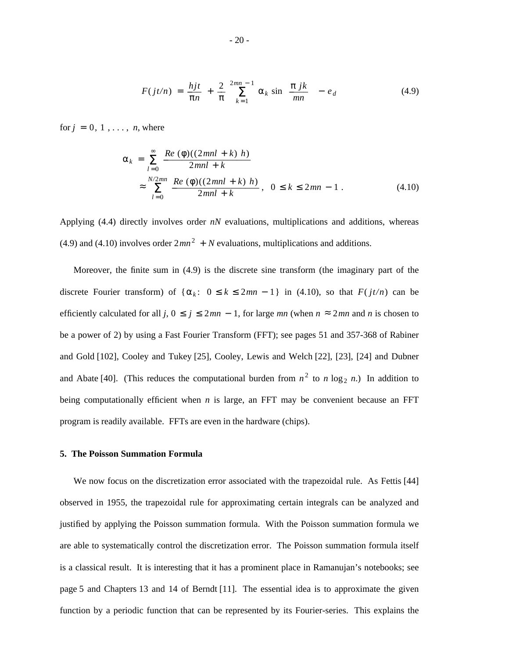$$
F(jt/n) = \frac{hjt}{\pi n} + \frac{2}{\pi} \sum_{k=1}^{2mn-1} \alpha_k \sin\left[\frac{\pi jk}{mn}\right] - e_d \qquad (4.9)
$$

for  $j = 0, 1, \ldots, n$ , where

$$
\alpha_{k} = \sum_{l=0}^{\infty} \frac{Re(\phi)((2mnl + k) h)}{2mnl + k}
$$
  

$$
\approx \sum_{l=0}^{N/2mn} \frac{Re(\phi)((2mnl + k) h)}{2mnl + k}, \quad 0 \le k \le 2mn - 1.
$$
 (4.10)

Applying (4.4) directly involves order *nN* evaluations, multiplications and additions, whereas (4.9) and (4.10) involves order  $2mn^2 + N$  evaluations, multiplications and additions.

Moreover, the finite sum in (4.9) is the discrete sine transform (the imaginary part of the discrete Fourier transform) of  $\{\alpha_k: 0 \le k \le 2mn - 1\}$  in (4.10), so that  $F(jt/n)$  can be efficiently calculated for all *j*,  $0 \le j \le 2mn - 1$ , for large *mn* (when  $n \approx 2mn$  and *n* is chosen to be a power of 2) by using a Fast Fourier Transform (FFT); see pages 51 and 357-368 of Rabiner and Gold [102], Cooley and Tukey [25], Cooley, Lewis and Welch [22], [23], [24] and Dubner and Abate [40]. (This reduces the computational burden from  $n^2$  to *n* log<sub>2</sub> *n*.) In addition to being computationally efficient when *n* is large, an FFT may be convenient because an FFT program is readily available. FFTs are even in the hardware (chips).

### **5. The Poisson Summation Formula**

We now focus on the discretization error associated with the trapezoidal rule. As Fettis [44] observed in 1955, the trapezoidal rule for approximating certain integrals can be analyzed and justified by applying the Poisson summation formula. With the Poisson summation formula we are able to systematically control the discretization error. The Poisson summation formula itself is a classical result. It is interesting that it has a prominent place in Ramanujan's notebooks; see page 5 and Chapters 13 and 14 of Berndt [11]. The essential idea is to approximate the given function by a periodic function that can be represented by its Fourier-series. This explains the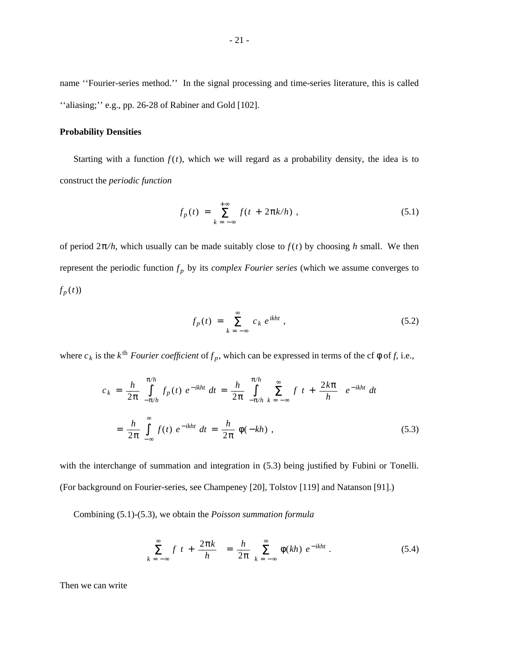name ''Fourier-series method.'' In the signal processing and time-series literature, this is called ''aliasing;'' e.g., pp. 26-28 of Rabiner and Gold [102].

## **Probability Densities**

Starting with a function  $f(t)$ , which we will regard as a probability density, the idea is to construct the *periodic function*

$$
f_p(t) = \sum_{k=-\infty}^{+\infty} f(t + 2\pi k/h), \qquad (5.1)
$$

of period  $2\pi/h$ , which usually can be made suitably close to  $f(t)$  by choosing h small. We then represent the periodic function  $f_p$  by its *complex Fourier series* (which we assume converges to  $f_p(t)$ 

$$
f_p(t) = \sum_{k=-\infty}^{\infty} c_k e^{ikht}, \qquad (5.2)
$$

where  $c_k$  is the  $k^{\text{th}}$  *Fourier coefficient* of  $f_p$ , which can be expressed in terms of the cf  $\phi$  of f, i.e.,

$$
c_k = \frac{h}{2\pi} \int_{-\pi/h}^{\pi/h} f_p(t) e^{-ikht} dt = \frac{h}{2\pi} \int_{-\pi/h}^{\pi/h} \sum_{k=-\infty}^{\infty} f\left(t + \frac{2k\pi}{h}\right) e^{-ikht} dt
$$

$$
= \frac{h}{2\pi} \int_{-\infty}^{\infty} f(t) e^{-ikht} dt = \frac{h}{2\pi} \phi(-kh) , \qquad (5.3)
$$

with the interchange of summation and integration in  $(5.3)$  being justified by Fubini or Tonelli. (For background on Fourier-series, see Champeney [20], Tolstov [119] and Natanson [91].)

Combining (5.1)-(5.3), we obtain the *Poisson summation formula*

$$
\sum_{k=-\infty}^{\infty} f \left[ t + \frac{2\pi k}{h} \right] = \frac{h}{2\pi} \sum_{k=-\infty}^{\infty} \phi(kh) e^{-ikht} . \tag{5.4}
$$

Then we can write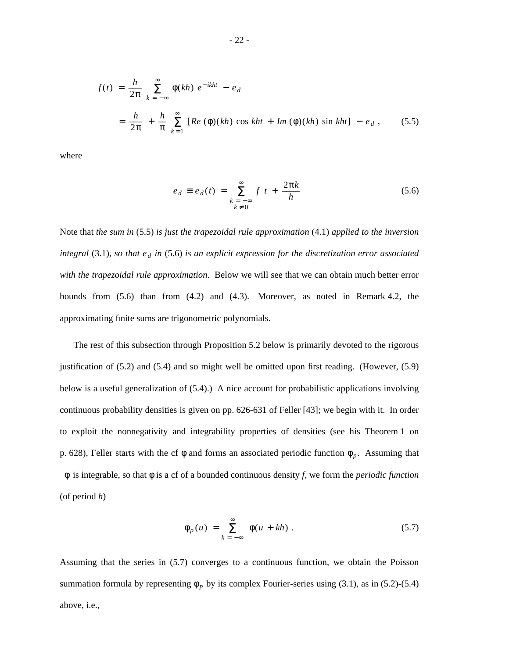$$
f(t) = \frac{h}{2\pi} \sum_{k=-\infty}^{\infty} \phi(kh) e^{-ikht} - e_d
$$
  
=  $\frac{h}{2\pi} + \frac{h}{\pi} \sum_{k=1}^{\infty} [Re (\phi)(kh) \cos kht + Im (\phi)(kh) \sin kht] - e_d$ , (5.5)

where

$$
e_d \equiv e_d(t) = \sum_{\substack{k = -\infty \\ k \neq 0}}^{\infty} f \left[ t + \frac{2\pi k}{h} \right]
$$
 (5.6)

Note that *the sum in* (5.5) *is just the trapezoidal rule approximation* (4.1) *applied to the inversion integral* (3.1), so that  $e_d$  in (5.6) is an explicit expression for the discretization error associated *with the trapezoidal rule approximation*. Below we will see that we can obtain much better error bounds from (5.6) than from (4.2) and (4.3). Moreover, as noted in Remark 4.2, the approximating finite sums are trigonometric polynomials.

The rest of this subsection through Proposition 5.2 below is primarily devoted to the rigorous justification of (5.2) and (5.4) and so might well be omitted upon first reading. (However, (5.9) below is a useful generalization of (5.4).) A nice account for probabilistic applications involving continuous probability densities is given on pp. 626-631 of Feller [43]; we begin with it. In order to exploit the nonnegativity and integrability properties of densities (see his Theorem 1 on p. 628), Feller starts with the cf  $\phi$  and forms an associated periodic function  $\phi_p$ . Assuming that φis integrable, so that φ is a cf of a bounded continuous density *f*, we form the *periodic function* (of period *h*)

$$
\phi_p(u) = \sum_{k=-\infty}^{\infty} \phi(u + kh) . \tag{5.7}
$$

Assuming that the series in (5.7) converges to a continuous function, we obtain the Poisson summation formula by representing  $\phi_p$  by its complex Fourier-series using (3.1), as in (5.2)-(5.4) above, i.e.,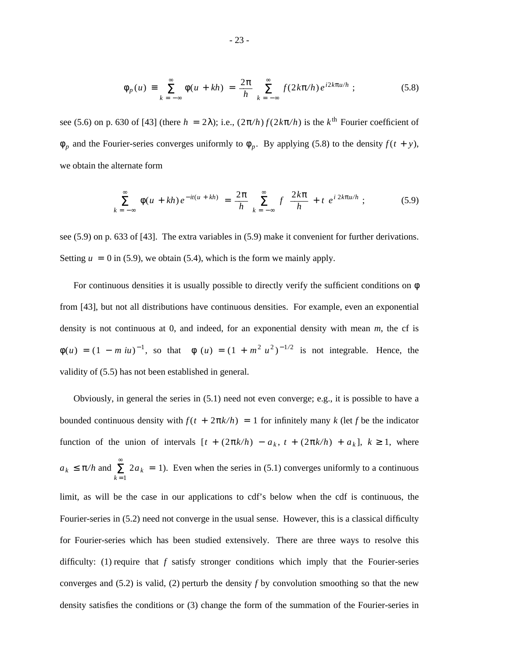$$
\phi_p(u) \equiv \sum_{k=-\infty}^{\infty} \phi(u+kh) = \frac{2\pi}{h} \sum_{k=-\infty}^{\infty} f(2k\pi/h) e^{i2k\pi u/h} ; \qquad (5.8)
$$

see (5.6) on p. 630 of [43] (there  $h = 2\lambda$ ); i.e.,  $(2\pi/h) f(2k\pi/h)$  is the  $k^{\text{th}}$  Fourier coefficient of  $\phi_p$  and the Fourier-series converges uniformly to  $\phi_p$ . By applying (5.8) to the density  $f(t + y)$ , we obtain the alternate form

$$
\sum_{k=-\infty}^{\infty} \phi(u+kh) e^{-it(u+kh)} = \frac{2\pi}{h} \sum_{k=-\infty}^{\infty} f\left(\frac{2k\pi}{h} + t\right) e^{i2k\pi u/h}; \qquad (5.9)
$$

see (5.9) on p. 633 of [43]. The extra variables in (5.9) make it convenient for further derivations. Setting  $u = 0$  in (5.9), we obtain (5.4), which is the form we mainly apply.

For continuous densities it is usually possible to directly verify the sufficient conditions on  $\phi$ from [43], but not all distributions have continuous densities. For example, even an exponential density is not continuous at 0, and indeed, for an exponential density with mean *m*, the cf is  $\phi(u) = (1 - m iu)^{-1}$ , so that  $|\phi|(u) = (1 + m^2 u^2)^{-1/2}$  is not integrable. Hence, the validity of (5.5) has not been established in general.

Obviously, in general the series in (5.1) need not even converge; e.g., it is possible to have a bounded continuous density with  $f(t + 2\pi k/h) = 1$  for infinitely many *k* (let *f* be the indicator function of the union of intervals  $[t + (2\pi k/h) - a_k, t + (2\pi k/h) + a_k], k \ge 1$ , where  $a_k \leq \pi/h$  and  $\sum_{k=1}^{\infty}$  $2a_k = 1$ ). Even when the series in (5.1) converges uniformly to a continuous limit, as will be the case in our applications to cdf's below when the cdf is continuous, the Fourier-series in  $(5.2)$  need not converge in the usual sense. However, this is a classical difficulty for Fourier-series which has been studied extensively. There are three ways to resolve this difficulty: (1) require that *f* satisfy stronger conditions which imply that the Fourier-series converges and (5.2) is valid, (2) perturb the density *f* by convolution smoothing so that the new density satisfies the conditions or (3) change the form of the summation of the Fourier-series in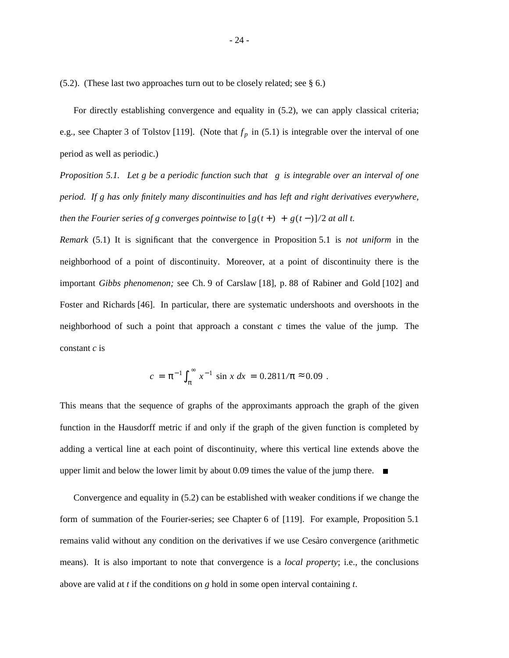(5.2). (These last two approaches turn out to be closely related; see § 6.)

For directly establishing convergence and equality in (5.2), we can apply classical criteria; e.g., see Chapter 3 of Tolstov [119]. (Note that  $f_p$  in (5.1) is integrable over the interval of one period as well as periodic.)

*Proposition 5.1. Let g be a periodic function such that gis integrable over an interval of one period. If g has only finitely many discontinuities and has left and right derivatives everywhere, then the Fourier series of g converges pointwise to*  $[g(t+) + g(t-)]/2$  *at all t.* 

*Remark* (5.1) It is significant that the convergence in Proposition 5.1 is *not uniform* in the neighborhood of a point of discontinuity. Moreover, at a point of discontinuity there is the important *Gibbs phenomenon;* see Ch. 9 of Carslaw [18], p. 88 of Rabiner and Gold [102] and Foster and Richards [46]. In particular, there are systematic undershoots and overshoots in the neighborhood of such a point that approach a constant  $c$  times the value of the jump. The constant *c* is

$$
c = \pi^{-1} \int_{\pi}^{\infty} x^{-1} \sin x \, dx = 0.2811/\pi \approx 0.09 \; .
$$

This means that the sequence of graphs of the approximants approach the graph of the given function in the Hausdorff metric if and only if the graph of the given function is completed by adding a vertical line at each point of discontinuity, where this vertical line extends above the upper limit and below the lower limit by about 0.09 times the value of the jump there.  $\blacksquare$ 

Convergence and equality in (5.2) can be established with weaker conditions if we change the form of summation of the Fourier-series; see Chapter 6 of [119]. For example, Proposition 5.1 remains valid without any condition on the derivatives if we use Cesaro convergence (arithmetic means). It is also important to note that convergence is a *local property*; i.e., the conclusions above are valid at *t* if the conditions on *g* hold in some open interval containing *t*.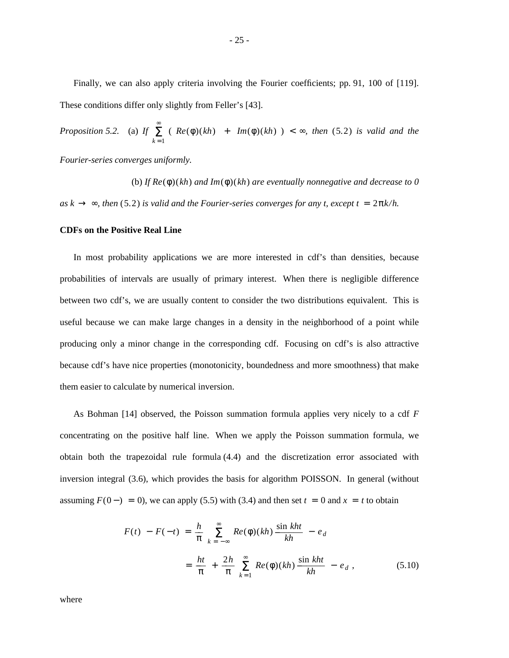Finally, we can also apply criteria involving the Fourier coefficients; pp. 91, 100 of [119]. These conditions differ only slightly from Feller's [43].

*Proposition 5.2.* (a) *If*  $\sum_{k=1}^{\infty}$  $(|Re(\phi)(kh)| + |Im(\phi)(kh)|) < \infty$ , then (5.2) is valid and the

*Fourier-series converges uniformly.*

(b) *If Re*(φ) (*kh*) *and Im*(φ) (*kh*) *are eventually nonnegative and decrease to 0*  $as k \rightarrow \infty$ , then (5.2) *is valid and the Fourier-series converges for any t, except t* =  $2\pi k/h$ .

#### **CDFs on the Positive Real Line**

In most probability applications we are more interested in cdf's than densities, because probabilities of intervals are usually of primary interest. When there is negligible difference between two cdf's, we are usually content to consider the two distributions equivalent. This is useful because we can make large changes in a density in the neighborhood of a point while producing only a minor change in the corresponding cdf. Focusing on cdf's is also attractive because cdf's have nice properties (monotonicity, boundedness and more smoothness) that make them easier to calculate by numerical inversion.

As Bohman [14] observed, the Poisson summation formula applies very nicely to a cdf *F* concentrating on the positive half line. When we apply the Poisson summation formula, we obtain both the trapezoidal rule formula (4.4) and the discretization error associated with inversion integral (3.6), which provides the basis for algorithm POISSON. In general (without assuming  $F(0-) = 0$ , we can apply (5.5) with (3.4) and then set  $t = 0$  and  $x = t$  to obtain

$$
F(t) - F(-t) = \frac{h}{\pi} \sum_{k=-\infty}^{\infty} Re(\phi)(kh) \frac{\sin kht}{kh} - e_d
$$
  

$$
= \frac{ht}{\pi} + \frac{2h}{\pi} \sum_{k=1}^{\infty} Re(\phi)(kh) \frac{\sin kht}{kh} - e_d , \qquad (5.10)
$$

where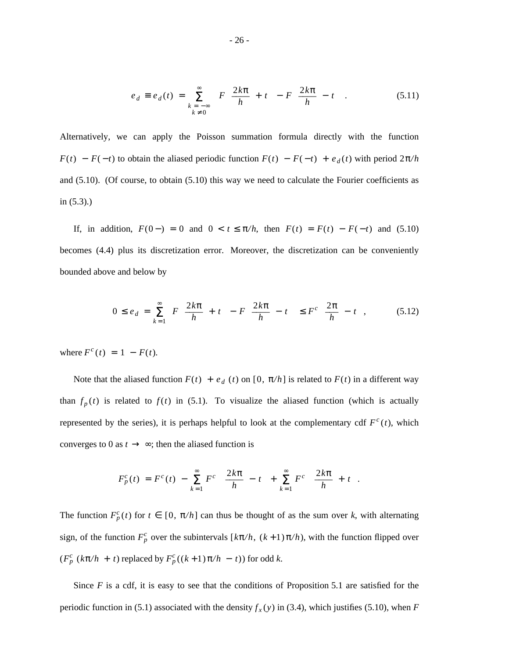$$
e_d \equiv e_d(t) = \sum_{\substack{k=-\infty\\k\neq 0}}^{\infty} \left[ F\left(\frac{2k\pi}{h} + t\right) - F\left(\frac{2k\pi}{h} - t\right) \right]. \tag{5.11}
$$

Alternatively, we can apply the Poisson summation formula directly with the function *F*(*t*) − *F*(−*t*) to obtain the aliased periodic function  $F(t) - F(-t) + e_d(t)$  with period  $2\pi/h$ and (5.10). (Of course, to obtain (5.10) this way we need to calculate the Fourier coefficients as in (5.3).)

If, in addition,  $F(0-) = 0$  and  $0 < t \le \pi/h$ , then  $F(t) = F(t) - F(-t)$  and (5.10) becomes (4.4) plus its discretization error. Moreover, the discretization can be conveniently bounded above and below by

$$
0 \le e_d = \sum_{k=1}^{\infty} \left[ F\left[ \frac{2k\pi}{h} + t \right] - F\left[ \frac{2k\pi}{h} - t \right] \right] \le F^c \left[ \frac{2\pi}{h} - t \right],\tag{5.12}
$$

where  $F^{c}(t) = 1 - F(t)$ .

Note that the aliased function  $F(t) + e_d(t)$  on [0,  $\pi/h$ ] is related to  $F(t)$  in a different way than  $f_p(t)$  is related to  $f(t)$  in (5.1). To visualize the aliased function (which is actually represented by the series), it is perhaps helpful to look at the complementary cdf  $F^c(t)$ , which converges to 0 as  $t \to \infty$ ; then the aliased function is

$$
F_p^c(t) = F^c(t) - \sum_{k=1}^{\infty} F^c \left[ \frac{2k\pi}{h} - t \right] + \sum_{k=1}^{\infty} F^c \left[ \frac{2k\pi}{h} + t \right].
$$

The function  $F_p^c(t)$  for  $t \in [0, \pi/h]$  can thus be thought of as the sum over *k*, with alternating sign, of the function  $F_p^c$  over the subintervals  $[k\pi/h, (k+1)\pi/h)$ , with the function flipped over  $(F_p^c$   $(k\pi/h + t)$  replaced by  $F_p^c$   $((k+1)\pi/h - t)$  for odd *k*.

Since  $F$  is a cdf, it is easy to see that the conditions of Proposition 5.1 are satisfied for the periodic function in (5.1) associated with the density  $f_x(y)$  in (3.4), which justifies (5.10), when *F*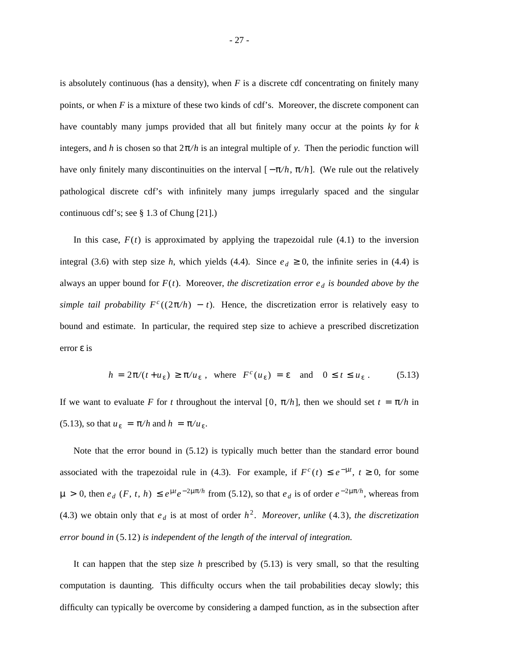is absolutely continuous (has a density), when *F* is a discrete cdf concentrating on finitely many points, or when *F* is a mixture of these two kinds of cdf's. Moreover, the discrete component can have countably many jumps provided that all but finitely many occur at the points *ky* for *k* integers, and *h* is chosen so that  $2\pi/h$  is an integral multiple of *y*. Then the periodic function will have only finitely many discontinuities on the interval  $[-\pi/h, \pi/h]$ . (We rule out the relatively pathological discrete cdf's with infinitely many jumps irregularly spaced and the singular continuous cdf's; see § 1.3 of Chung [21].)

In this case,  $F(t)$  is approximated by applying the trapezoidal rule  $(4.1)$  to the inversion integral (3.6) with step size *h*, which yields (4.4). Since  $e_d \ge 0$ , the infinite series in (4.4) is always an upper bound for *F*(*t*). Moreover, *the discretization error e <sup>d</sup> is bounded above by the simple tail probability*  $F^c((2\pi/h) - t)$ . Hence, the discretization error is relatively easy to bound and estimate. In particular, the required step size to achieve a prescribed discretization error ε is

$$
h = 2\pi/(t + u_{\varepsilon}) \ge \pi/u_{\varepsilon} \text{ , where } F^{c}(u_{\varepsilon}) = \varepsilon \text{ and } 0 \le t \le u_{\varepsilon} \text{ .} \tag{5.13}
$$

If we want to evaluate *F* for *t* throughout the interval [0,  $\pi/h$ ], then we should set  $t = \pi/h$  in (5.13), so that  $u_{\varepsilon} = \pi/h$  and  $h = \pi/u_{\varepsilon}$ .

Note that the error bound in (5.12) is typically much better than the standard error bound associated with the trapezoidal rule in (4.3). For example, if  $F^c(t) \leq e^{-\mu t}$ ,  $t \geq 0$ , for some  $\mu > 0$ , then  $e_d$  (*F*, *t*, *h*)  $\leq e^{\mu t}e^{-2\mu\pi/h}$  from (5.12), so that  $e_d$  is of order  $e^{-2\mu\pi/h}$ , whereas from (4.3) we obtain only that  $e_d$  is at most of order  $h^2$ . *Moreover, unlike* (4.3), the discretization *error bound in* ( 5. 12 ) *is independent of the length of the interval of integration.*

It can happen that the step size *h* prescribed by (5.13) is very small, so that the resulting computation is daunting. This difficulty occurs when the tail probabilities decay slowly; this difficulty can typically be overcome by considering a damped function, as in the subsection after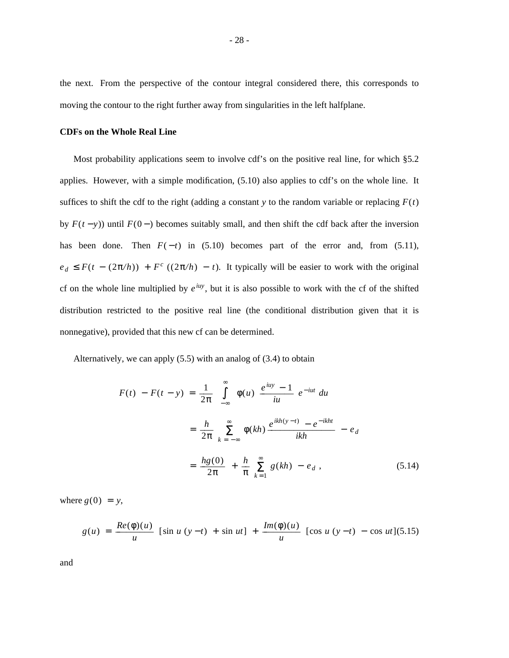the next. From the perspective of the contour integral considered there, this corresponds to moving the contour to the right further away from singularities in the left halfplane.

## **CDFs on the Whole Real Line**

Most probability applications seem to involve cdf's on the positive real line, for which §5.2 applies. However, with a simple modification, (5.10) also applies to cdf's on the whole line. It suffices to shift the cdf to the right (adding a constant  $y$  to the random variable or replacing  $F(t)$ ) by  $F(t - y)$ ) until  $F(0 - )$  becomes suitably small, and then shift the cdf back after the inversion has been done. Then  $F(-t)$  in (5.10) becomes part of the error and, from (5.11),  $e_d \leq F(t - (2\pi/h)) + F^c$  ( $(2\pi/h) - t$ ). It typically will be easier to work with the original cf on the whole line multiplied by  $e^{i\mu y}$ , but it is also possible to work with the cf of the shifted distribution restricted to the positive real line (the conditional distribution given that it is nonnegative), provided that this new cf can be determined.

Alternatively, we can apply (5.5) with an analog of (3.4) to obtain

$$
F(t) - F(t - y) = \frac{1}{2\pi} \int_{-\infty}^{\infty} \phi(u) \frac{e^{iuy} - 1}{iu} e^{-iut} du
$$
  

$$
= \frac{h}{2\pi} \sum_{k=-\infty}^{\infty} \phi(kh) \frac{e^{ikh(y-t)} - e^{-ikht}}{ikh} - e_d
$$
  

$$
= \frac{hg(0)}{2\pi} + \frac{h}{\pi} \sum_{k=1}^{\infty} g(kh) - e_d , \qquad (5.14)
$$

where  $g(0) = y$ ,

$$
g(u) = \frac{Re(\phi)(u)}{u} \left[ \sin u (y-t) + \sin ut \right] + \frac{Im(\phi)(u)}{u} \left[ \cos u (y-t) - \cos ut \right] (5.15)
$$

and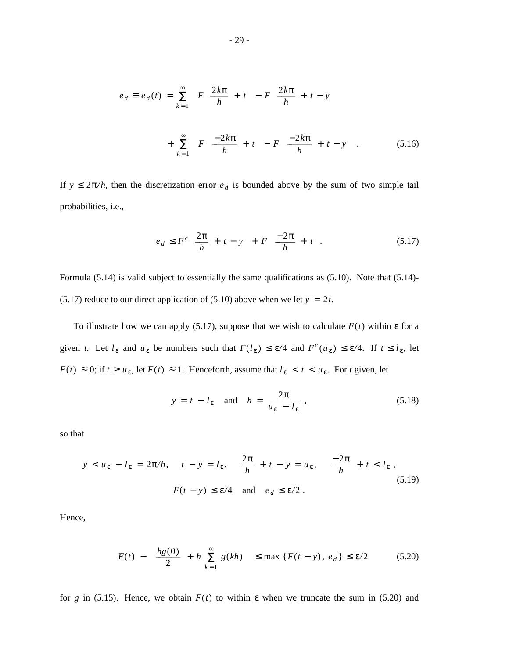$$
e_d \equiv e_d(t) = \sum_{k=1}^{\infty} \left[ F\left(\frac{2k\pi}{h} + t\right) - F\left(\frac{2k\pi}{h} + t - y\right) \right]
$$

$$
+ \sum_{k=1}^{\infty} \left[ F\left(\frac{-2k\pi}{h} + t\right) - F\left(\frac{-2k\pi}{h} + t - y\right) \right].
$$
(5.16)

If  $y \leq 2\pi/h$ , then the discretization error  $e_d$  is bounded above by the sum of two simple tail probabilities, i.e.,

$$
e_d \leq F^c \left[ \frac{2\pi}{h} + t - y \right] + F \left[ \frac{-2\pi}{h} + t \right]. \tag{5.17}
$$

Formula (5.14) is valid subject to essentially the same qualifications as (5.10). Note that (5.14)- (5.17) reduce to our direct application of (5.10) above when we let  $y = 2t$ .

To illustrate how we can apply (5.17), suppose that we wish to calculate *F*(*t*) within ε for a given *t*. Let  $l_{\varepsilon}$  and  $u_{\varepsilon}$  be numbers such that  $F(l_{\varepsilon}) \leq \varepsilon/4$  and  $F^c(u_{\varepsilon}) \leq \varepsilon/4$ . If  $t \leq l_{\varepsilon}$ , let *F*(*t*) ≈ 0; if *t* ≥ *u*<sub>ε</sub>, let *F*(*t*) ≈ 1. Henceforth, assume that  $l_{\varepsilon} < t < u_{\varepsilon}$ . For *t* given, let

$$
y = t - l_{\varepsilon} \quad \text{and} \quad h = \frac{2\pi}{u_{\varepsilon} - l_{\varepsilon}} \tag{5.18}
$$

so that

$$
y < u_{\varepsilon} - l_{\varepsilon} = 2\pi/h, \quad t - y = l_{\varepsilon}, \quad \frac{2\pi}{h} + t - y = u_{\varepsilon}, \quad \frac{-2\pi}{h} + t < l_{\varepsilon},
$$
\n
$$
F(t - y) \le \varepsilon/4 \quad \text{and} \quad e_d \le \varepsilon/2 \,.
$$
\n
$$
(5.19)
$$

Hence,

$$
\left| F(t) - \left[ \frac{hg(0)}{2} + h \sum_{k=1}^{\infty} g(kh) \right] \right| \le \max \left\{ F(t - y), e_d \right\} \le \varepsilon/2 \tag{5.20}
$$

for *g* in (5.15). Hence, we obtain  $F(t)$  to within  $\varepsilon$  when we truncate the sum in (5.20) and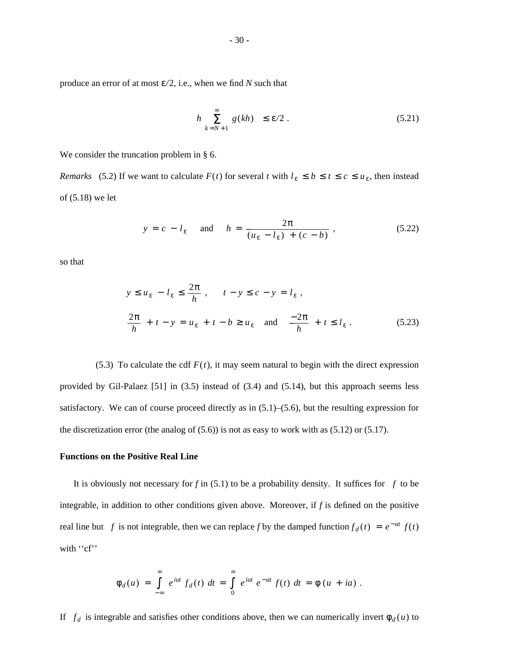$$
\left| h \sum_{k=N+1}^{\infty} g(kh) \right| \le \varepsilon/2 . \tag{5.21}
$$

We consider the truncation problem in § 6.

*Remarks* (5.2) If we want to calculate  $F(t)$  for several *t* with  $l_{\varepsilon} \leq b \leq t \leq c \leq u_{\varepsilon}$ , then instead of (5.18) we let

$$
y = c - l_{\varepsilon} \quad \text{and} \quad h = \frac{2\pi}{(u_{\varepsilon} - l_{\varepsilon}) + (c - b)}, \tag{5.22}
$$

so that

$$
y \le u_{\varepsilon} - l_{\varepsilon} \le \frac{2\pi}{h}, \qquad t - y \le c - y = l_{\varepsilon},
$$
  

$$
\frac{2\pi}{h} + t - y = u_{\varepsilon} + t - b \ge u_{\varepsilon} \quad \text{and} \quad \frac{-2\pi}{h} + t \le l_{\varepsilon}.
$$
 (5.23)

(5.3) To calculate the cdf  $F(t)$ , it may seem natural to begin with the direct expression provided by Gil-Palaez [51] in (3.5) instead of (3.4) and (5.14), but this approach seems less satisfactory. We can of course proceed directly as in (5.1)–(5.6), but the resulting expression for the discretization error (the analog of  $(5.6)$ ) is not as easy to work with as  $(5.12)$  or  $(5.17)$ .

## **Functions on the Positive Real Line**

It is obviously not necessary for *f* in (5.1) to be a probability density. It suffices for  $|f|$  to be integrable, in addition to other conditions given above. Moreover, if *f* is defined on the positive real line but  $|f|$  is not integrable, then we can replace *f* by the damped function  $f_d(t) = e^{-at} f(t)$ with "cf"

$$
\phi_d(u) = \int_{-\infty}^{\infty} e^{iut} f_d(t) dt = \int_{0}^{\infty} e^{iut} e^{-at} f(t) dt = \phi (u + ia).
$$

If  $|f_d|$  is integrable and satisfies other conditions above, then we can numerically invert  $\phi_d(u)$  to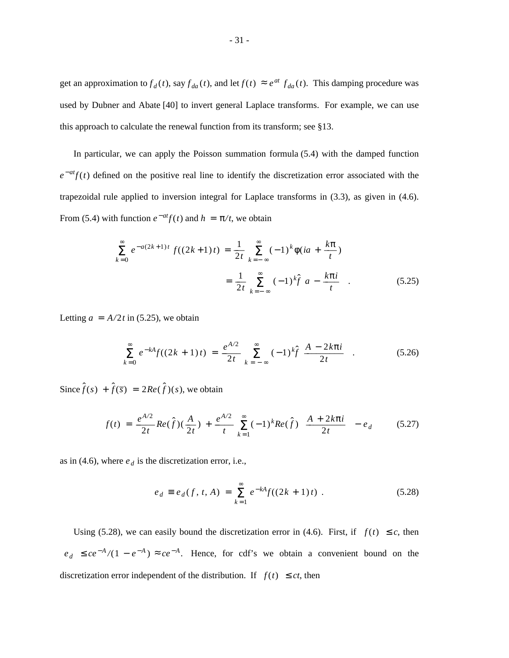get an approximation to  $f_d(t)$ , say  $f_{da}(t)$ , and let  $f(t) \approx e^{at} f_{da}(t)$ . This damping procedure was used by Dubner and Abate [40] to invert general Laplace transforms. For example, we can use this approach to calculate the renewal function from its transform; see §13.

In particular, we can apply the Poisson summation formula (5.4) with the damped function  $e^{-at}f(t)$  defined on the positive real line to identify the discretization error associated with the trapezoidal rule applied to inversion integral for Laplace transforms in (3.3), as given in (4.6). From (5.4) with function  $e^{-at}f(t)$  and  $h = \pi/t$ , we obtain

$$
\sum_{k=0}^{\infty} e^{-a(2k+1)t} f((2k+1)t) = \frac{1}{2t} \sum_{k=-\infty}^{\infty} (-1)^k \phi(ia + \frac{k\pi}{t})
$$

$$
= \frac{1}{2t} \sum_{k=-\infty}^{\infty} (-1)^k \hat{f} \left[ a - \frac{k\pi i}{t} \right].
$$
(5.25)

Letting  $a = A/2t$  in (5.25), we obtain

$$
\sum_{k=0}^{\infty} e^{-kA} f((2k+1)t) = \frac{e^{A/2}}{2t} \sum_{k=-\infty}^{\infty} (-1)^k \hat{f} \left[ \frac{A - 2k\pi i}{2t} \right].
$$
 (5.26)

Since  $\hat{f}(s) + \hat{f}(\overline{s}) = 2Re(\hat{f})(s)$ , we obtain

$$
f(t) = \frac{e^{A/2}}{2t} Re(\hat{f}) (\frac{A}{2t}) + \frac{e^{A/2}}{t} \sum_{k=1}^{\infty} (-1)^k Re(\hat{f}) \left[ \frac{A + 2k\pi i}{2t} \right] - e_d \quad (5.27)
$$

as in (4.6), where  $e_d$  is the discretization error, i.e.,

$$
e_d \equiv e_d(f, t, A) = \sum_{k=1}^{\infty} e^{-kA} f((2k+1)t) . \tag{5.28}
$$

Using (5.28), we can easily bound the discretization error in (4.6). First, if  $|f(t)| \leq c$ , then  $|e_d|$  ≤  $ce^{-A}/(1 - e^{-A})$  ≈  $ce^{-A}$ . Hence, for cdf's we obtain a convenient bound on the discretization error independent of the distribution. If  $|f(t)| \le ct$ , then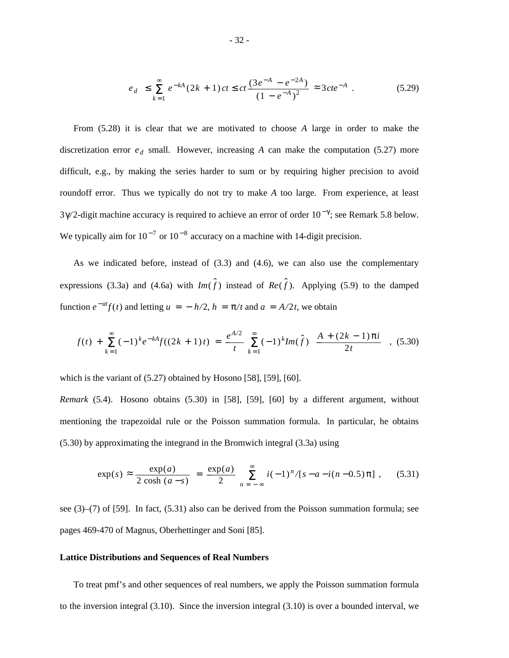$$
|e_d| \le \sum_{k=1}^{\infty} e^{-kA} (2k+1) ct \le ct \frac{(3e^{-A} - e^{-2A})}{(1 - e^{-A})^2} \approx 3cte^{-A} . \tag{5.29}
$$

From (5.28) it is clear that we are motivated to choose *A* large in order to make the discretization error  $e_d$  small. However, increasing  $A$  can make the computation (5.27) more difficult, e.g., by making the series harder to sum or by requiring higher precision to avoid roundoff error. Thus we typically do not try to make *A* too large. From experience, at least 3γ/2-digit machine accuracy is required to achieve an error of order 10<sup>-γ</sup>; see Remark 5.8 below. We typically aim for  $10^{-7}$  or  $10^{-8}$  accuracy on a machine with 14-digit precision.

As we indicated before, instead of (3.3) and (4.6), we can also use the complementary expressions (3.3a) and (4.6a) with  $Im(\hat{f})$  instead of  $Re(\hat{f})$ . Applying (5.9) to the damped function  $e^{-at}f(t)$  and letting  $u = -h/2$ ,  $h = \pi/t$  and  $a = A/2t$ , we obtain

$$
f(t) + \sum_{k=1}^{\infty} (-1)^k e^{-kA} f((2k+1)t) = \frac{e^{A/2}}{t} \sum_{k=1}^{\infty} (-1)^k Im(\hat{f}) \left[ \frac{A + (2k-1)\pi i}{2t} \right],
$$
 (5.30)

which is the variant of (5.27) obtained by Hosono [58], [59], [60].

*Remark* (5.4). Hosono obtains (5.30) in [58], [59], [60] by a different argument, without mentioning the trapezoidal rule or the Poisson summation formula. In particular, he obtains (5.30) by approximating the integrand in the Bromwich integral (3.3a) using

$$
\exp(s) \approx \frac{\exp(a)}{2\cosh(a-s)} = \frac{\exp(a)}{2} \sum_{n=-\infty}^{\infty} i(-1)^n / [s - a - i(n-0.5)\pi], \quad (5.31)
$$

see (3)–(7) of [59]. In fact, (5.31) also can be derived from the Poisson summation formula; see pages 469-470 of Magnus, Oberhettinger and Soni [85].

## **Lattice Distributions and Sequences of Real Numbers**

To treat pmf's and other sequences of real numbers, we apply the Poisson summation formula to the inversion integral (3.10). Since the inversion integral (3.10) is over a bounded interval, we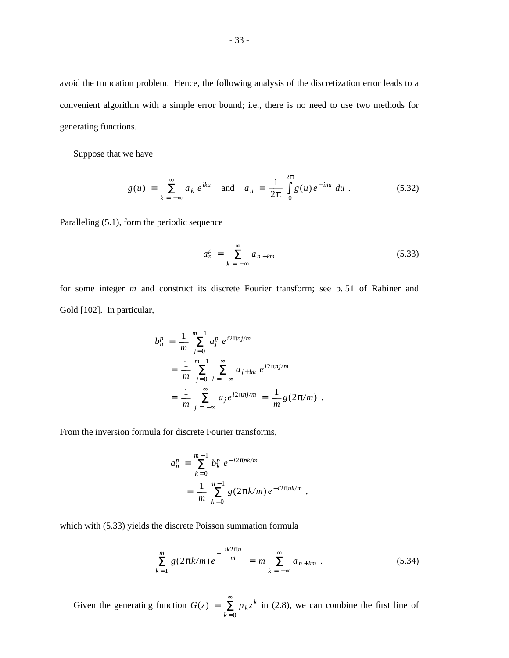avoid the truncation problem. Hence, the following analysis of the discretization error leads to a convenient algorithm with a simple error bound; i.e., there is no need to use two methods for generating functions.

Suppose that we have

$$
g(u) = \sum_{k=-\infty}^{\infty} a_k e^{iku} \text{ and } a_n = \frac{1}{2\pi} \int_{0}^{2\pi} g(u) e^{-inu} du.
$$
 (5.32)

Paralleling (5.1), form the periodic sequence

$$
a_n^p = \sum_{k=-\infty}^{\infty} a_{n+km} \tag{5.33}
$$

for some integer *m* and construct its discrete Fourier transform; see p. 51 of Rabiner and Gold [102]. In particular,

$$
b_n^p = \frac{1}{m} \sum_{j=0}^{m-1} a_j^p e^{i2\pi n j/m}
$$
  
= 
$$
\frac{1}{m} \sum_{j=0}^{m-1} \sum_{l=-\infty}^{\infty} a_{j+lm} e^{i2\pi n j/m}
$$
  
= 
$$
\frac{1}{m} \sum_{j=-\infty}^{\infty} a_j e^{i2\pi n j/m} = \frac{1}{m} g(2\pi/m).
$$

From the inversion formula for discrete Fourier transforms,

$$
a_n^p = \sum_{k=0}^{m-1} b_k^p e^{-i2\pi n k/m}
$$
  
= 
$$
\frac{1}{m} \sum_{k=0}^{m-1} g(2\pi k/m) e^{-i2\pi n k/m}
$$

which with (5.33) yields the discrete Poisson summation formula

$$
\sum_{k=1}^{m} g(2\pi k/m) e^{-\frac{ik2\pi n}{m}} = m \sum_{k=-\infty}^{\infty} a_{n+km} .
$$
 (5.34)

,

Given the generating function  $G(z)$  =  $\sum_{k=0}^{\infty}$  $p_k z^k$  in (2.8), we can combine the first line of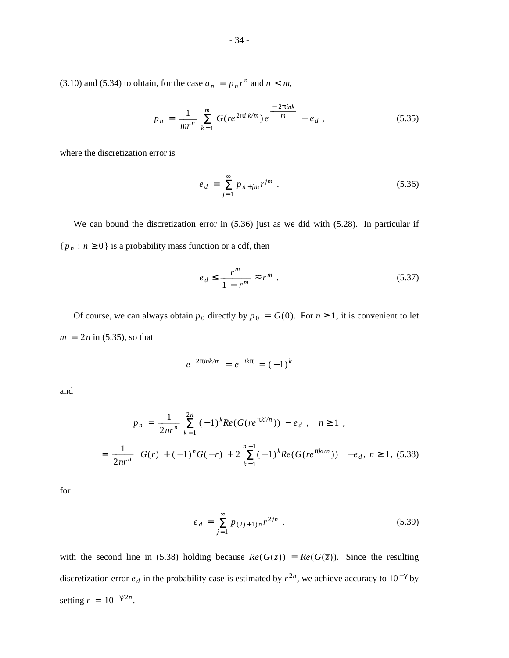(3.10) and (5.34) to obtain, for the case  $a_n = p_n r^n$  and  $n < m$ ,

$$
p_n = \frac{1}{mr^n} \sum_{k=1}^m G(re^{2\pi i k/m}) e^{\frac{-2\pi ink}{m}} - e_d , \qquad (5.35)
$$

where the discretization error is

$$
e_d = \sum_{j=1}^{\infty} p_{n+jm} r^{jm} \tag{5.36}
$$

We can bound the discretization error in (5.36) just as we did with (5.28). In particular if  ${p<sub>n</sub> : n \ge 0}$  is a probability mass function or a cdf, then

$$
e_d \le \frac{r^m}{1 - r^m} \approx r^m \tag{5.37}
$$

Of course, we can always obtain  $p_0$  directly by  $p_0 = G(0)$ . For  $n \ge 1$ , it is convenient to let  $m = 2n$  in (5.35), so that

$$
e^{-2\pi i n k/m} = e^{-ik\pi} = (-1)^k
$$

and

$$
p_n = \frac{1}{2nr^n} \sum_{k=1}^{2n} (-1)^k Re(G(re^{\pi k i/n})) - e_d , \quad n \ge 1 ,
$$
  
= 
$$
\frac{1}{2nr^n} \left\{ G(r) + (-1)^n G(-r) + 2 \sum_{k=1}^{n-1} (-1)^k Re(G(re^{\pi k i/n})) \right\} - e_d, n \ge 1, (5.38)
$$

for

$$
e_d = \sum_{j=1}^{\infty} p_{(2j+1)n} r^{2jn} . \tag{5.39}
$$

with the second line in (5.38) holding because  $Re(G(z)) = Re(G(\overline{z}))$ . Since the resulting discretization error  $e_d$  in the probability case is estimated by  $r^{2n}$ , we achieve accuracy to  $10^{-\gamma}$  by setting  $r = 10^{-\gamma/2n}$ .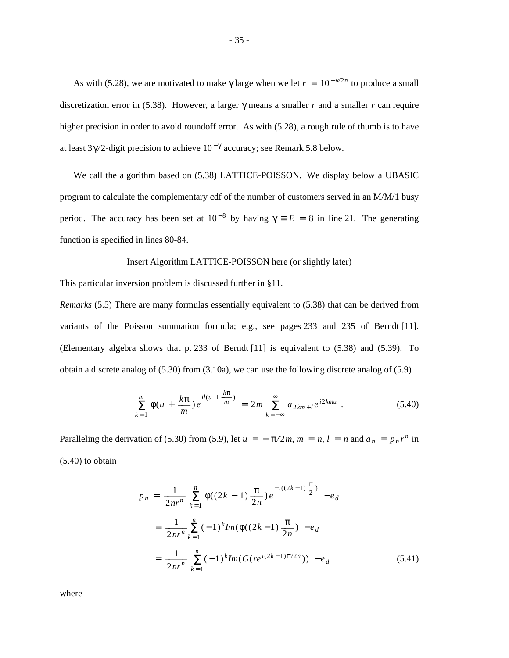As with (5.28), we are motivated to make  $\gamma$  large when we let  $r = 10^{-\gamma/2n}$  to produce a small discretization error in (5.38). However, a larger γ means a smaller *r* and a smaller *r* can require higher precision in order to avoid roundoff error. As with (5.28), a rough rule of thumb is to have at least  $3\gamma/2$ -digit precision to achieve  $10^{-\gamma}$  accuracy; see Remark 5.8 below.

We call the algorithm based on (5.38) LATTICE-POISSON. We display below a UBASIC program to calculate the complementary cdf of the number of customers served in an M/M/1 busy period. The accuracy has been set at  $10^{-8}$  by having  $\gamma = E = 8$  in line 21. The generating function is specified in lines 80-84.

## Insert Algorithm LATTICE-POISSON here (or slightly later)

This particular inversion problem is discussed further in §11.

*Remarks* (5.5) There are many formulas essentially equivalent to (5.38) that can be derived from variants of the Poisson summation formula; e.g., see pages 233 and 235 of Berndt [11]. (Elementary algebra shows that p. 233 of Berndt [11] is equivalent to (5.38) and (5.39). To obtain a discrete analog of (5.30) from (3.10a), we can use the following discrete analog of (5.9)

$$
\sum_{k=1}^{m} \phi(u + \frac{k\pi}{m}) e^{il(u + \frac{k\pi}{m})} = 2m \sum_{k=-\infty}^{\infty} a_{2km+l} e^{i2kmu} \ . \tag{5.40}
$$

Paralleling the derivation of (5.30) from (5.9), let  $u = -\pi/2m$ ,  $m = n$ ,  $l = n$  and  $a_n = p_n r^n$  in (5.40) to obtain

$$
p_n = \frac{1}{2nr^n} \sum_{k=1}^n \phi((2k-1)\frac{\pi}{2n})e^{-i((2k-1)\frac{\pi}{2})} - e_d
$$
  

$$
= \frac{1}{2nr^n} \sum_{k=1}^n (-1)^k Im(\phi((2k-1)\frac{\pi}{2n}) - e_d
$$
  

$$
= \frac{1}{2nr^n} \sum_{k=1}^n (-1)^k Im(G(re^{i(2k-1)\pi/2n})) - e_d
$$
(5.41)

where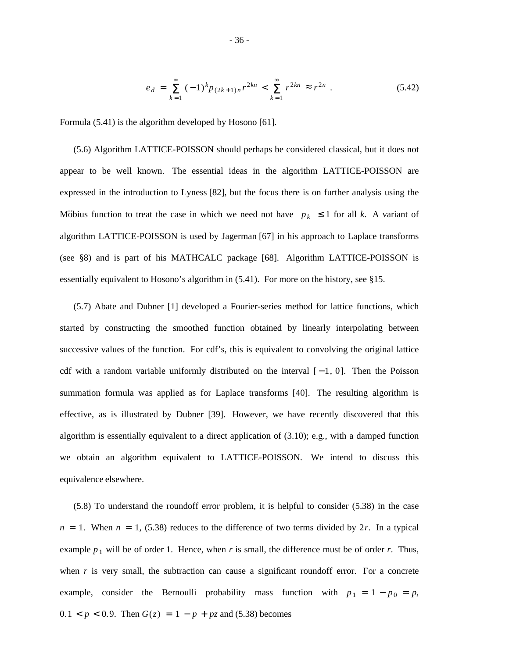$$
e_d = \sum_{k=1}^{\infty} (-1)^k p_{(2k+1)n} r^{2kn} < \sum_{k=1}^{\infty} r^{2kn} \approx r^{2n} \tag{5.42}
$$

Formula (5.41) is the algorithm developed by Hosono [61].

(5.6) Algorithm LATTICE-POISSON should perhaps be considered classical, but it does not appear to be well known. The essential ideas in the algorithm LATTICE-POISSON are expressed in the introduction to Lyness [82], but the focus there is on further analysis using the Möbius function to treat the case in which we need not have  $|p_k| \le 1$  for all *k*. A variant of algorithm LATTICE-POISSON is used by Jagerman [67] in his approach to Laplace transforms (see §8) and is part of his MATHCALC package [68]. Algorithm LATTICE-POISSON is essentially equivalent to Hosono's algorithm in (5.41). For more on the history, see §15.

(5.7) Abate and Dubner [1] developed a Fourier-series method for lattice functions, which started by constructing the smoothed function obtained by linearly interpolating between successive values of the function. For cdf's, this is equivalent to convolving the original lattice cdf with a random variable uniformly distributed on the interval  $[-1, 0]$ . Then the Poisson summation formula was applied as for Laplace transforms [40]. The resulting algorithm is effective, as is illustrated by Dubner [39]. However, we have recently discovered that this algorithm is essentially equivalent to a direct application of (3.10); e.g., with a damped function we obtain an algorithm equivalent to LATTICE-POISSON. We intend to discuss this equivalence elsewhere.

(5.8) To understand the roundoff error problem, it is helpful to consider (5.38) in the case  $n = 1$ . When  $n = 1$ , (5.38) reduces to the difference of two terms divided by 2*r*. In a typical example  $p_1$  will be of order 1. Hence, when *r* is small, the difference must be of order *r*. Thus, when  $r$  is very small, the subtraction can cause a significant roundoff error. For a concrete example, consider the Bernoulli probability mass function with  $p_1 = 1 - p_0 = p$ , 0.1 <  $p$  < 0.9. Then  $G(z) = 1 - p + pz$  and (5.38) becomes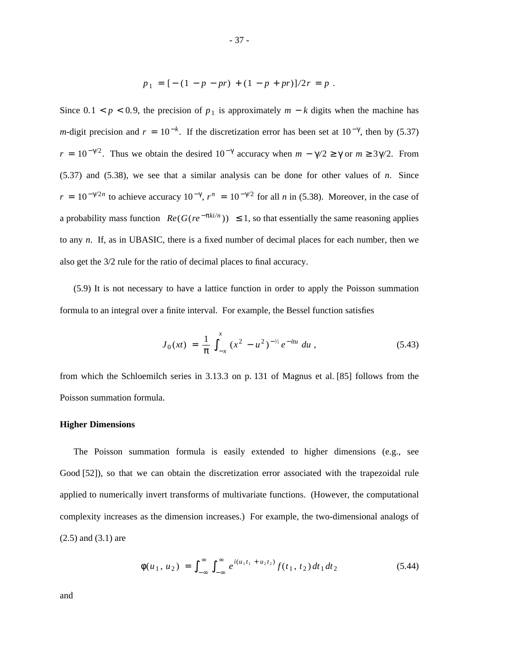$$
p_1 = [-(1-p-pr) + (1-p+pr)]/2r = p.
$$

Since  $0.1 < p < 0.9$ , the precision of  $p_1$  is approximately  $m - k$  digits when the machine has *m*-digit precision and  $r = 10^{-k}$ . If the discretization error has been set at  $10^{-\gamma}$ , then by (5.37)  $r = 10^{-\gamma/2}$ . Thus we obtain the desired  $10^{-\gamma}$  accuracy when  $m - \gamma/2 \ge \gamma$  or  $m \ge 3\gamma/2$ . From (5.37) and (5.38), we see that a similar analysis can be done for other values of *n*. Since  $r = 10^{-\gamma/2n}$  to achieve accuracy  $10^{-\gamma}$ ,  $r^n = 10^{-\gamma/2}$  for all *n* in (5.38). Moreover, in the case of a probability mass function  $|Re(G(re^{-\pi k i/n}))| \leq 1$ , so that essentially the same reasoning applies to any *n*. If, as in UBASIC, there is a fixed number of decimal places for each number, then we also get the 3/2 rule for the ratio of decimal places to final accuracy.

(5.9) It is not necessary to have a lattice function in order to apply the Poisson summation formula to an integral over a finite interval. For example, the Bessel function satisfies

$$
J_0(xt) = \frac{1}{\pi} \int_{-x}^{x} (x^2 - u^2)^{-1/2} e^{-itu} du,
$$
 (5.43)

from which the Schloemilch series in 3.13.3 on p. 131 of Magnus et al. [85] follows from the Poisson summation formula.

# **Higher Dimensions**

The Poisson summation formula is easily extended to higher dimensions (e.g., see Good [52]), so that we can obtain the discretization error associated with the trapezoidal rule applied to numerically invert transforms of multivariate functions. (However, the computational complexity increases as the dimension increases.) For example, the two-dimensional analogs of (2.5) and (3.1) are

$$
\phi(u_1, u_2) = \int_{-\infty}^{\infty} \int_{-\infty}^{\infty} e^{i(u_1 t_1 + u_2 t_2)} f(t_1, t_2) dt_1 dt_2
$$
\n(5.44)

and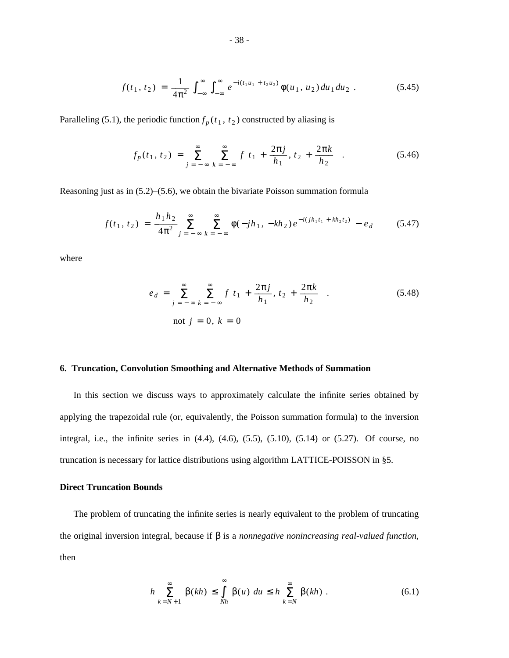$$
f(t_1, t_2) = \frac{1}{4\pi^2} \int_{-\infty}^{\infty} \int_{-\infty}^{\infty} e^{-i(t_1 u_1 + t_2 u_2)} \phi(u_1, u_2) du_1 du_2.
$$
 (5.45)

Paralleling (5.1), the periodic function  $f_p(t_1, t_2)$  constructed by aliasing is

$$
f_p(t_1, t_2) = \sum_{j=-\infty}^{\infty} \sum_{k=-\infty}^{\infty} f\left[t_1 + \frac{2\pi j}{h_1}, t_2 + \frac{2\pi k}{h_2}\right].
$$
 (5.46)

Reasoning just as in (5.2)–(5.6), we obtain the bivariate Poisson summation formula

$$
f(t_1, t_2) = \frac{h_1 h_2}{4\pi^2} \sum_{j=-\infty}^{\infty} \sum_{k=-\infty}^{\infty} \phi(-jh_1, -kh_2) e^{-i(jh_1 t_1 + kh_2 t_2)} - e_d \qquad (5.47)
$$

where

$$
e_d = \sum_{j=-\infty}^{\infty} \sum_{k=-\infty}^{\infty} f\left[t_1 + \frac{2\pi j}{h_1}, t_2 + \frac{2\pi k}{h_2}\right].
$$
 (5.48)  
not  $j = 0, k = 0$ 

#### **6. Truncation, Convolution Smoothing and Alternative Methods of Summation**

In this section we discuss ways to approximately calculate the infinite series obtained by applying the trapezoidal rule (or, equivalently, the Poisson summation formula) to the inversion integral, i.e., the infinite series in (4.4), (4.6), (5.5), (5.10), (5.14) or (5.27). Of course, no truncation is necessary for lattice distributions using algorithm LATTICE-POISSON in §5.

## **Direct Truncation Bounds**

The problem of truncating the infinite series is nearly equivalent to the problem of truncating the original inversion integral, because if β is a *nonnegative nonincreasing real-valued function*, then

$$
h \sum_{k=N+1}^{\infty} \beta(kh) \leq \int_{Nh}^{\infty} \beta(u) \ du \leq h \sum_{k=N}^{\infty} \beta(kh) . \tag{6.1}
$$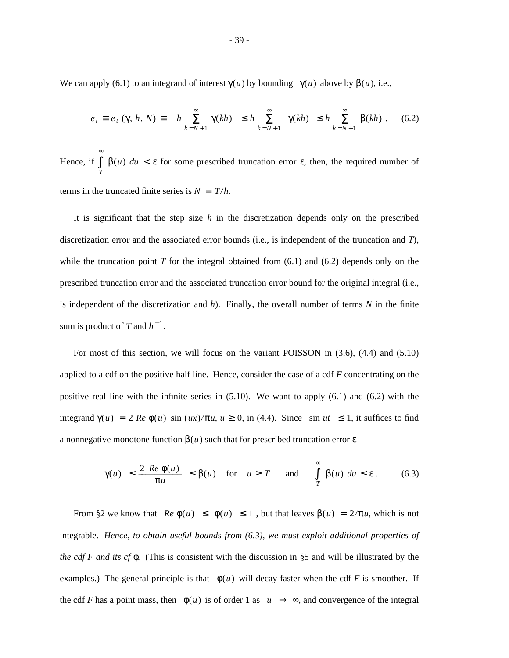We can apply (6.1) to an integrand of interest  $\gamma(u)$  by bounding  $|\gamma(u)|$  above by  $\beta(u)$ , i.e.,

$$
e_t \equiv e_t \, (\gamma, \, h, \, N) \equiv \left\| h \sum_{k=N+1}^{\infty} \gamma(kh) \right\| \leq h \sum_{k=N+1}^{\infty} |\gamma(kh)| \leq h \sum_{k=N+1}^{\infty} \beta(kh) \, . \tag{6.2}
$$

Hence, if **J** *T* ∾  $β(u) du < ε$  for some prescribed truncation error ε, then, the required number of terms in the truncated finite series is  $N = T/h$ .

It is significant that the step size *h* in the discretization depends only on the prescribed discretization error and the associated error bounds (i.e., is independent of the truncation and *T*), while the truncation point  $T$  for the integral obtained from  $(6.1)$  and  $(6.2)$  depends only on the prescribed truncation error and the associated truncation error bound for the original integral (i.e., is independent of the discretization and *h*). Finally, the overall number of terms *N* in the finite sum is product of *T* and  $h^{-1}$ .

For most of this section, we will focus on the variant POISSON in (3.6), (4.4) and (5.10) applied to a cdf on the positive half line. Hence, consider the case of a cdf *F* concentrating on the positive real line with the infinite series in  $(5.10)$ . We want to apply  $(6.1)$  and  $(6.2)$  with the integrand  $\gamma(u) = 2 \text{ Re } \phi(u) \sin (ux)/\pi u, u \ge 0$ , in (4.4). Since  $|\sin ut| \le 1$ , it suffices to find a nonnegative monotone function  $\beta(u)$  such that for prescribed truncation error  $\varepsilon$ 

$$
|\gamma(u)| \le \frac{2|Re \phi(u)|}{\pi u} \le \beta(u) \quad \text{for} \quad u \ge T \quad \text{and} \quad \int_{T}^{\infty} \beta(u) \, du \le \varepsilon \,. \tag{6.3}
$$

From §2 we know that  $|Re \phi(u)| \leq |\phi(u)| \leq 1$ , but that leaves  $\beta(u) = 2/\pi u$ , which is not integrable. *Hence, to obtain useful bounds from (6.3), we must exploit additional properties of the cdf F and its cf* φ*.* (This is consistent with the discussion in §5 and will be illustrated by the examples.) The general principle is that  $|\phi(u)|$  will decay faster when the cdf *F* is smoother. If the cdf *F* has a point mass, then  $|\phi(u)|$  is of order 1 as  $|u| \to \infty$ , and convergence of the integral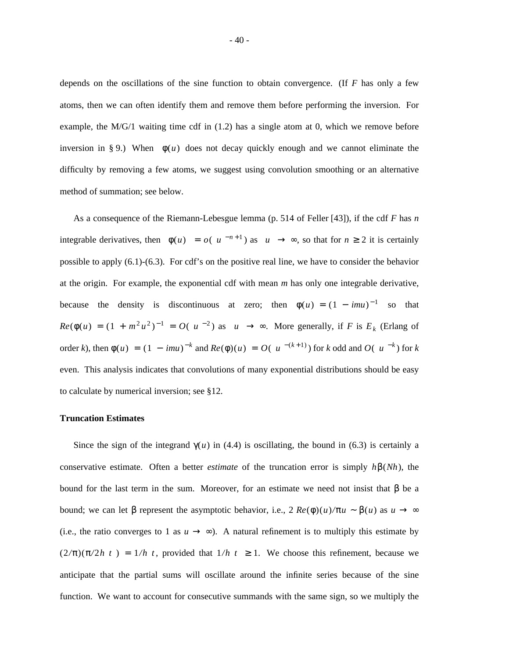depends on the oscillations of the sine function to obtain convergence. (If *F* has only a few atoms, then we can often identify them and remove them before performing the inversion. For example, the  $M/G/1$  waiting time cdf in  $(1.2)$  has a single atom at 0, which we remove before inversion in § 9.) When  $|\phi(u)|$  does not decay quickly enough and we cannot eliminate the difficulty by removing a few atoms, we suggest using convolution smoothing or an alternative method of summation; see below.

As a consequence of the Riemann-Lebesgue lemma (p. 514 of Feller [43]), if the cdf *F* has *n* integrable derivatives, then  $|\phi(u)| = o(|u|^{-n+1})$  as  $|u| \to \infty$ , so that for  $n \ge 2$  it is certainly possible to apply (6.1)-(6.3). For cdf's on the positive real line, we have to consider the behavior at the origin. For example, the exponential cdf with mean *m* has only one integrable derivative, because the density is discontinuous at zero; then  $\phi(u) = (1 - imu)^{-1}$  so that  $Re(\phi(u) = (1 + m^2 u^2)^{-1} = O(|u|^{-2})$  as  $|u| \rightarrow \infty$ . More generally, if *F* is  $E_k$  (Erlang of order *k*), then  $\phi(u) = (1 - imu)^{-k}$  and  $Re(\phi)(u) = O(|u|^{-(k+1)})$  for *k* odd and  $O(|u|^{-k})$  for *k* even. This analysis indicates that convolutions of many exponential distributions should be easy to calculate by numerical inversion; see §12.

### **Truncation Estimates**

Since the sign of the integrand  $\gamma(u)$  in (4.4) is oscillating, the bound in (6.3) is certainly a conservative estimate. Often a better *estimate* of the truncation error is simply *h*β(*Nh*), the bound for the last term in the sum. Moreover, for an estimate we need not insist that β be a bound; we can let β represent the asymptotic behavior, i.e.,  $2 Re(\phi)(u)/\pi u \sim \beta(u)$  as  $u \to \infty$ (i.e., the ratio converges to 1 as  $u \rightarrow \infty$ ). A natural refinement is to multiply this estimate by  $(2/\pi)(\pi/2h|t|) = 1/h|t|$  provided that  $1/h|t| \ge 1$ . We choose this refinement, because we anticipate that the partial sums will oscillate around the infinite series because of the sine function. We want to account for consecutive summands with the same sign, so we multiply the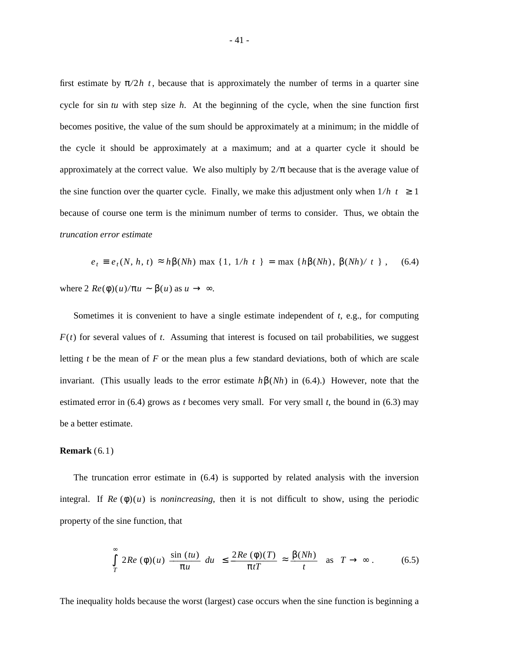first estimate by  $\pi/2h|t|$  because that is approximately the number of terms in a quarter sine cycle for sin *tu* with step size *h*. At the beginning of the cycle, when the sine function first becomes positive, the value of the sum should be approximately at a minimum; in the middle of the cycle it should be approximately at a maximum; and at a quarter cycle it should be approximately at the correct value. We also multiply by 2*/*π because that is the average value of the sine function over the quarter cycle. Finally, we make this adjustment only when  $1/h|t| \ge 1$ because of course one term is the minimum number of terms to consider. Thus, we obtain the *truncation error estimate*

$$
e_t \equiv e_t(N, h, t) \approx h\beta(Nh) \text{ max } \{1, 1/h|t|\} = \max \{h\beta(Nh), \beta(Nh)/|t|\},
$$
 (6.4)

where  $2 \text{ } \text{Re}(\phi)(u)/\pi u \sim \beta(u)$  as  $u \to \infty$ .

Sometimes it is convenient to have a single estimate independent of *t*, e.g., for computing  $F(t)$  for several values of *t*. Assuming that interest is focused on tail probabilities, we suggest letting *t* be the mean of *F* or the mean plus a few standard deviations, both of which are scale invariant. (This usually leads to the error estimate *h*β(*Nh*) in (6.4).) However, note that the estimated error in (6.4) grows as *t* becomes very small. For very small *t*, the bound in (6.3) may be a better estimate.

## **Remark** (6.1)

The truncation error estimate in (6.4) is supported by related analysis with the inversion integral. If  $Re(\phi)(u)$  is *nonincreasing*, then it is not difficult to show, using the periodic property of the sine function, that

$$
\left| \int_{T}^{\infty} 2Re\left(\phi\right)(u) \frac{\sin\left(tu\right)}{\pi u} du \right| \leq \frac{2Re\left(\phi\right)(T)}{\pi t} \approx \frac{\beta(Nh)}{t} \text{ as } T \to \infty. \tag{6.5}
$$

The inequality holds because the worst (largest) case occurs when the sine function is beginning a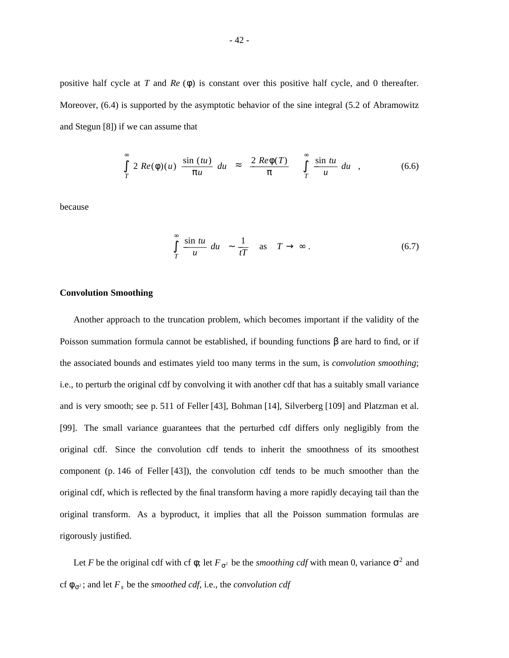positive half cycle at *T* and *Re* (φ) is constant over this positive half cycle, and 0 thereafter. Moreover, (6.4) is supported by the asymptotic behavior of the sine integral (5.2 of Abramowitz and Stegun [8]) if we can assume that

$$
\left|\int_{T}^{\infty} 2 \ Re(\phi)(u) \ \frac{\sin(tu)}{\pi u} \ du\right| \approx \left|\frac{2 \ Re(\phi(T))}{\pi}\right| \left|\int_{T}^{\infty} \frac{\sin tu}{u} \ du\right|, \tag{6.6}
$$

because

$$
\left| \int_{T}^{\infty} \frac{\sin tu}{u} \, du \right| \sim \frac{1}{tT} \quad \text{as} \quad T \to \infty \, . \tag{6.7}
$$

# **Convolution Smoothing**

Another approach to the truncation problem, which becomes important if the validity of the Poisson summation formula cannot be established, if bounding functions β are hard to find, or if the associated bounds and estimates yield too many terms in the sum, is *convolution smoothing*; i.e., to perturb the original cdf by convolving it with another cdf that has a suitably small variance and is very smooth; see p. 511 of Feller [43], Bohman [14], Silverberg [109] and Platzman et al. [99]. The small variance guarantees that the perturbed cdf differs only negligibly from the original cdf. Since the convolution cdf tends to inherit the smoothness of its smoothest component (p. 146 of Feller [43]), the convolution cdf tends to be much smoother than the original cdf, which is reflected by the final transform having a more rapidly decaying tail than the original transform. As a byproduct, it implies that all the Poisson summation formulas are rigorously justified.

Let *F* be the original cdf with cf  $\phi$ ; let  $F_{\sigma^2}$  be the *smoothing cdf* with mean 0, variance  $\sigma^2$  and cf  $\phi_{\sigma^2}$ ; and let  $F_s$  be the *smoothed cdf*, i.e., the *convolution cdf*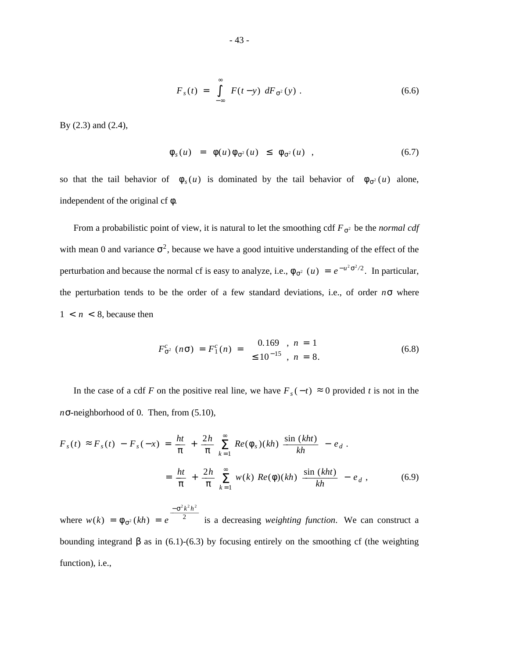$$
F_s(t) = \int_{-\infty}^{\infty} F(t-y) dF_{\sigma^2}(y) .
$$
 (6.6)

By (2.3) and (2.4),

$$
\left| \phi_s(u) \right| = \left| \phi(u)\phi_{\sigma^2}(u) \right| \le \left| \phi_{\sigma^2}(u) \right| , \tag{6.7}
$$

so that the tail behavior of  $|\phi_s(u)|$  is dominated by the tail behavior of  $|\phi_{\sigma^2}(u)|$  alone, independent of the original cf φ.

From a probabilistic point of view, it is natural to let the smoothing cdf  $F_{\sigma^2}$  be the *normal cdf* with mean 0 and variance  $\sigma^2$ , because we have a good intuitive understanding of the effect of the perturbation and because the normal cf is easy to analyze, i.e.,  $\phi_{\sigma^2}(u) = e^{-u^2 \sigma^2/2}$ . In particular, the perturbation tends to be the order of a few standard deviations, i.e., of order *n*σ where  $1 < n < 8$ , because then

$$
F_{\sigma^2}^c (n\sigma) = F_1^c(n) = \begin{cases} 0.169 & , n = 1 \\ \leq 10^{-15} & , n = 8. \end{cases}
$$
 (6.8)

In the case of a cdf *F* on the positive real line, we have  $F_s(-t) \approx 0$  provided *t* is not in the *n*σ-neighborhood of 0. Then, from (5.10),

$$
F_s(t) \approx F_s(t) - F_s(-x) = \frac{ht}{\pi} + \frac{2h}{\pi} \sum_{k=1}^{\infty} Re(\phi_s)(kh) \frac{\sin (kht)}{kh} - e_d.
$$
  

$$
= \frac{ht}{\pi} + \frac{2h}{\pi} \sum_{k=1}^{\infty} w(k) Re(\phi)(kh) \frac{\sin (kht)}{kh} - e_d,
$$
 (6.9)

where  $w(k) = \phi_{\sigma^2}(kh) = e^{-2}$  $-\sigma^2 k^2 h^2$ is a decreasing *weighting function*. We can construct a bounding integrand β as in (6.1)-(6.3) by focusing entirely on the smoothing cf (the weighting function), i.e.,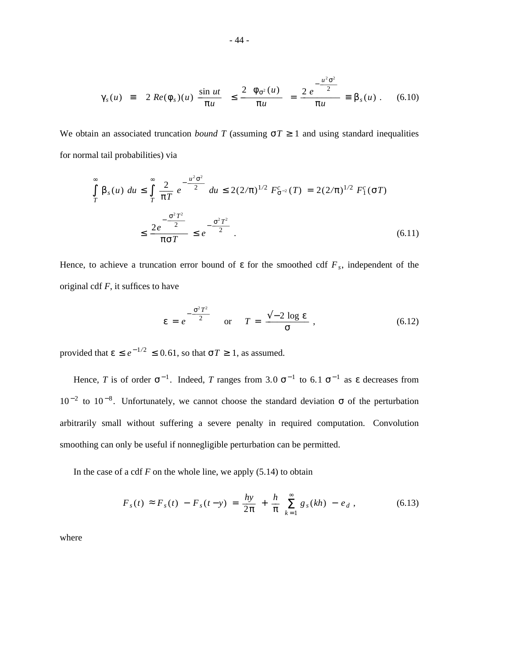$$
|\gamma_s(u)| \equiv \left| 2 \ Re(\phi_s)(u) \ \frac{\sin ut}{\pi u} \right| \le \frac{2 \ |\phi_{\sigma^2}(u)|}{\pi u} \ = \frac{2 \ e^{-\frac{u^2 \sigma^2}{2}}}{\pi u} \equiv \beta_s(u) \ . \tag{6.10}
$$

We obtain an associated truncation *bound T* (assuming  $\sigma T \ge 1$  and using standard inequalities for normal tail probabilities) via

$$
\int_{T}^{\infty} \beta_{s}(u) du \le \int_{T}^{\infty} \frac{2}{\pi T} e^{-\frac{u^{2} \sigma^{2}}{2}} du \le 2(2/\pi)^{1/2} F_{\sigma^{-2}}^{c}(T) = 2(2/\pi)^{1/2} F_{1}^{c}(\sigma T)
$$
  

$$
\le \frac{2e^{-\frac{\sigma^{2} T^{2}}{2}}}{\pi \sigma T} \le e^{-\frac{\sigma^{2} T^{2}}{2}}.
$$
 (6.11)

Hence, to achieve a truncation error bound of  $\varepsilon$  for the smoothed cdf  $F_s$ , independent of the original cdf *F*, it suffices to have

$$
\varepsilon = e^{-\frac{\sigma^2 T^2}{2}} \quad \text{or} \quad T = \frac{\sqrt{-2 \log \varepsilon}}{\sigma}, \tag{6.12}
$$

provided that  $\epsilon \le e^{-1/2} \le 0.61$ , so that  $\sigma T \ge 1$ , as assumed.

Hence, *T* is of order  $\sigma^{-1}$ . Indeed, *T* ranges from 3.0  $\sigma^{-1}$  to 6.1  $\sigma^{-1}$  as  $\varepsilon$  decreases from  $10^{-2}$  to  $10^{-8}$ . Unfortunately, we cannot choose the standard deviation σ of the perturbation arbitrarily small without suffering a severe penalty in required computation. Convolution smoothing can only be useful if nonnegligible perturbation can be permitted.

In the case of a cdf  $F$  on the whole line, we apply  $(5.14)$  to obtain

$$
F_s(t) \approx F_s(t) - F_s(t-y) = \frac{hy}{2\pi} + \frac{h}{\pi} \sum_{k=1}^{\infty} g_s(kh) - e_d , \qquad (6.13)
$$

where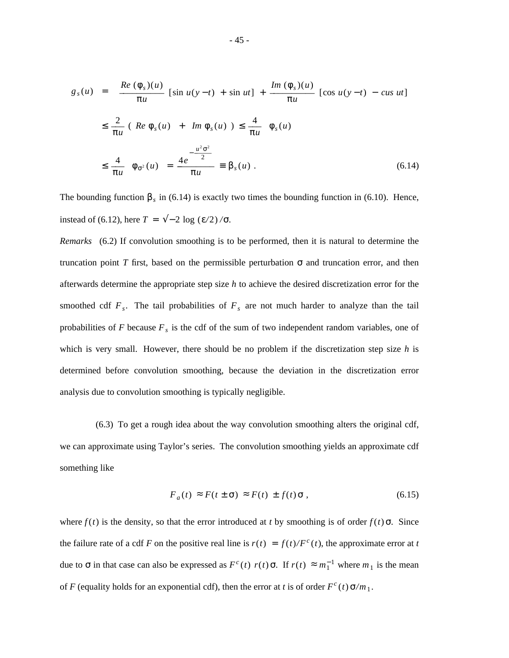$$
|g_s(u)| = \left| \frac{Re(\phi_s)(u)}{\pi u} \left[ \sin u(y - t) + \sin ut \right] + \frac{Im(\phi_s)(u)}{\pi u} \left[ \cos u(y - t) - \cos ut \right] \right|
$$
  

$$
\leq \frac{2}{\pi u} \left( |Re \phi_s(u)| + |Im \phi_s(u)| \right) \leq \frac{4}{\pi u} |\phi_s(u)|
$$
  

$$
\leq \frac{4}{\pi u} |\phi_{\sigma^2}(u)| = \frac{4e^{-\frac{u^2 \sigma^2}{2}}}{\pi u} \equiv \beta_s(u) . \tag{6.14}
$$

The bounding function  $\beta_s$  in (6.14) is exactly two times the bounding function in (6.10). Hence, instead of (6.12), here  $T = \sqrt{-2 \log (E/2)} / \sigma$ .

*Remarks* (6.2) If convolution smoothing is to be performed, then it is natural to determine the truncation point *T* first, based on the permissible perturbation σ and truncation error, and then afterwards determine the appropriate step size *h* to achieve the desired discretization error for the smoothed cdf  $F_s$ . The tail probabilities of  $F_s$  are not much harder to analyze than the tail probabilities of *F* because *F<sup>s</sup>* is the cdf of the sum of two independent random variables, one of which is very small. However, there should be no problem if the discretization step size *h* is determined before convolution smoothing, because the deviation in the discretization error analysis due to convolution smoothing is typically negligible.

(6.3) To get a rough idea about the way convolution smoothing alters the original cdf, we can approximate using Taylor's series. The convolution smoothing yields an approximate cdf something like

$$
F_a(t) \approx F(t \pm \sigma) \approx F(t) \pm f(t) \sigma , \qquad (6.15)
$$

where  $f(t)$  is the density, so that the error introduced at *t* by smoothing is of order  $f(t)$   $\sigma$ . Since the failure rate of a cdf *F* on the positive real line is  $r(t) = f(t)/F^c(t)$ , the approximate error at *t* due to σ in that case can also be expressed as  $F^c(t) r(t)$  σ. If  $r(t) ≈ m_1^{-1}$  where  $m_1$  is the mean of *F* (equality holds for an exponential cdf), then the error at *t* is of order  $F^c(t) \sigma/m_1$ .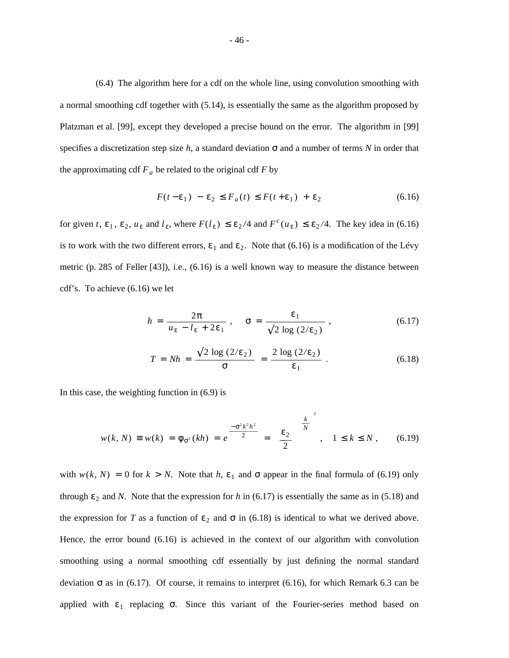(6.4) The algorithm here for a cdf on the whole line, using convolution smoothing with a normal smoothing cdf together with (5.14), is essentially the same as the algorithm proposed by Platzman et al. [99], except they developed a precise bound on the error. The algorithm in [99] specifies a discretization step size  $h$ , a standard deviation  $\sigma$  and a number of terms  $N$  in order that the approximating cdf  $F_a$  be related to the original cdf  $F$  by

$$
F(t - \varepsilon_1) - \varepsilon_2 \le F_a(t) \le F(t + \varepsilon_1) + \varepsilon_2 \tag{6.16}
$$

for given *t*,  $\varepsilon_1$ ,  $\varepsilon_2$ ,  $u_{\varepsilon}$  and  $l_{\varepsilon}$ , where  $F(l_{\varepsilon}) \leq \varepsilon_2/4$  and  $F^c(u_{\varepsilon}) \leq \varepsilon_2/4$ . The key idea in (6.16) is to work with the two different errors,  $\varepsilon_1$  and  $\varepsilon_2$ . Note that (6.16) is a modification of the Lévy metric (p. 285 of Feller [43]), i.e., (6.16) is a well known way to measure the distance between cdf's. To achieve (6.16) we let

$$
h = \frac{2\pi}{u_{\varepsilon} - l_{\varepsilon} + 2\varepsilon_1}, \quad \sigma = \frac{\varepsilon_1}{\sqrt{2 \log(2/\varepsilon_2)}},
$$
(6.17)

$$
T = Nh = \frac{\sqrt{2 \log (2/\epsilon_2)}}{\sigma} = \frac{2 \log (2/\epsilon_2)}{\epsilon_1} \tag{6.18}
$$

In this case, the weighting function in (6.9) is

$$
w(k, N) \equiv w(k) = \phi_{\sigma^2}(kh) = e^{\frac{-\sigma^2 k^2 h^2}{2}} = \left[\frac{\varepsilon_2}{2}\right]^{\left[\frac{k}{N}\right]^2}, \quad 1 \le k \le N, \quad (6.19)
$$

with  $w(k, N) = 0$  for  $k > N$ . Note that  $h, \varepsilon_1$  and  $\sigma$  appear in the final formula of (6.19) only through  $\varepsilon_2$  and *N*. Note that the expression for *h* in (6.17) is essentially the same as in (5.18) and the expression for *T* as a function of  $\varepsilon_2$  and  $\sigma$  in (6.18) is identical to what we derived above. Hence, the error bound (6.16) is achieved in the context of our algorithm with convolution smoothing using a normal smoothing cdf essentially by just defining the normal standard deviation σ as in (6.17). Of course, it remains to interpret (6.16), for which Remark 6.3 can be applied with  $\varepsilon_1$  replacing  $\sigma$ . Since this variant of the Fourier-series method based on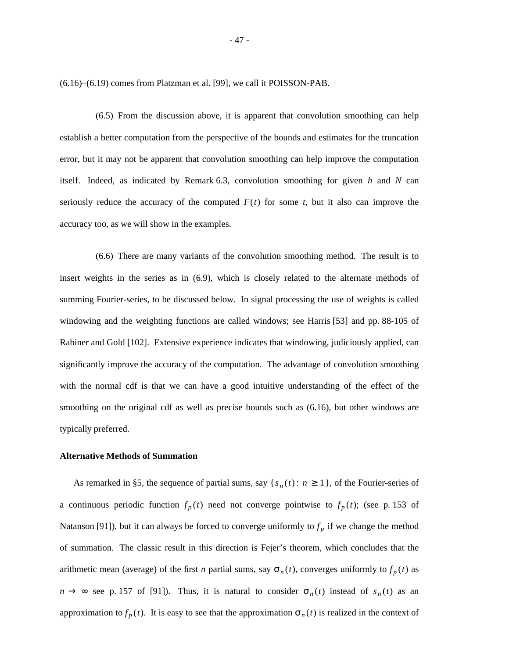(6.16)–(6.19) comes from Platzman et al. [99], we call it POISSON-PAB.

(6.5) From the discussion above, it is apparent that convolution smoothing can help establish a better computation from the perspective of the bounds and estimates for the truncation error, but it may not be apparent that convolution smoothing can help improve the computation itself. Indeed, as indicated by Remark 6.3, convolution smoothing for given *h* and *N* can seriously reduce the accuracy of the computed  $F(t)$  for some  $t$ , but it also can improve the accuracy too, as we will show in the examples.

(6.6) There are many variants of the convolution smoothing method. The result is to insert weights in the series as in (6.9), which is closely related to the alternate methods of summing Fourier-series, to be discussed below. In signal processing the use of weights is called windowing and the weighting functions are called windows; see Harris [53] and pp. 88-105 of Rabiner and Gold [102]. Extensive experience indicates that windowing, judiciously applied, can significantly improve the accuracy of the computation. The advantage of convolution smoothing with the normal cdf is that we can have a good intuitive understanding of the effect of the smoothing on the original cdf as well as precise bounds such as  $(6.16)$ , but other windows are typically preferred.

#### **Alternative Methods of Summation**

As remarked in §5, the sequence of partial sums, say { $s_n(t)$  :  $n \ge 1$ }, of the Fourier-series of a continuous periodic function  $f_p(t)$  need not converge pointwise to  $f_p(t)$ ; (see p. 153 of Natanson [91]), but it can always be forced to converge uniformly to  $f_p$  if we change the method of summation. The classic result in this direction is Fejer's theorem, which concludes that the arithmetic mean (average) of the first *n* partial sums, say  $\sigma_n(t)$ , converges uniformly to  $f_p(t)$  as  $n \to \infty$  see p. 157 of [91]). Thus, it is natural to consider  $\sigma_n(t)$  instead of  $s_n(t)$  as an approximation to  $f_p(t)$ . It is easy to see that the approximation  $\sigma_n(t)$  is realized in the context of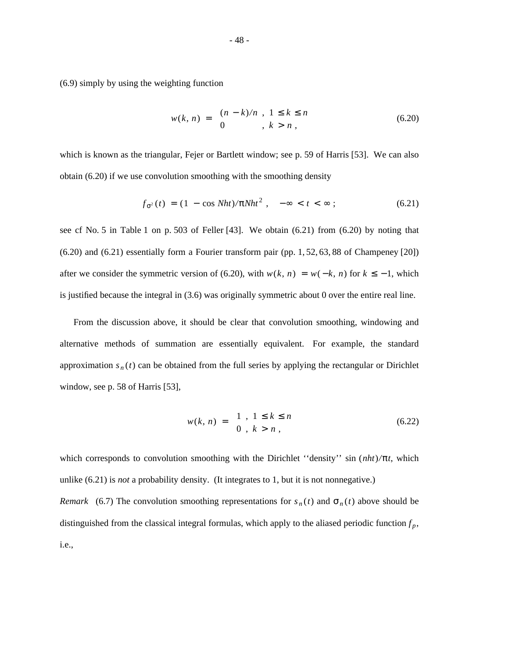(6.9) simply by using the weighting function

$$
w(k, n) = \begin{cases} (n - k)/n, & 1 \le k \le n \\ 0, & k > n, \end{cases}
$$
 (6.20)

which is known as the triangular, Fejer or Bartlett window; see p. 59 of Harris [53]. We can also obtain (6.20) if we use convolution smoothing with the smoothing density

$$
f_{\sigma^2}(t) = (1 - \cos Nht)/\pi Nht^2, \quad -\infty < t < \infty \tag{6.21}
$$

see cf No. 5 in Table 1 on p. 503 of Feller [43]. We obtain (6.21) from (6.20) by noting that (6.20) and (6.21) essentially form a Fourier transform pair (pp. 1, 52, 63, 88 of Champeney [20]) after we consider the symmetric version of (6.20), with  $w(k, n) = w(-k, n)$  for  $k \le -1$ , which is justified because the integral in (3.6) was originally symmetric about 0 over the entire real line.

From the discussion above, it should be clear that convolution smoothing, windowing and alternative methods of summation are essentially equivalent. For example, the standard approximation  $s_n(t)$  can be obtained from the full series by applying the rectangular or Dirichlet window, see p. 58 of Harris [53],

$$
w(k, n) = \begin{cases} 1, & 1 \le k \le n \\ 0, & k > n, \end{cases}
$$
 (6.22)

which corresponds to convolution smoothing with the Dirichlet ''density'' sin (*nht*)*/*π*t*, which unlike (6.21) is *not* a probability density. (It integrates to 1, but it is not nonnegative.) *Remark* (6.7) The convolution smoothing representations for  $s_n(t)$  and  $\sigma_n(t)$  above should be distinguished from the classical integral formulas, which apply to the aliased periodic function  $f_p$ , i.e.,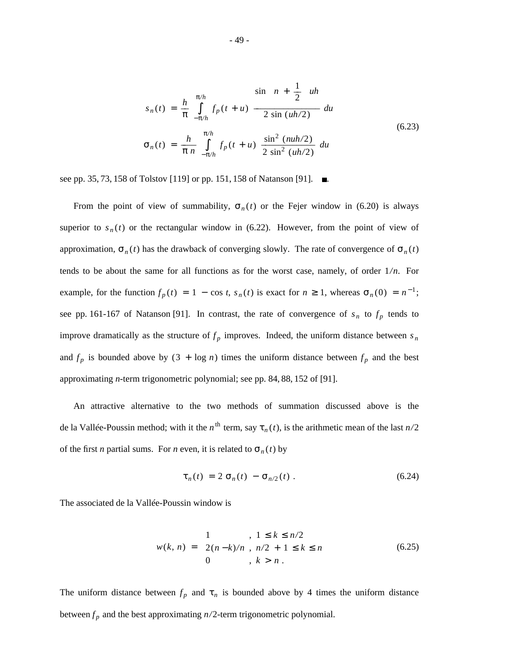$$
s_n(t) = \frac{h}{\pi} \int_{-\pi/h}^{\pi/h} f_p(t+u) \frac{\sin\left[n + \frac{1}{2}\right]uh}{2 \sin(uh/2)} du
$$
  

$$
\sigma_n(t) = \frac{h}{\pi n} \int_{-\pi/h}^{\pi/h} f_p(t+u) \frac{\sin^2{(nu/2)}}{2 \sin^2{(uh/2)}} du
$$
(6.23)

see pp. 35, 73, 158 of Tolstov [119] or pp. 151, 158 of Natanson [91].  $\blacksquare$ .

From the point of view of summability,  $\sigma_n(t)$  or the Fejer window in (6.20) is always superior to  $s_n(t)$  or the rectangular window in (6.22). However, from the point of view of approximation,  $\sigma_n(t)$  has the drawback of converging slowly. The rate of convergence of  $\sigma_n(t)$ tends to be about the same for all functions as for the worst case, namely, of order  $1/n$ . For example, for the function  $f_p(t) = 1 - \cos t$ ,  $s_n(t)$  is exact for  $n \ge 1$ , whereas  $\sigma_n(0) = n^{-1}$ ; see pp. 161-167 of Natanson [91]. In contrast, the rate of convergence of  $s_n$  to  $f_p$  tends to improve dramatically as the structure of  $f_p$  improves. Indeed, the uniform distance between  $s_n$ and  $f_p$  is bounded above by  $(3 + \log n)$  times the uniform distance between  $f_p$  and the best approximating *n*-term trigonometric polynomial; see pp. 84, 88, 152 of [91].

An attractive alternative to the two methods of summation discussed above is the de la Vallée-Poussin method; with it the *n*<sup>th</sup> term, say  $\tau_n(t)$ , is the arithmetic mean of the last  $n/2$ of the first *n* partial sums. For *n* even, it is related to  $\sigma_n(t)$  by

$$
\tau_n(t) = 2 \sigma_n(t) - \sigma_{n/2}(t) . \qquad (6.24)
$$

The associated de la Vallée-Poussin window is

$$
w(k, n) = \begin{cases} 1 & , 1 \le k \le n/2 \\ 2(n-k)/n, n/2 + 1 \le k \le n \\ 0 & , k > n \end{cases}
$$
 (6.25)

The uniform distance between  $f_p$  and  $\tau_n$  is bounded above by 4 times the uniform distance between  $f_p$  and the best approximating  $n/2$ -term trigonometric polynomial.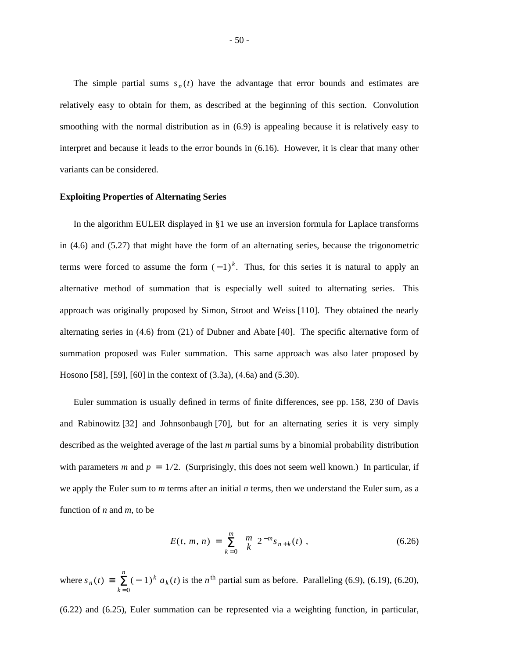The simple partial sums  $s_n(t)$  have the advantage that error bounds and estimates are relatively easy to obtain for them, as described at the beginning of this section. Convolution smoothing with the normal distribution as in (6.9) is appealing because it is relatively easy to interpret and because it leads to the error bounds in (6.16). However, it is clear that many other variants can be considered.

### **Exploiting Properties of Alternating Series**

In the algorithm EULER displayed in §1 we use an inversion formula for Laplace transforms in (4.6) and (5.27) that might have the form of an alternating series, because the trigonometric terms were forced to assume the form  $(-1)^k$ . Thus, for this series it is natural to apply an alternative method of summation that is especially well suited to alternating series. This approach was originally proposed by Simon, Stroot and Weiss [110]. They obtained the nearly alternating series in (4.6) from (21) of Dubner and Abate [40]. The specific alternative form of summation proposed was Euler summation. This same approach was also later proposed by Hosono [58], [59], [60] in the context of (3.3a), (4.6a) and (5.30).

Euler summation is usually defined in terms of finite differences, see pp. 158, 230 of Davis and Rabinowitz [32] and Johnsonbaugh [70], but for an alternating series it is very simply described as the weighted average of the last *m* partial sums by a binomial probability distribution with parameters *m* and  $p = 1/2$ . (Surprisingly, this does not seem well known.) In particular, if we apply the Euler sum to *m* terms after an initial *n* terms, then we understand the Euler sum, as a function of *n* and *m*, to be

$$
E(t, m, n) = \sum_{k=0}^{m} {m \choose k} 2^{-m} s_{n+k}(t) , \qquad (6.26)
$$

where  $s_n(t) \equiv$  $\sum_{k=0}^{n}$  (-1)<sup>k</sup>  $a_k(t)$  is the *n*<sup>th</sup> partial sum as before. Paralleling (6.9), (6.19), (6.20),

(6.22) and (6.25), Euler summation can be represented via a weighting function, in particular,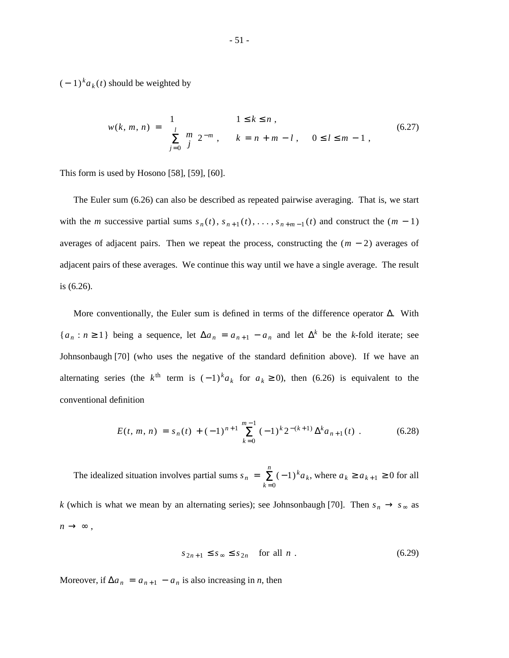$(-1)^{k} a_{k}(t)$  should be weighted by

$$
w(k, m, n) = \begin{cases} 1 & 1 \le k \le n, \\ \sum_{j=0}^{l} {m \choose j} 2^{-m}, & k = n + m - l, \quad 0 \le l \le m - 1, \end{cases}
$$
(6.27)

This form is used by Hosono [58], [59], [60].

The Euler sum (6.26) can also be described as repeated pairwise averaging. That is, we start with the *m* successive partial sums  $s_n(t)$ ,  $s_{n+1}(t)$ , ...,  $s_{n+m-1}(t)$  and construct the  $(m-1)$ averages of adjacent pairs. Then we repeat the process, constructing the  $(m - 2)$  averages of adjacent pairs of these averages. We continue this way until we have a single average. The result is (6.26).

More conventionally, the Euler sum is defined in terms of the difference operator  $\Delta$ . With  ${a_n : n \ge 1}$  being a sequence, let  $\Delta a_n = a_{n+1} - a_n$  and let  $\Delta^k$  be the *k*-fold iterate; see Johnsonbaugh [70] (who uses the negative of the standard definition above). If we have an alternating series (the  $k^{\text{th}}$  term is  $(-1)^{k} a_k$  for  $a_k \ge 0$ ), then (6.26) is equivalent to the conventional definition

$$
E(t, m, n) = s_n(t) + (-1)^{n+1} \sum_{k=0}^{m-1} (-1)^k 2^{-(k+1)} \Delta^k a_{n+1}(t) \tag{6.28}
$$

The idealized situation involves partial sums  $s_n$  =  $\sum_{k=0}^{n} (-1)^{k} a_{k}$ , where  $a_{k} \ge a_{k+1} \ge 0$  for all *k* (which is what we mean by an alternating series); see Johnsonbaugh [70]. Then  $s_n \to s_\infty$  as

 $n \rightarrow \infty$ ,

$$
s_{2n+1} \le s_{\infty} \le s_{2n} \quad \text{for all } n. \tag{6.29}
$$

Moreover, if  $\Delta a_n = a_{n+1} - a_n$  is also increasing in *n*, then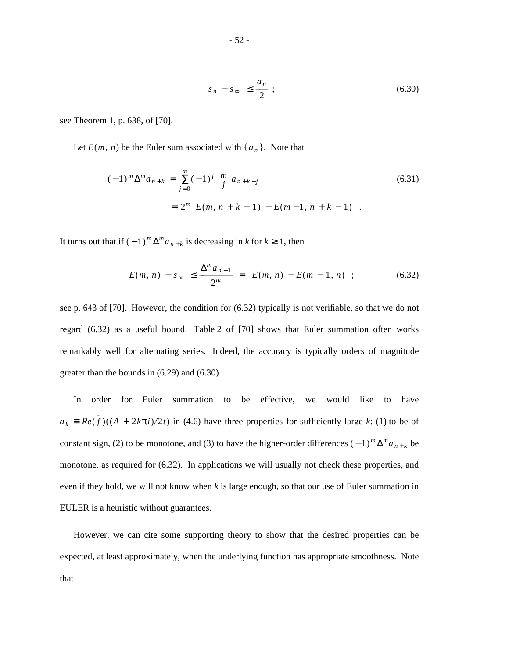$$
|s_n - s_\infty| \le \frac{a_n}{2} \tag{6.30}
$$

see Theorem 1, p. 638, of [70].

Let  $E(m, n)$  be the Euler sum associated with  $\{a_n\}$ . Note that

$$
(-1)^{m} \Delta^{m} a_{n+k} = \sum_{j=0}^{m} (-1)^{j} {m \choose j} a_{n+k+j}
$$
  
=  $2^{m} |E(m, n+k-1) - E(m-1, n+k-1)|$ . (6.31)

It turns out that if  $(-1)^m \Delta^m a_{n+k}$  is decreasing in *k* for  $k \ge 1$ , then

$$
|E(m, n) - s_{\infty}| \le \frac{\Delta^m a_{n+1}}{2^m} = |E(m, n) - E(m - 1, n)| ; \qquad (6.32)
$$

see p. 643 of [70]. However, the condition for (6.32) typically is not verifiable, so that we do not regard (6.32) as a useful bound. Table 2 of [70] shows that Euler summation often works remarkably well for alternating series. Indeed, the accuracy is typically orders of magnitude greater than the bounds in (6.29) and (6.30).

In order for Euler summation to be effective, we would like to have  $a_k = Re(\hat{f})((A + 2k\pi i)/2t)$  in (4.6) have three properties for sufficiently large *k*: (1) to be of constant sign, (2) to be monotone, and (3) to have the higher-order differences  $(-1)^m \Delta^m a_{n+k}$  be monotone, as required for (6.32). In applications we will usually not check these properties, and even if they hold, we will not know when *k* is large enough, so that our use of Euler summation in EULER is a heuristic without guarantees.

However, we can cite some supporting theory to show that the desired properties can be expected, at least approximately, when the underlying function has appropriate smoothness. Note that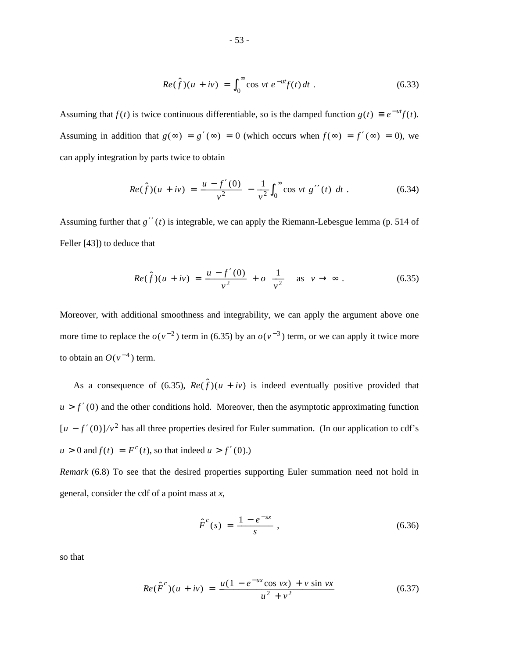$$
Re(\hat{f})(u+iv) = \int_0^\infty \cos vt \ e^{-ut} f(t) dt \ . \tag{6.33}
$$

Assuming that  $f(t)$  is twice continuous differentiable, so is the damped function  $g(t) \equiv e^{-ut}f(t)$ . Assuming in addition that  $g(\infty) = g'(\infty) = 0$  (which occurs when  $f(\infty) = f'(\infty) = 0$ ), we can apply integration by parts twice to obtain

$$
Re(\hat{f})(u+iv) = \frac{u-f'(0)}{v^2} - \frac{1}{v^2} \int_0^\infty \cos vt \ g''(t) \ dt \ . \tag{6.34}
$$

Assuming further that  $g''(t)$  is integrable, we can apply the Riemann-Lebesgue lemma (p. 514 of Feller [43]) to deduce that

$$
Re(\hat{f})(u + iv) = \frac{u - f'(0)}{v^2} + o\left[\frac{1}{v^2}\right] \text{ as } v \to \infty.
$$
 (6.35)

Moreover, with additional smoothness and integrability, we can apply the argument above one more time to replace the  $o(v^{-2})$  term in (6.35) by an  $o(v^{-3})$  term, or we can apply it twice more to obtain an  $O(v^{-4})$  term.

As a consequence of (6.35),  $Re(\hat{f})(u + iv)$  is indeed eventually positive provided that  $u > f'(0)$  and the other conditions hold. Moreover, then the asymptotic approximating function  $[u - f'(0)]/v^2$  has all three properties desired for Euler summation. (In our application to cdf's  $u > 0$  and  $f(t) = F<sup>c</sup>(t)$ , so that indeed  $u > f'(0)$ .)

*Remark* (6.8) To see that the desired properties supporting Euler summation need not hold in general, consider the cdf of a point mass at *x*,

$$
\hat{F}^c(s) = \frac{1 - e^{-sx}}{s} \,, \tag{6.36}
$$

so that

$$
Re(\hat{F}^{c})(u + iv) = \frac{u(1 - e^{-ux}\cos vx) + v\sin vx}{u^2 + v^2}
$$
 (6.37)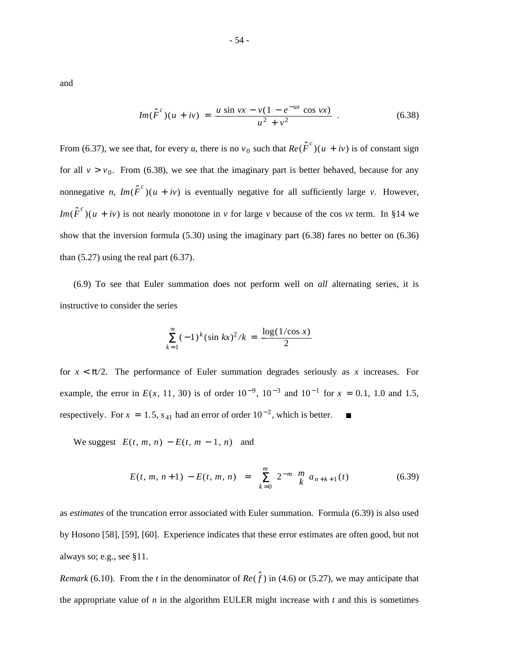and

$$
Im(\hat{F}^{c})(u + iv) = \frac{u \sin vx - v(1 - e^{-ux} \cos vx)}{u^{2} + v^{2}}.
$$
 (6.38)

From (6.37), we see that, for every *u*, there is no  $v_0$  such that  $Re(\hat{F}^c)(u + iv)$  is of constant sign for all  $v > v_0$ . From (6.38), we see that the imaginary part is better behaved, because for any nonnegative *n*,  $Im(\hat{F}^c)(u + iv)$  is eventually negative for all sufficiently large *v*. However, *Im*( $\hat{F}^c$ )( $u + iv$ ) is not nearly monotone in *v* for large *v* because of the cos *vx* term. In §14 we show that the inversion formula (5.30) using the imaginary part (6.38) fares no better on (6.36) than  $(5.27)$  using the real part  $(6.37)$ .

(6.9) To see that Euler summation does not perform well on *all* alternating series, it is instructive to consider the series

$$
\sum_{k=1}^{\infty} (-1)^k (\sin kx)^2 / k = \frac{\log(1/\cos x)}{2}
$$

for  $x < \pi/2$ . The performance of Euler summation degrades seriously as x increases. For example, the error in  $E(x, 11, 30)$  is of order  $10^{-9}$ ,  $10^{-3}$  and  $10^{-1}$  for  $x = 0.1$ , 1.0 and 1.5, respectively. For  $x = 1.5$ ,  $s_{41}$  had an error of order  $10^{-2}$ , which is better.

We suggest  $|E(t, m, n) - E(t, m - 1, n)|$  and

$$
|E(t, m, n+1) - E(t, m, n)| = \left| \sum_{k=0}^{m} 2^{-m} {m \choose k} a_{n+k+1}(t) \right| \tag{6.39}
$$

as *estimates* of the truncation error associated with Euler summation. Formula (6.39) is also used by Hosono [58], [59], [60]. Experience indicates that these error estimates are often good, but not always so; e.g., see §11.

*Remark* (6.10). From the *t* in the denominator of  $Re(\hat{f})$  in (4.6) or (5.27), we may anticipate that the appropriate value of *n* in the algorithm EULER might increase with  $t$  and this is sometimes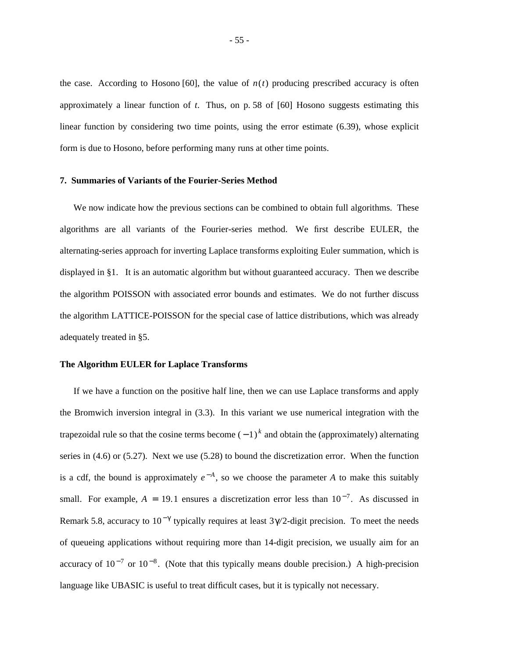the case. According to Hosono [60], the value of  $n(t)$  producing prescribed accuracy is often approximately a linear function of *t*. Thus, on p. 58 of [60] Hosono suggests estimating this linear function by considering two time points, using the error estimate (6.39), whose explicit form is due to Hosono, before performing many runs at other time points.

## **7. Summaries of Variants of the Fourier-Series Method**

We now indicate how the previous sections can be combined to obtain full algorithms. These algorithms are all variants of the Fourier-series method. We first describe EULER, the alternating-series approach for inverting Laplace transforms exploiting Euler summation, which is displayed in §1. It is an automatic algorithm but without guaranteed accuracy. Then we describe the algorithm POISSON with associated error bounds and estimates. We do not further discuss the algorithm LATTICE-POISSON for the special case of lattice distributions, which was already adequately treated in §5.

#### **The Algorithm EULER for Laplace Transforms**

If we have a function on the positive half line, then we can use Laplace transforms and apply the Bromwich inversion integral in (3.3). In this variant we use numerical integration with the trapezoidal rule so that the cosine terms become  $(-1)^k$  and obtain the (approximately) alternating series in (4.6) or (5.27). Next we use (5.28) to bound the discretization error. When the function is a cdf, the bound is approximately  $e^{-A}$ , so we choose the parameter *A* to make this suitably small. For example,  $A = 19.1$  ensures a discretization error less than  $10^{-7}$ . As discussed in Remark 5.8, accuracy to  $10^{-\gamma}$  typically requires at least 3 $\gamma$ /2-digit precision. To meet the needs of queueing applications without requiring more than 14-digit precision, we usually aim for an accuracy of  $10^{-7}$  or  $10^{-8}$ . (Note that this typically means double precision.) A high-precision language like UBASIC is useful to treat difficult cases, but it is typically not necessary.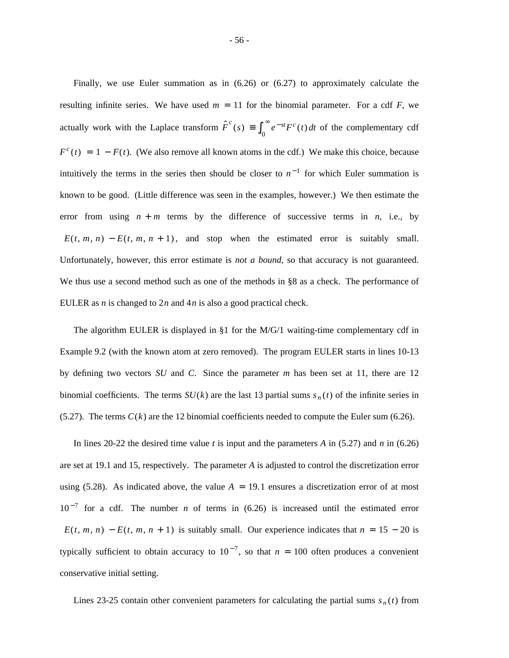Finally, we use Euler summation as in (6.26) or (6.27) to approximately calculate the resulting infinite series. We have used  $m = 11$  for the binomial parameter. For a cdf  $F$ , we actually work with the Laplace transform  $\hat{F}^c(s) \equiv \int_0^{\infty}$  $\int e^{-st} F^c(t) dt$  of the complementary cdf  $F^{c}(t) = 1 - F(t)$ . (We also remove all known atoms in the cdf.) We make this choice, because intuitively the terms in the series then should be closer to  $n^{-1}$  for which Euler summation is known to be good. (Little difference was seen in the examples, however.) We then estimate the error from using  $n + m$  terms by the difference of successive terms in *n*, i.e., by  $E(t, m, n) - E(t, m, n + 1)$ , and stop when the estimated error is suitably small. Unfortunately, however, this error estimate is *not a bound,* so that accuracy is not guaranteed. We thus use a second method such as one of the methods in §8 as a check. The performance of EULER as *n* is changed to 2*n* and 4*n* is also a good practical check.

The algorithm EULER is displayed in  $\S1$  for the M/G/1 waiting-time complementary cdf in Example 9.2 (with the known atom at zero removed). The program EULER starts in lines 10-13 by defining two vectors *SU* and *C*. Since the parameter *m* has been set at 11, there are 12 binomial coefficients. The terms  $SU(k)$  are the last 13 partial sums  $s_n(t)$  of the infinite series in  $(5.27)$ . The terms  $C(k)$  are the 12 binomial coefficients needed to compute the Euler sum (6.26).

In lines 20-22 the desired time value *t* is input and the parameters *A* in (5.27) and *n* in (6.26) are set at 19.1 and 15, respectively. The parameter *A* is adjusted to control the discretization error using  $(5.28)$ . As indicated above, the value  $A = 19.1$  ensures a discretization error of at most  $10^{-7}$  for a cdf. The number *n* of terms in (6.26) is increased until the estimated error  $E(t, m, n) - E(t, m, n + 1)$  is suitably small. Our experience indicates that  $n = 15 - 20$  is typically sufficient to obtain accuracy to  $10^{-7}$ , so that  $n = 100$  often produces a convenient conservative initial setting.

Lines 23-25 contain other convenient parameters for calculating the partial sums  $s_n(t)$  from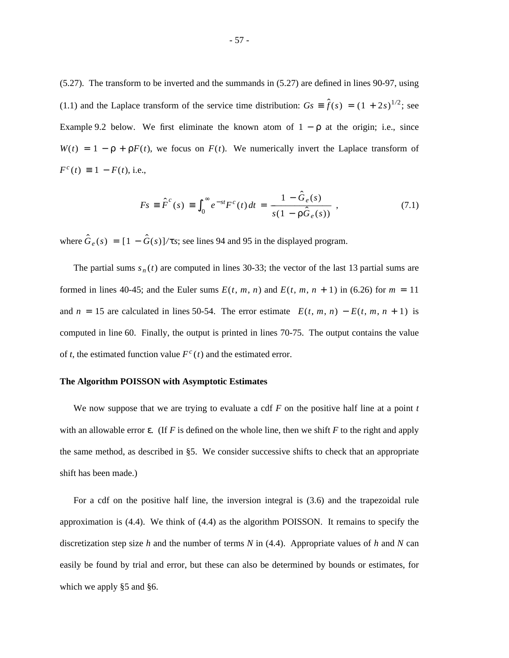(5.27). The transform to be inverted and the summands in (5.27) are defined in lines 90-97, using (1.1) and the Laplace transform of the service time distribution:  $G_s = \hat{f}(s) = (1 + 2s)^{1/2}$ ; see Example 9.2 below. We first eliminate the known atom of  $1 - \rho$  at the origin; i.e., since  $W(t) = 1 - \rho + \rho F(t)$ , we focus on  $F(t)$ . We numerically invert the Laplace transform of  $F^{c}(t) \equiv 1 - F(t)$ , i.e.,

$$
Fs = \hat{F}^{c}(s) = \int_{0}^{\infty} e^{-st} F^{c}(t) dt = \frac{1 - \hat{G}_{e}(s)}{s(1 - \rho \hat{G}_{e}(s))},
$$
\n(7.1)

where  $\hat{G}_e(s) = [1 - \hat{G}(s)]/\tau s$ ; see lines 94 and 95 in the displayed program.

The partial sums  $s_n(t)$  are computed in lines 30-33; the vector of the last 13 partial sums are formed in lines 40-45; and the Euler sums  $E(t, m, n)$  and  $E(t, m, n + 1)$  in (6.26) for  $m = 11$ and  $n = 15$  are calculated in lines 50-54. The error estimate  $|E(t, m, n) - E(t, m, n + 1)|$  is computed in line 60. Finally, the output is printed in lines 70-75. The output contains the value of *t*, the estimated function value  $F^c(t)$  and the estimated error.

### **The Algorithm POISSON with Asymptotic Estimates**

We now suppose that we are trying to evaluate a cdf *F* on the positive half line at a point *t* with an allowable error  $\varepsilon$ . (If F is defined on the whole line, then we shift F to the right and apply the same method, as described in §5. We consider successive shifts to check that an appropriate shift has been made.)

For a cdf on the positive half line, the inversion integral is (3.6) and the trapezoidal rule approximation is (4.4). We think of (4.4) as the algorithm POISSON. It remains to specify the discretization step size *h* and the number of terms *N* in (4.4). Appropriate values of *h* and *N* can easily be found by trial and error, but these can also be determined by bounds or estimates, for which we apply §5 and §6.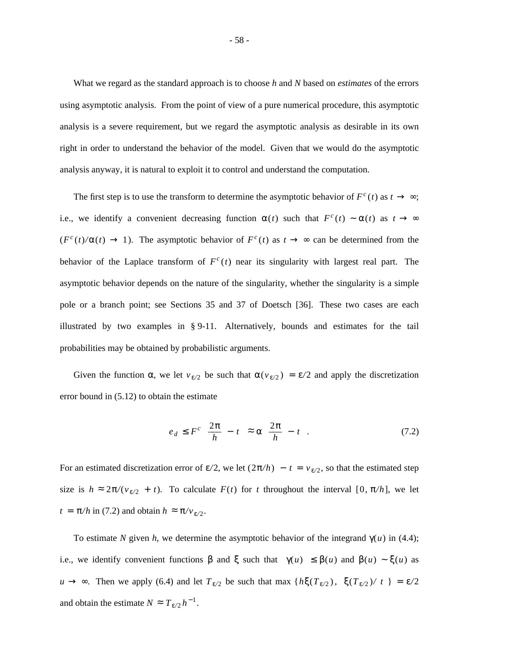What we regard as the standard approach is to choose *h* and *N* based on *estimates* of the errors using asymptotic analysis. From the point of view of a pure numerical procedure, this asymptotic analysis is a severe requirement, but we regard the asymptotic analysis as desirable in its own right in order to understand the behavior of the model. Given that we would do the asymptotic analysis anyway, it is natural to exploit it to control and understand the computation.

The first step is to use the transform to determine the asymptotic behavior of  $F^c(t)$  as  $t \to \infty$ ; i.e., we identify a convenient decreasing function  $\alpha(t)$  such that  $F^c(t) \sim \alpha(t)$  as  $t \to \infty$  $(F<sup>c</sup>(t)/\alpha(t) \rightarrow 1)$ . The asymptotic behavior of  $F<sup>c</sup>(t)$  as  $t \rightarrow \infty$  can be determined from the behavior of the Laplace transform of  $F^c(t)$  near its singularity with largest real part. The asymptotic behavior depends on the nature of the singularity, whether the singularity is a simple pole or a branch point; see Sections 35 and 37 of Doetsch [36]. These two cases are each illustrated by two examples in § 9-11. Alternatively, bounds and estimates for the tail probabilities may be obtained by probabilistic arguments.

Given the function  $\alpha$ , we let  $v_{\epsilon/2}$  be such that  $\alpha(v_{\epsilon/2}) = \epsilon/2$  and apply the discretization error bound in (5.12) to obtain the estimate

$$
e_d \leq F^c \left[ \frac{2\pi}{h} - t \right] \approx \alpha \left[ \frac{2\pi}{h} - t \right]. \tag{7.2}
$$

For an estimated discretization error of  $\varepsilon/2$ , we let  $(2\pi/h) - t = v_{\varepsilon/2}$ , so that the estimated step size is  $h \approx 2\pi/(v_{\epsilon/2} + t)$ . To calculate  $F(t)$  for *t* throughout the interval [0,  $\pi/h$ ], we let  $t = \pi/h$  in (7.2) and obtain  $h \approx \pi/v_{\varepsilon/2}$ .

To estimate *N* given *h*, we determine the asymptotic behavior of the integrand  $\gamma(u)$  in (4.4); i.e., we identify convenient functions  $\beta$  and  $\xi$  such that  $|\gamma(u)| \leq \beta(u)$  and  $\beta(u) \sim \xi(u)$  as *u* → ∞. Then we apply (6.4) and let  $T_{ε/2}$  be such that max { $hξ(T_{ε/2})$ ,  $ξ(T_{ε/2})/|t|$ } = ε/2 and obtain the estimate  $N \approx T_{\epsilon/2} h^{-1}$ .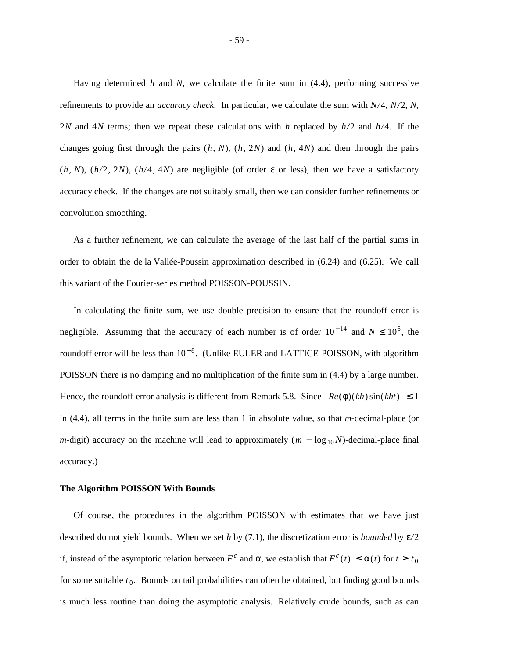Having determined *h* and *N*, we calculate the finite sum in (4.4), performing successive refinements to provide an *accuracy check*. In particular, we calculate the sum with *N /*4, *N /*2, *N*, 2*N* and 4*N* terms; then we repeat these calculations with *h* replaced by  $h/2$  and  $h/4$ . If the changes going first through the pairs  $(h, N)$ ,  $(h, 2N)$  and  $(h, 4N)$  and then through the pairs (*h*, *N*),  $(h/2, 2N)$ ,  $(h/4, 4N)$  are negligible (of order  $\varepsilon$  or less), then we have a satisfactory accuracy check. If the changes are not suitably small, then we can consider further refinements or convolution smoothing.

As a further refinement, we can calculate the average of the last half of the partial sums in order to obtain the de la Vallée-Poussin approximation described in  $(6.24)$  and  $(6.25)$ . We call this variant of the Fourier-series method POISSON-POUSSIN.

In calculating the finite sum, we use double precision to ensure that the roundoff error is negligible. Assuming that the accuracy of each number is of order  $10^{-14}$  and  $N \le 10^6$ , the roundoff error will be less than  $10^{-8}$ . (Unlike EULER and LATTICE-POISSON, with algorithm POISSON there is no damping and no multiplication of the finite sum in (4.4) by a large number. Hence, the roundoff error analysis is different from Remark 5.8. Since  $|Re(\phi)(kh) \sin(kht)| \leq 1$ in (4.4), all terms in the finite sum are less than 1 in absolute value, so that *m*-decimal-place (or *m*-digit) accuracy on the machine will lead to approximately  $(m - \log_{10} N)$ -decimal-place final accuracy.)

#### **The Algorithm POISSON With Bounds**

Of course, the procedures in the algorithm POISSON with estimates that we have just described do not yield bounds. When we set *h* by (7.1), the discretization error is *bounded* by ε*/*2 if, instead of the asymptotic relation between  $F^c$  and  $\alpha$ , we establish that  $F^c(t) \leq \alpha(t)$  for  $t \geq t_0$ for some suitable  $t_0$ . Bounds on tail probabilities can often be obtained, but finding good bounds is much less routine than doing the asymptotic analysis. Relatively crude bounds, such as can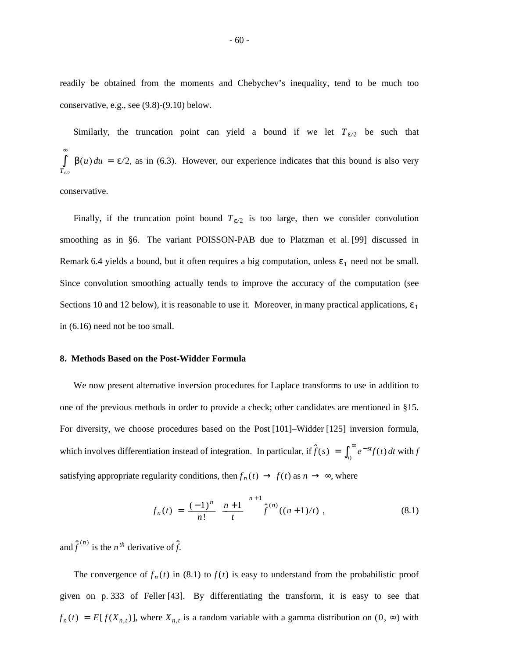readily be obtained from the moments and Chebychev's inequality, tend to be much too conservative, e.g., see (9.8)-(9.10) below.

Similarly, the truncation point can yield a bound if we let  $T_{\varepsilon/2}$  be such that *T*ε*/*<sup>2</sup> ∫ ∞  $\beta(u) du = \varepsilon/2$ , as in (6.3). However, our experience indicates that this bound is also very

conservative.

Finally, if the truncation point bound  $T_{\epsilon/2}$  is too large, then we consider convolution smoothing as in §6. The variant POISSON-PAB due to Platzman et al. [99] discussed in Remark 6.4 yields a bound, but it often requires a big computation, unless  $\varepsilon_1$  need not be small. Since convolution smoothing actually tends to improve the accuracy of the computation (see Sections 10 and 12 below), it is reasonable to use it. Moreover, in many practical applications,  $\varepsilon_1$ in (6.16) need not be too small.

### **8. Methods Based on the Post-Widder Formula**

We now present alternative inversion procedures for Laplace transforms to use in addition to one of the previous methods in order to provide a check; other candidates are mentioned in §15. For diversity, we choose procedures based on the Post [101]–Widder [125] inversion formula, which involves differentiation instead of integration. In particular, if  $\hat{f}(s) = \int_0^{\infty}$  $\int e^{-st} f(t) dt$  with *f* satisfying appropriate regularity conditions, then  $f_n(t) \to f(t)$  as  $n \to \infty$ , where

$$
f_n(t) = \frac{(-1)^n}{n!} \left[ \frac{n+1}{t} \right]^{n+1} \hat{f}^{(n)}((n+1)/t) , \qquad (8.1)
$$

and  $\hat{f}^{(n)}$  is the *n*<sup>th</sup> derivative of  $\hat{f}$ .

The convergence of  $f_n(t)$  in (8.1) to  $f(t)$  is easy to understand from the probabilistic proof given on p. 333 of Feller [43]. By differentiating the transform, it is easy to see that  $f_n(t) = E[f(X_{n,t})]$ , where  $X_{n,t}$  is a random variable with a gamma distribution on  $(0, \infty)$  with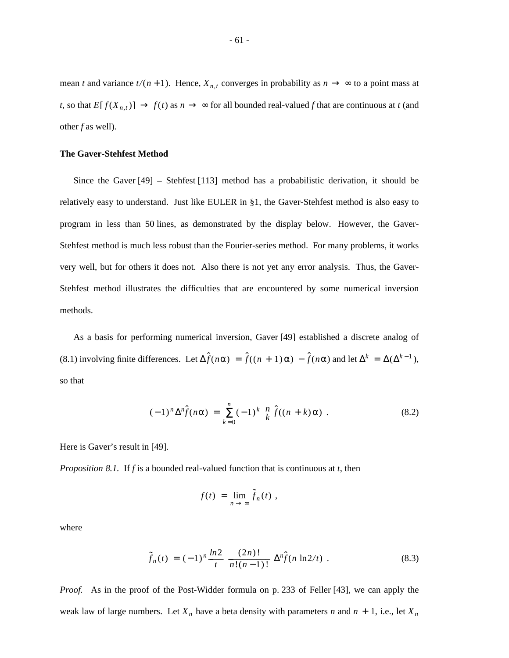mean *t* and variance  $t/(n+1)$ . Hence,  $X_{n,t}$  converges in probability as  $n \to \infty$  to a point mass at *t*, so that  $E[f(X_{n,t})] \to f(t)$  as  $n \to \infty$  for all bounded real-valued *f* that are continuous at *t* (and other *f* as well).

#### **The Gaver-Stehfest Method**

Since the Gaver [49] – Stehfest [113] method has a probabilistic derivation, it should be relatively easy to understand. Just like EULER in §1, the Gaver-Stehfest method is also easy to program in less than 50 lines, as demonstrated by the display below. However, the Gaver-Stehfest method is much less robust than the Fourier-series method. For many problems, it works very well, but for others it does not. Also there is not yet any error analysis. Thus, the Gaver-Stehfest method illustrates the difficulties that are encountered by some numerical inversion methods.

As a basis for performing numerical inversion, Gaver [49] established a discrete analog of (8.1) involving finite differences. Let  $\Delta \hat{f}(n\alpha) = \hat{f}((n + 1)\alpha) - \hat{f}(n\alpha)$  and let  $\Delta^k = \Delta(\Delta^{k-1})$ , so that

$$
(-1)^n \Delta^n \hat{f}(n\alpha) = \sum_{k=0}^n (-1)^k \binom{n}{k} \hat{f}((n+k)\alpha) \ . \tag{8.2}
$$

Here is Gaver's result in [49].

*Proposition 8.1.* If *f* is a bounded real-valued function that is continuous at *t*, then

$$
f(t) = \lim_{n \to \infty} \tilde{f}_n(t) ,
$$

where

$$
\tilde{f}_n(t) = (-1)^n \frac{\ln 2}{t} \frac{(2n)!}{n!(n-1)!} \Delta^n \hat{f}(n \ln 2/t) . \tag{8.3}
$$

*Proof.* As in the proof of the Post-Widder formula on p. 233 of Feller [43], we can apply the weak law of large numbers. Let  $X_n$  have a beta density with parameters *n* and  $n + 1$ , i.e., let  $X_n$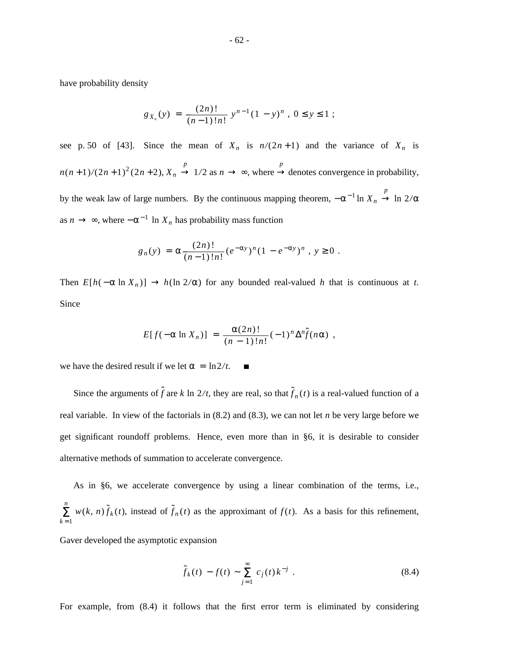have probability density

$$
g_{X_n}(y) = \frac{(2n)!}{(n-1)!n!} y^{n-1} (1-y)^n, 0 \le y \le 1 ;
$$

see p. 50 of [43]. Since the mean of  $X_n$  is  $n/(2n+1)$  and the variance of  $X_n$  is  $n(n+1)/(2n+1)^2(2n+2), X_n \to$ *p*  $1/2$  as  $n \rightarrow \infty$ , where  $\rightarrow$ *p* denotes convergence in probability,

by the weak law of large numbers. By the continuous mapping theorem,  $-\alpha^{-1} \ln X_n \rightarrow$ *p* ln 2*/*α as  $n \to \infty$ , where  $-\alpha^{-1}$  ln  $X_n$  has probability mass function

$$
g_n(y) = \alpha \frac{(2n)!}{(n-1)!n!} (e^{-\alpha y})^n (1 - e^{-\alpha y})^n, y \ge 0.
$$

Then  $E[h(-\alpha \ln X_n)] \to h(\ln 2/\alpha)$  for any bounded real-valued *h* that is continuous at *t*. Since

$$
E[f(-\alpha \ln X_n)] = \frac{\alpha(2n)!}{(n-1)!n!} (-1)^n \Delta^n \hat{f}(n\alpha) ,
$$

we have the desired result if we let  $\alpha = \ln 2/t$ .  $\mathbf{r}$ 

Since the arguments of  $\hat{f}$  are  $k \ln 2/t$ , they are real, so that  $\tilde{f}_n(t)$  is a real-valued function of a real variable. In view of the factorials in (8.2) and (8.3), we can not let *n* be very large before we get significant roundoff problems. Hence, even more than in §6, it is desirable to consider alternative methods of summation to accelerate convergence.

As in §6, we accelerate convergence by using a linear combination of the terms, i.e.,  $\sum_{k=1}^n$  $w(k, n)\tilde{f}_k(t)$ , instead of  $\tilde{f}_n(t)$  as the approximant of  $f(t)$ . As a basis for this refinement,

Gaver developed the asymptotic expansion

$$
\tilde{f}_k(t) - f(t) \sim \sum_{j=1}^{\infty} c_j(t) k^{-j} . \tag{8.4}
$$

For example, from (8.4) it follows that the first error term is eliminated by considering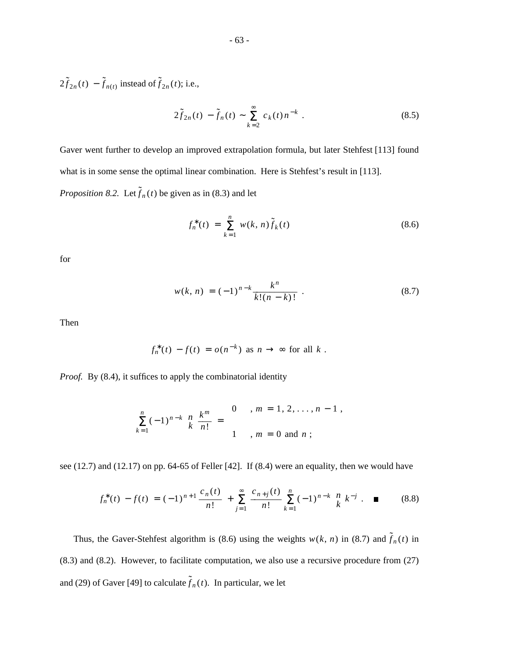$2\tilde{f}_{2n}(t) - \tilde{f}_{n(t)}$  instead of  $\tilde{f}_{2n}(t)$ ; i.e.,

$$
2\tilde{f}_{2n}(t) - \tilde{f}_n(t) \sim \sum_{k=2}^{\infty} c_k(t) n^{-k} . \tag{8.5}
$$

Gaver went further to develop an improved extrapolation formula, but later Stehfest [113] found what is in some sense the optimal linear combination. Here is Stehfest's result in [113]. *Proposition 8.2.* Let  $\tilde{f}_n(t)$  be given as in (8.3) and let

$$
f_n^*(t) = \sum_{k=1}^n w(k, n) \tilde{f}_k(t)
$$
 (8.6)

for

$$
w(k, n) = (-1)^{n-k} \frac{k^n}{k!(n-k)!} \tag{8.7}
$$

Then

$$
f_n^*(t) - f(t) = o(n^{-k}) \text{ as } n \to \infty \text{ for all } k.
$$

*Proof.* By (8.4), it suffices to apply the combinatorial identity

$$
\sum_{k=1}^{n} (-1)^{n-k} \begin{bmatrix} n \\ k \end{bmatrix} \frac{k^m}{n!} = \begin{cases} 0 & , m = 1, 2, ..., n-1 \\ 1 & , m = 0 \text{ and } n \end{cases}
$$

see (12.7) and (12.17) on pp. 64-65 of Feller [42]. If (8.4) were an equality, then we would have

$$
f_n^*(t) - f(t) = (-1)^{n+1} \frac{c_n(t)}{n!} + \sum_{j=1}^{\infty} \frac{c_{n+j}(t)}{n!} \sum_{k=1}^n (-1)^{n-k} \begin{bmatrix} n \\ k \end{bmatrix} k^{-j} . \quad \blacksquare \tag{8.8}
$$

Thus, the Gaver-Stehfest algorithm is (8.6) using the weights  $w(k, n)$  in (8.7) and  $\tilde{f}_n(t)$  in (8.3) and (8.2). However, to facilitate computation, we also use a recursive procedure from (27) and (29) of Gaver [49] to calculate  $\tilde{f}_n(t)$ . In particular, we let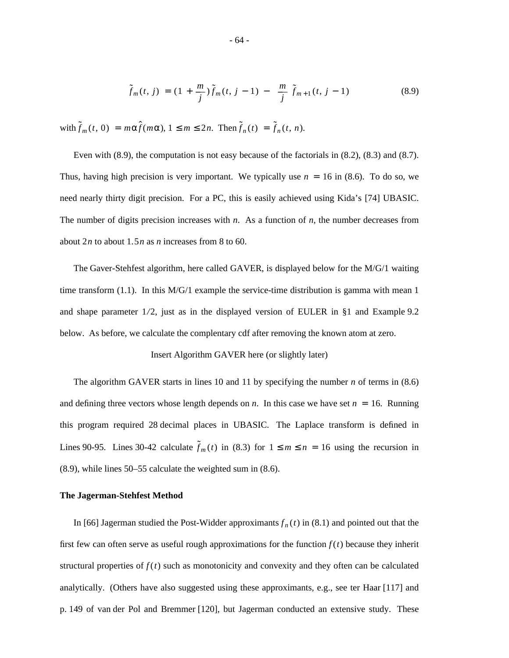$$
\tilde{f}_m(t,j) = (1 + \frac{m}{j})\tilde{f}_m(t,j-1) - \left[\frac{m}{j}\right]\tilde{f}_{m+1}(t,j-1)
$$
\n(8.9)

 $\lim_{m \to \infty} \tilde{f}(t, 0) = m\alpha \hat{f}(m\alpha), 1 \leq m \leq 2n$ . Then  $\tilde{f}_n(t) = \tilde{f}_n(t, n)$ .

Even with (8.9), the computation is not easy because of the factorials in (8.2), (8.3) and (8.7). Thus, having high precision is very important. We typically use  $n = 16$  in (8.6). To do so, we need nearly thirty digit precision. For a PC, this is easily achieved using Kida's [74] UBASIC. The number of digits precision increases with *n*. As a function of *n*, the number decreases from about 2*n* to about 1. 5*n* as *n* increases from 8 to 60.

The Gaver-Stehfest algorithm, here called GAVER, is displayed below for the M/G/1 waiting time transform  $(1.1)$ . In this M/G/1 example the service-time distribution is gamma with mean 1 and shape parameter 1*/*2, just as in the displayed version of EULER in §1 and Example 9.2 below. As before, we calculate the complentary cdf after removing the known atom at zero.

#### Insert Algorithm GAVER here (or slightly later)

The algorithm GAVER starts in lines 10 and 11 by specifying the number *n* of terms in (8.6) and defining three vectors whose length depends on *n*. In this case we have set  $n = 16$ . Running this program required 28 decimal places in UBASIC. The Laplace transform is defined in Lines 90-95. Lines 30-42 calculate  $\tilde{f}_m(t)$  in (8.3) for  $1 \le m \le n = 16$  using the recursion in (8.9), while lines 50–55 calculate the weighted sum in (8.6).

#### **The Jagerman-Stehfest Method**

In [66] Jagerman studied the Post-Widder approximants  $f_n(t)$  in (8.1) and pointed out that the first few can often serve as useful rough approximations for the function  $f(t)$  because they inherit structural properties of  $f(t)$  such as monotonicity and convexity and they often can be calculated analytically. (Others have also suggested using these approximants, e.g., see ter Haar [117] and p. 149 of van der Pol and Bremmer [120], but Jagerman conducted an extensive study. These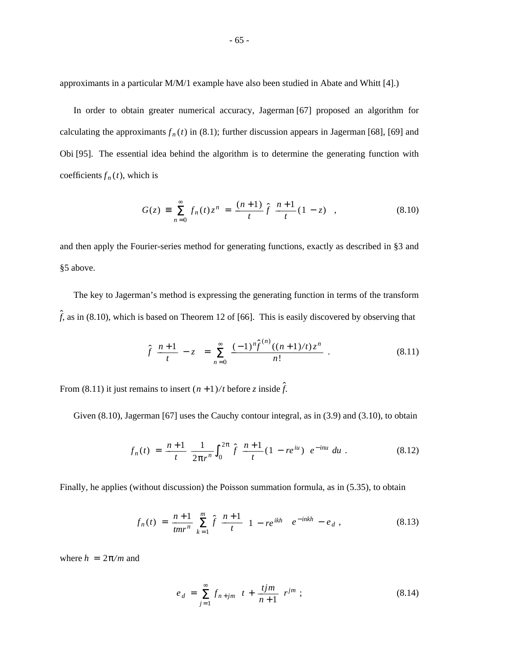approximants in a particular M/M/1 example have also been studied in Abate and Whitt [4].)

In order to obtain greater numerical accuracy, Jagerman [67] proposed an algorithm for calculating the approximants  $f_n(t)$  in (8.1); further discussion appears in Jagerman [68], [69] and Obi [95]. The essential idea behind the algorithm is to determine the generating function with coefficients  $f_n(t)$ , which is

$$
G(z) = \sum_{n=0}^{\infty} f_n(t) z^n = \frac{(n+1)}{t} \hat{f} \left[ \frac{n+1}{t} (1-z) \right],
$$
 (8.10)

and then apply the Fourier-series method for generating functions, exactly as described in §3 and §5 above.

The key to Jagerman's method is expressing the generating function in terms of the transform  $\hat{f}$ , as in (8.10), which is based on Theorem 12 of [66]. This is easily discovered by observing that

$$
\hat{f}\left[\frac{n+1}{t} - z\right] = \sum_{n=0}^{\infty} \frac{(-1)^n \hat{f}^{(n)}((n+1)/t) z^n}{n!} . \tag{8.11}
$$

From (8.11) it just remains to insert  $(n+1)/t$  before *z* inside  $\hat{f}$ .

Given (8.10), Jagerman [67] uses the Cauchy contour integral, as in (3.9) and (3.10), to obtain

$$
f_n(t) = \frac{n+1}{t} \frac{1}{2\pi r^n} \int_0^{2\pi} \hat{f} \left[ \frac{n+1}{t} (1 - r e^{iu}) \right] e^{-i n u} du . \tag{8.12}
$$

Finally, he applies (without discussion) the Poisson summation formula, as in (5.35), to obtain

$$
f_n(t) = \frac{n+1}{tmr^n} \sum_{k=1}^m \hat{f} \left[ \frac{n+1}{t} \left[ 1 - re^{ikh} \right] \right] e^{-inkh} - e_d , \qquad (8.13)
$$

where  $h = 2\pi/m$  and

$$
e_d = \sum_{j=1}^{\infty} f_{n+jm} \left[ t + \frac{tjm}{n+1} \right] r^{jm} ; \tag{8.14}
$$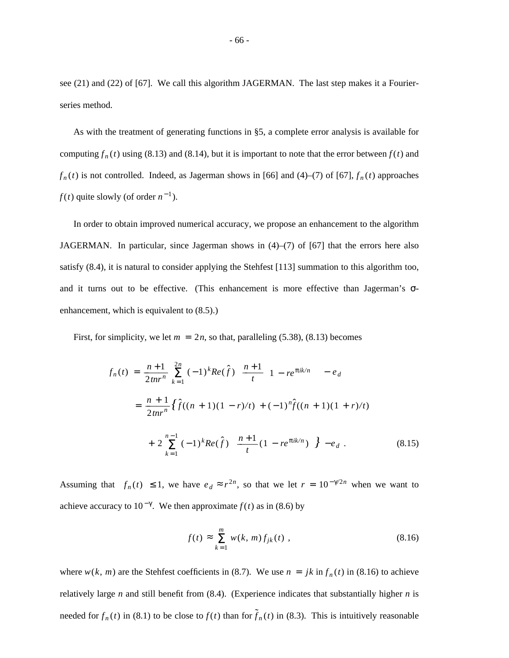see (21) and (22) of [67]. We call this algorithm JAGERMAN. The last step makes it a Fourierseries method.

As with the treatment of generating functions in §5, a complete error analysis is available for computing  $f_n(t)$  using (8.13) and (8.14), but it is important to note that the error between  $f(t)$  and  $f_n(t)$  is not controlled. Indeed, as Jagerman shows in [66] and (4)–(7) of [67],  $f_n(t)$  approaches  $f(t)$  quite slowly (of order  $n^{-1}$ ).

In order to obtain improved numerical accuracy, we propose an enhancement to the algorithm JAGERMAN. In particular, since Jagerman shows in  $(4)$ – $(7)$  of [67] that the errors here also satisfy (8.4), it is natural to consider applying the Stehfest [113] summation to this algorithm too, and it turns out to be effective. (This enhancement is more effective than Jagerman's σenhancement, which is equivalent to (8.5).)

First, for simplicity, we let  $m = 2n$ , so that, paralleling (5.38), (8.13) becomes

$$
f_n(t) = \frac{n+1}{2tnr^n} \sum_{k=1}^{2n} (-1)^k Re(\hat{f}) \left[ \frac{n+1}{t} \left[ 1 - re^{\pi i k/n} \right] \right] - e_d
$$
  

$$
= \frac{n+1}{2tnr^n} \{ \hat{f}((n+1)(1-r)/t) + (-1)^n \hat{f}((n+1)(1+r)/t) + 2 \sum_{k=1}^{n-1} (-1)^k Re(\hat{f}) \left[ \frac{n+1}{t} (1 - re^{\pi i k/n}) \right] \} - e_d.
$$
 (8.15)

Assuming that  $|f_n(t)| \le 1$ , we have  $e_d \approx r^{2n}$ , so that we let  $r = 10^{-\gamma/2n}$  when we want to achieve accuracy to  $10^{-\gamma}$ . We then approximate  $f(t)$  as in (8.6) by

$$
f(t) \approx \sum_{k=1}^{m} w(k, m) f_{jk}(t) , \qquad (8.16)
$$

where  $w(k, m)$  are the Stehfest coefficients in (8.7). We use  $n = jk \text{ in } f_n(t)$  in (8.16) to achieve relatively large *n* and still benefit from (8.4). (Experience indicates that substantially higher *n* is needed for  $f_n(t)$  in (8.1) to be close to  $f(t)$  than for  $\tilde{f}_n(t)$  in (8.3). This is intuitively reasonable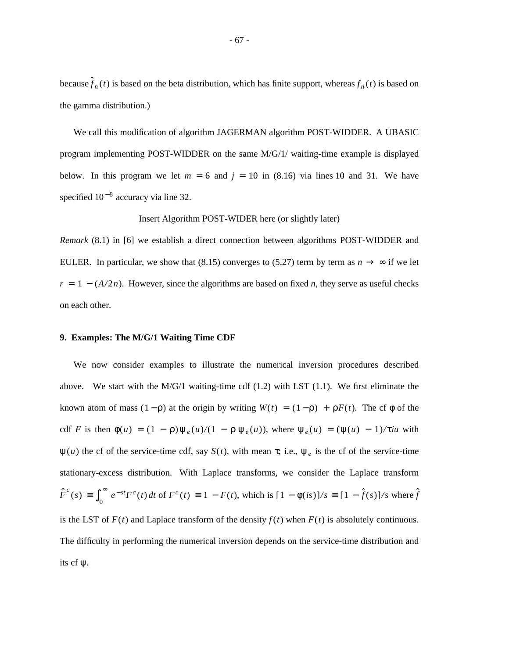because  $\tilde{f}_n(t)$  is based on the beta distribution, which has finite support, whereas  $f_n(t)$  is based on the gamma distribution.)

We call this modification of algorithm JAGERMAN algorithm POST-WIDDER. A UBASIC program implementing POST-WIDDER on the same M/G/1/ waiting-time example is displayed below. In this program we let  $m = 6$  and  $j = 10$  in (8.16) via lines 10 and 31. We have specified  $10^{-8}$  accuracy via line 32.

### Insert Algorithm POST-WIDER here (or slightly later)

*Remark* (8.1) in [6] we establish a direct connection between algorithms POST-WIDDER and EULER. In particular, we show that (8.15) converges to (5.27) term by term as  $n \to \infty$  if we let  $r = 1 - (A/2n)$ . However, since the algorithms are based on fixed *n*, they serve as useful checks on each other.

# **9. Examples: The M/G/1 Waiting Time CDF**

We now consider examples to illustrate the numerical inversion procedures described above. We start with the  $M/G/1$  waiting-time cdf (1.2) with LST (1.1). We first eliminate the known atom of mass  $(1 - \rho)$  at the origin by writing  $W(t) = (1 - \rho) + \rho F(t)$ . The cf  $\phi$  of the cdf *F* is then  $\phi(u) = (1 - \rho)\psi_e(u)/(1 - \rho \psi_e(u))$ , where  $\psi_e(u) = (\psi(u) - 1)/\tau$ *iu* with  $\psi(u)$  the cf of the service-time cdf, say  $S(t)$ , with mean  $\tau$ ; i.e.,  $\psi_e$  is the cf of the service-time stationary-excess distribution. With Laplace transforms, we consider the Laplace transform  $\hat{F}^c(s) \equiv \int_0^s$  $e^{-st}F^c(t) dt$  of  $F^c(t) \equiv 1 - F(t)$ , which is  $[1 - \phi(is)]/s \equiv [1 - \hat{f}(s)]/s$  where  $\hat{f}$ is the LST of  $F(t)$  and Laplace transform of the density  $f(t)$  when  $F(t)$  is absolutely continuous. The difficulty in performing the numerical inversion depends on the service-time distribution and its cf ψ.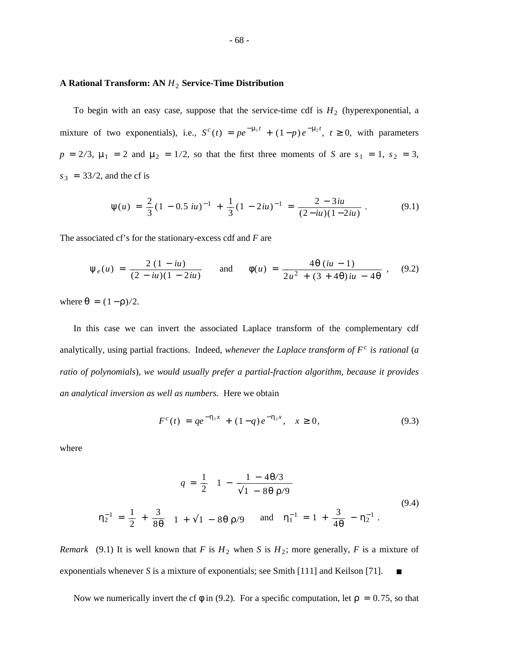# **A Rational Transform: AN** *H*<sup>2</sup> **Service-Time Distribution**

To begin with an easy case, suppose that the service-time cdf is  $H_2$  (hyperexponential, a mixture of two exponentials), i.e.,  $S^c(t) = pe^{-\mu_1 t} + (1-p)e^{-\mu_2 t}$ ,  $t \ge 0$ , with parameters  $p = 2/3$ ,  $\mu_1 = 2$  and  $\mu_2 = 1/2$ , so that the first three moments of *S* are  $s_1 = 1$ ,  $s_2 = 3$ ,  $s_3 = 33/2$ , and the cf is

$$
\psi(u) = \frac{2}{3}(1 - 0.5 \, \text{iu})^{-1} + \frac{1}{3}(1 - 2 \, \text{iu})^{-1} = \frac{2 - 3 \, \text{iu}}{(2 - \text{iu})(1 - 2 \, \text{iu})} \,. \tag{9.1}
$$

The associated cf's for the stationary-excess cdf and *F* are

$$
\Psi_e(u) = \frac{2(1 - iu)}{(2 - iu)(1 - 2iu)} \quad \text{and} \quad \phi(u) = \frac{4\theta(iu - 1)}{2u^2 + (3 + 4\theta)iu - 4\theta}, \quad (9.2)
$$

where  $\theta = (1 - \rho)/2$ .

In this case we can invert the associated Laplace transform of the complementary cdf analytically, using partial fractions. Indeed, *whenever the Laplace transform of F<sup>c</sup> is rational* (*a ratio of polynomials*)*, we would usually prefer a partial-fraction algorithm, because it provides an analytical inversion as well as numbers.* Here we obtain

$$
F^{c}(t) = q e^{-\eta_{1} x} + (1 - q) e^{-\eta_{2} x}, \quad x \ge 0,
$$
\n(9.3)

where

$$
q = \frac{1}{2} \left[ 1 - \frac{1 - 4\theta/3}{\sqrt{1 - 8\theta \rho/9}} \right]
$$
  

$$
\eta_2^{-1} = \frac{1}{2} + \frac{3}{8\theta} \left[ 1 + \sqrt{1 - 8\theta \rho/9} \right] \text{ and } \eta_1^{-1} = 1 + \frac{3}{4\theta} - \eta_2^{-1}.
$$
 (9.4)

*Remark* (9.1) It is well known that *F* is  $H_2$  when *S* is  $H_2$ ; more generally, *F* is a mixture of exponentials whenever *S* is a mixture of exponentials; see Smith [111] and Keilson [71].  $\blacksquare$ 

Now we numerically invert the cf  $\phi$  in (9.2). For a specific computation, let  $\rho = 0.75$ , so that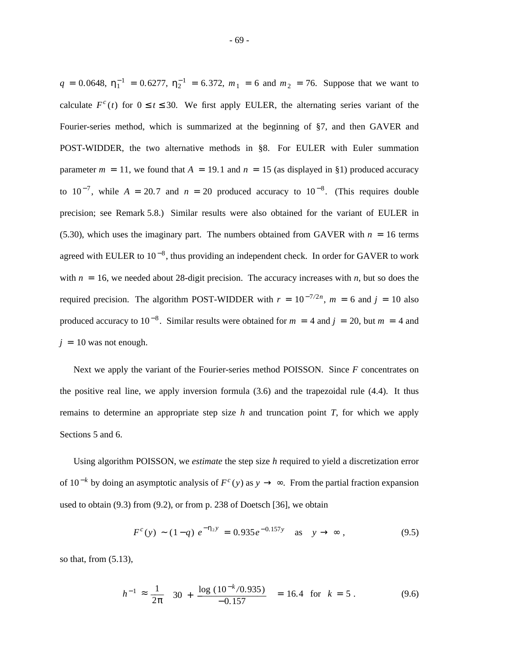$q = 0.0648$ ,  $\eta_1^{-1} = 0.6277$ ,  $\eta_2^{-1} = 6.372$ ,  $m_1 = 6$  and  $m_2 = 76$ . Suppose that we want to calculate  $F^c(t)$  for  $0 \le t \le 30$ . We first apply EULER, the alternating series variant of the Fourier-series method, which is summarized at the beginning of §7, and then GAVER and POST-WIDDER, the two alternative methods in §8. For EULER with Euler summation parameter  $m = 11$ , we found that  $A = 19.1$  and  $n = 15$  (as displayed in §1) produced accuracy to  $10^{-7}$ , while  $A = 20.7$  and  $n = 20$  produced accuracy to  $10^{-8}$ . (This requires double precision; see Remark 5.8.) Similar results were also obtained for the variant of EULER in (5.30), which uses the imaginary part. The numbers obtained from GAVER with  $n = 16$  terms agreed with EULER to  $10^{-8}$ , thus providing an independent check. In order for GAVER to work with  $n = 16$ , we needed about 28-digit precision. The accuracy increases with *n*, but so does the required precision. The algorithm POST-WIDDER with  $r = 10^{-7/2n}$ ,  $m = 6$  and  $j = 10$  also produced accuracy to  $10^{-8}$ . Similar results were obtained for  $m = 4$  and  $j = 20$ , but  $m = 4$  and  $j = 10$  was not enough.

Next we apply the variant of the Fourier-series method POISSON. Since *F* concentrates on the positive real line, we apply inversion formula (3.6) and the trapezoidal rule (4.4). It thus remains to determine an appropriate step size *h* and truncation point *T*, for which we apply Sections 5 and 6.

Using algorithm POISSON, we *estimate* the step size *h* required to yield a discretization error of 10<sup>-*k*</sup> by doing an asymptotic analysis of  $F^c(y)$  as  $y \to ∞$ . From the partial fraction expansion used to obtain (9.3) from (9.2), or from p. 238 of Doetsch [36], we obtain

$$
F^{c}(y) \sim (1-q) e^{-\eta_{2} y} = 0.935 e^{-0.157 y} \text{ as } y \to \infty ,
$$
 (9.5)

so that, from (5.13),

$$
h^{-1} \approx \frac{1}{2\pi} \left[ 30 + \frac{\log (10^{-k}/0.935)}{-0.157} \right] = 16.4 \text{ for } k = 5. \tag{9.6}
$$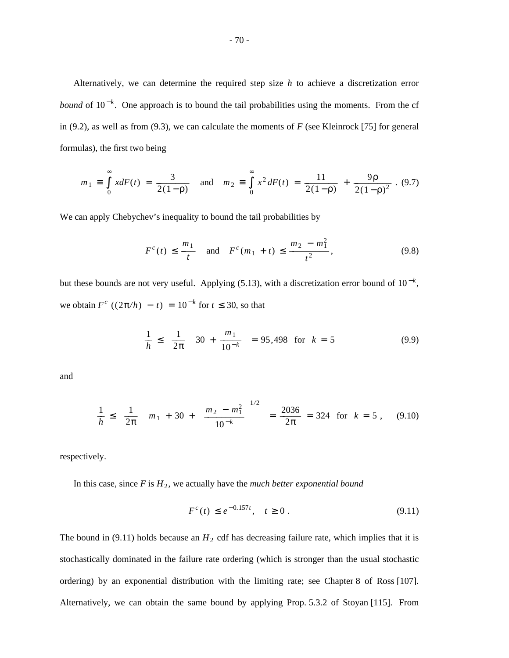Alternatively, we can determine the required step size *h* to achieve a discretization error *bound* of 10<sup>-*k*</sup>. One approach is to bound the tail probabilities using the moments. From the cf in (9.2), as well as from (9.3), we can calculate the moments of *F* (see Kleinrock [75] for general formulas), the first two being

$$
m_1 \equiv \int_0^{\infty} x dF(t) = \frac{3}{2(1-\rho)}
$$
 and  $m_2 \equiv \int_0^{\infty} x^2 dF(t) = \frac{11}{2(1-\rho)} + \frac{9\rho}{2(1-\rho)^2}$ . (9.7)

We can apply Chebychev's inequality to bound the tail probabilities by

$$
F^{c}(t) \le \frac{m_{1}}{t}
$$
 and  $F^{c}(m_{1} + t) \le \frac{m_{2} - m_{1}^{2}}{t^{2}}$ , (9.8)

but these bounds are not very useful. Applying (5.13), with a discretization error bound of  $10^{-k}$ , we obtain  $F^c$  ((2π/*h*) − *t*) = 10<sup>-*k*</sup> for *t* ≤ 30, so that

$$
\frac{1}{h} \le \left[\frac{1}{2\pi}\right] \left[30 + \frac{m_1}{10^{-k}}\right] = 95,498 \text{ for } k = 5 \tag{9.9}
$$

and

$$
\frac{1}{h} \le \left[\frac{1}{2\pi}\right] \left[m_1 + 30 + \left[\frac{m_2 - m_1^2}{10^{-k}}\right]^{1/2}\right] = \frac{2036}{2\pi} = 324 \text{ for } k = 5, \quad (9.10)
$$

respectively.

In this case, since  $F$  is  $H_2$ , we actually have the *much better exponential bound* 

$$
F^{c}(t) \le e^{-0.157t}, \quad t \ge 0.
$$
\n(9.11)

The bound in  $(9.11)$  holds because an  $H_2$  cdf has decreasing failure rate, which implies that it is stochastically dominated in the failure rate ordering (which is stronger than the usual stochastic ordering) by an exponential distribution with the limiting rate; see Chapter 8 of Ross [107]. Alternatively, we can obtain the same bound by applying Prop. 5.3.2 of Stoyan [115]. From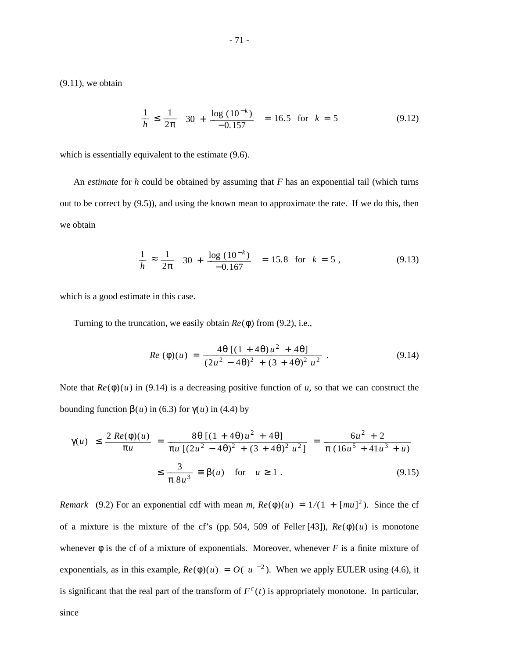$(9.11)$ , we obtain

$$
\frac{1}{h} \le \frac{1}{2\pi} \left[ 30 + \frac{\log(10^{-k})}{-0.157} \right] = 16.5 \text{ for } k = 5 \tag{9.12}
$$

which is essentially equivalent to the estimate (9.6).

An *estimate* for *h* could be obtained by assuming that *F* has an exponential tail (which turns out to be correct by (9.5)), and using the known mean to approximate the rate. If we do this, then we obtain

$$
\frac{1}{h} \approx \frac{1}{2\pi} \left[ 30 + \frac{\log (10^{-k})}{-0.167} \right] = 15.8 \text{ for } k = 5,
$$
 (9.13)

which is a good estimate in this case.

Turning to the truncation, we easily obtain *Re*(φ) from (9.2), i.e.,

$$
Re\ (\phi)(u) = \frac{4\theta\ [(1+4\theta)u^2+4\theta]}{(2u^2-4\theta)^2+(3+4\theta)^2 u^2} \ . \tag{9.14}
$$

Note that  $Re(\phi)(u)$  in (9.14) is a decreasing positive function of *u*, so that we can construct the bounding function  $β(u)$  in (6.3) for  $γ(u)$  in (4.4) by

$$
|\gamma(u)| \le \frac{2 \operatorname{Re}(\phi)(u)}{\pi u} = \frac{8\theta \left[ (1+4\theta)u^2 + 4\theta \right]}{\pi u \left[ (2u^2 - 4\theta)^2 + (3+4\theta)^2 u^2 \right]} = \frac{6u^2 + 2}{\pi (16u^5 + 41u^3 + u)}
$$

$$
\le \frac{3}{\pi 8u^3} \equiv \beta(u) \quad \text{for} \quad u \ge 1. \tag{9.15}
$$

*Remark* (9.2) For an exponential cdf with mean *m*,  $Re(\phi)(u) = 1/(1 + [mu]^2)$ . Since the cf of a mixture is the mixture of the cf's (pp. 504, 509 of Feller [43]),  $Re(\phi)(u)$  is monotone whenever  $\phi$  is the cf of a mixture of exponentials. Moreover, whenever *F* is a finite mixture of exponentials, as in this example,  $Re(\phi)(u) = O(|u|^{-2})$ . When we apply EULER using (4.6), it is significant that the real part of the transform of  $F^c(t)$  is appropriately monotone. In particular, since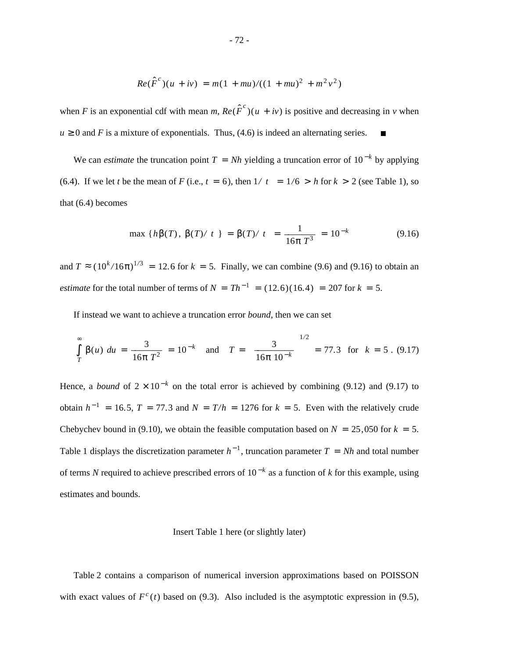$$
Re(\hat{F}^{c})(u + iv) = m(1 + mu)/((1 + mu)^{2} + m^{2}v^{2})
$$

when *F* is an exponential cdf with mean *m*,  $Re(\hat{F}^c)(u + iv)$  is positive and decreasing in *v* when  $u \ge 0$  and *F* is a mixture of exponentials. Thus, (4.6) is indeed an alternating series.

We can *estimate* the truncation point  $T = Nh$  yielding a truncation error of  $10^{-k}$  by applying (6.4). If we let *t* be the mean of *F* (i.e.,  $t = 6$ ), then  $1/|t| = 1/6 > h$  for  $k > 2$  (see Table 1), so that (6.4) becomes

$$
\max \left\{ h\beta(T), \ \beta(T)/|t| \right\} = \beta(T)/|t| = \frac{1}{16\pi \, T^3} = 10^{-k} \tag{9.16}
$$

and  $T \approx (10^k/16\pi)^{1/3} = 12.6$  for  $k = 5$ . Finally, we can combine (9.6) and (9.16) to obtain an *estimate* for the total number of terms of  $N = Th^{-1} = (12.6)(16.4) = 207$  for  $k = 5$ .

If instead we want to achieve a truncation error *bound*, then we can set

$$
\int_{T}^{\infty} \beta(u) \ du = \frac{3}{16\pi \ T^2} = 10^{-k} \quad \text{and} \quad T = \left[\frac{3}{16\pi \ 10^{-k}}\right]^{1/2} = 77.3 \quad \text{for} \quad k = 5 \ . \tag{9.17}
$$

Hence, a *bound* of  $2 \times 10^{-k}$  on the total error is achieved by combining (9.12) and (9.17) to obtain  $h^{-1} = 16.5$ ,  $T = 77.3$  and  $N = T/h = 1276$  for  $k = 5$ . Even with the relatively crude Chebychev bound in (9.10), we obtain the feasible computation based on  $N = 25,050$  for  $k = 5$ . Table 1 displays the discretization parameter  $h^{-1}$ , truncation parameter  $T = Nh$  and total number of terms *N* required to achieve prescribed errors of 10 <sup>−</sup> *<sup>k</sup>* as a function of *k* for this example, using estimates and bounds.

## Insert Table 1 here (or slightly later)

Table 2 contains a comparison of numerical inversion approximations based on POISSON with exact values of  $F^c(t)$  based on (9.3). Also included is the asymptotic expression in (9.5),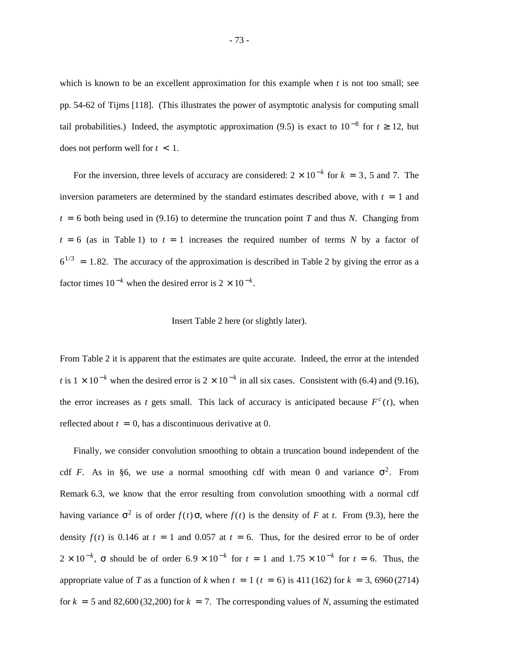which is known to be an excellent approximation for this example when *t* is not too small; see pp. 54-62 of Tijms [118]. (This illustrates the power of asymptotic analysis for computing small tail probabilities.) Indeed, the asymptotic approximation (9.5) is exact to  $10^{-8}$  for  $t \ge 12$ , but does not perform well for *t* < 1.

For the inversion, three levels of accuracy are considered:  $2 \times 10^{-k}$  for  $k = 3$ , 5 and 7. The inversion parameters are determined by the standard estimates described above, with  $t = 1$  and  $t = 6$  both being used in (9.16) to determine the truncation point *T* and thus *N*. Changing from  $t = 6$  (as in Table 1) to  $t = 1$  increases the required number of terms *N* by a factor of  $6^{1/3}$  = 1.82. The accuracy of the approximation is described in Table 2 by giving the error as a factor times  $10^{-k}$  when the desired error is  $2 \times 10^{-k}$ .

## Insert Table 2 here (or slightly later).

From Table 2 it is apparent that the estimates are quite accurate. Indeed, the error at the intended *t* is  $1 \times 10^{-k}$  when the desired error is  $2 \times 10^{-k}$  in all six cases. Consistent with (6.4) and (9.16), the error increases as *t* gets small. This lack of accuracy is anticipated because  $F^c(t)$ , when reflected about  $t = 0$ , has a discontinuous derivative at 0.

Finally, we consider convolution smoothing to obtain a truncation bound independent of the cdf *F*. As in §6, we use a normal smoothing cdf with mean 0 and variance  $\sigma^2$ . From Remark 6.3, we know that the error resulting from convolution smoothing with a normal cdf having variance  $\sigma^2$  is of order  $f(t)$   $\sigma$ , where  $f(t)$  is the density of *F* at *t*. From (9.3), here the density  $f(t)$  is 0.146 at  $t = 1$  and 0.057 at  $t = 6$ . Thus, for the desired error to be of order  $2 \times 10^{-k}$ ,  $\sigma$  should be of order  $6.9 \times 10^{-k}$  for  $t = 1$  and  $1.75 \times 10^{-k}$  for  $t = 6$ . Thus, the appropriate value of *T* as a function of *k* when  $t = 1$  ( $t = 6$ ) is 411 (162) for  $k = 3$ , 6960 (2714) for  $k = 5$  and 82,600 (32,200) for  $k = 7$ . The corresponding values of *N*, assuming the estimated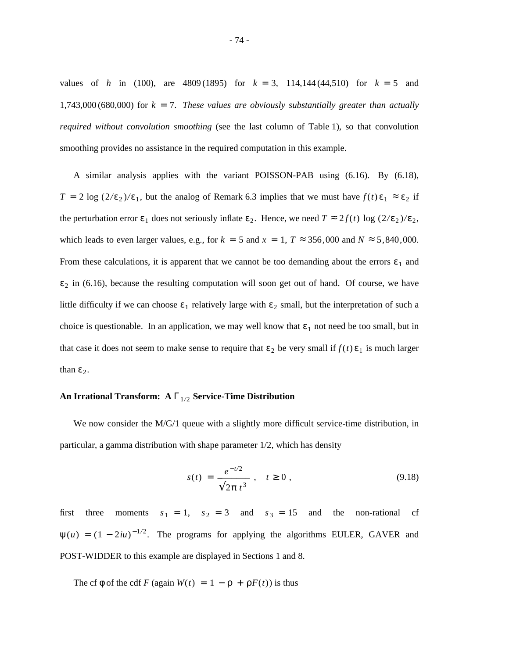values of *h* in (100), are 4809 (1895) for  $k = 3$ , 114,144 (44,510) for  $k = 5$  and 1,743,000 (680,000) for  $k = 7$ . These values are obviously substantially greater than actually *required without convolution smoothing* (see the last column of Table 1), so that convolution smoothing provides no assistance in the required computation in this example.

A similar analysis applies with the variant POISSON-PAB using (6.16). By (6.18), *T* = 2 log  $(2/\epsilon_2)/\epsilon_1$ , but the analog of Remark 6.3 implies that we must have  $f(t)\epsilon_1 \approx \epsilon_2$  if the perturbation error  $\varepsilon_1$  does not seriously inflate  $\varepsilon_2$ . Hence, we need  $T \approx 2f(t) \log (2/\varepsilon_2)/\varepsilon_2$ , which leads to even larger values, e.g., for  $k = 5$  and  $x = 1$ ,  $T \approx 356,000$  and  $N \approx 5,840,000$ . From these calculations, it is apparent that we cannot be too demanding about the errors  $\varepsilon_1$  and  $\varepsilon_2$  in (6.16), because the resulting computation will soon get out of hand. Of course, we have little difficulty if we can choose  $\varepsilon_1$  relatively large with  $\varepsilon_2$  small, but the interpretation of such a choice is questionable. In an application, we may well know that  $\varepsilon_1$  not need be too small, but in that case it does not seem to make sense to require that  $\varepsilon_2$  be very small if  $f(t)\varepsilon_1$  is much larger than  $\varepsilon_2$ .

# **An Irrational Transform: A** Γ<sub>1/2</sub> **Service-Time Distribution**

We now consider the M/G/1 queue with a slightly more difficult service-time distribution, in particular, a gamma distribution with shape parameter 1/2, which has density

$$
s(t) = \frac{e^{-t/2}}{\sqrt{2\pi t^3}}, \quad t \ge 0,
$$
\n(9.18)

first three moments  $s_1 = 1$ ,  $s_2 = 3$  and  $s_3 = 15$  and the non-rational cf  $\psi(u) = (1 - 2iu)^{-1/2}$ . The programs for applying the algorithms EULER, GAVER and POST-WIDDER to this example are displayed in Sections 1 and 8.

The cf  $\phi$  of the cdf *F* (again  $W(t) = 1 - \rho + \rho F(t)$ ) is thus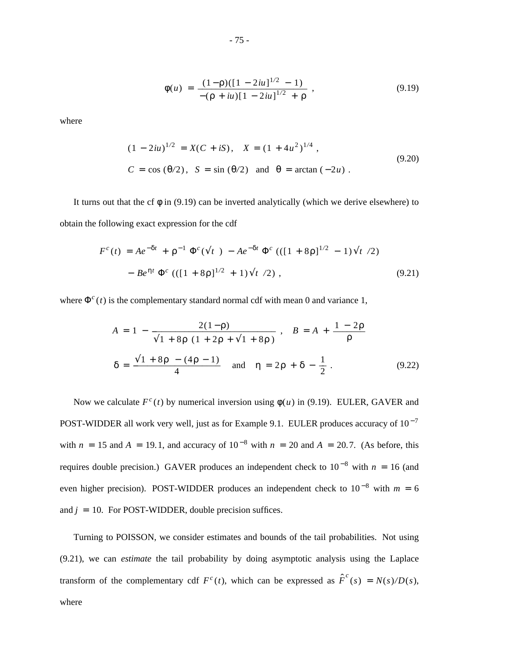$$
\phi(u) = \frac{(1-\rho)([1-2iu]^{1/2}-1)}{-(\rho + iu)[1-2iu]^{1/2} + \rho}, \qquad (9.19)
$$

where

$$
(1 - 2iu)^{1/2} = X(C + iS), \quad X = (1 + 4u^2)^{1/4},
$$
  
\n
$$
C = \cos(\theta/2), \quad S = \sin(\theta/2) \quad \text{and} \quad \theta = \arctan(-2u).
$$
\n(9.20)

It turns out that the cf  $\phi$  in (9.19) can be inverted analytically (which we derive elsewhere) to obtain the following exact expression for the cdf

$$
F^{c}(t) = Ae^{-\delta t} + \rho^{-1} \Phi^{c}(\sqrt{t}) - Ae^{-\delta t} \Phi^{c} (([1 + 8\rho]^{1/2} - 1)\sqrt{t})
$$
  
- Be<sup>ηt</sup> Φ<sup>c</sup> (([1 + 8\rho]^{1/2} + 1)\sqrt{t}) , (9.21)

where  $\Phi^c(t)$  is the complementary standard normal cdf with mean 0 and variance 1,

$$
A = 1 - \frac{2(1-\rho)}{\sqrt{1+8\rho (1+2\rho + \sqrt{1+8\rho})}}, \quad B = A + \frac{1-2\rho}{\rho}
$$
  

$$
\delta = \frac{\sqrt{1+8\rho - (4\rho - 1)}}{4} \quad \text{and} \quad \eta = 2\rho + \delta - \frac{1}{2}. \tag{9.22}
$$

Now we calculate  $F^c(t)$  by numerical inversion using  $\phi(u)$  in (9.19). EULER, GAVER and POST-WIDDER all work very well, just as for Example 9.1. EULER produces accuracy of  $10^{-7}$ with  $n = 15$  and  $A = 19.1$ , and accuracy of  $10^{-8}$  with  $n = 20$  and  $A = 20.7$ . (As before, this requires double precision.) GAVER produces an independent check to  $10^{-8}$  with  $n = 16$  (and even higher precision). POST-WIDDER produces an independent check to  $10^{-8}$  with  $m = 6$ and  $j = 10$ . For POST-WIDDER, double precision suffices.

Turning to POISSON, we consider estimates and bounds of the tail probabilities. Not using (9.21), we can *estimate* the tail probability by doing asymptotic analysis using the Laplace transform of the complementary cdf  $F^c(t)$ , which can be expressed as  $\hat{F}^c(s) = N(s)/D(s)$ , where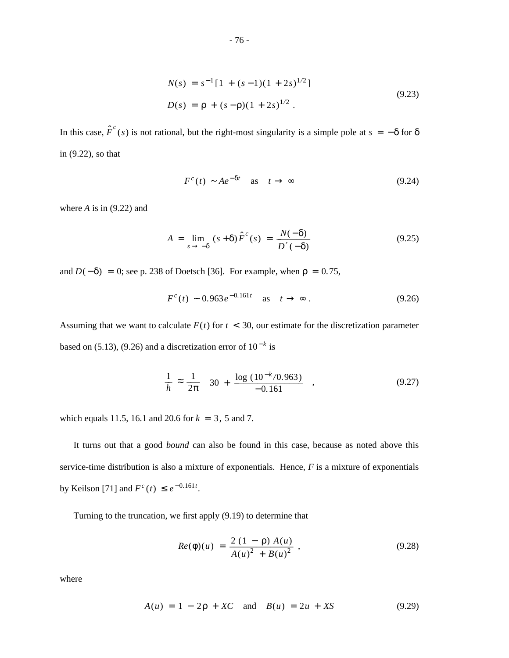$$
N(s) = s^{-1} [1 + (s-1)(1+2s)^{1/2}]
$$
  
\n
$$
D(s) = \rho + (s-\rho)(1+2s)^{1/2}.
$$
\n(9.23)

In this case,  $\hat{F}^c(s)$  is not rational, but the right-most singularity is a simple pole at  $s = -\delta$  for  $\delta$ in (9.22), so that

$$
F^{c}(t) \sim Ae^{-\delta t} \quad \text{as} \quad t \to \infty \tag{9.24}
$$

where  $A$  is in  $(9.22)$  and

$$
A = \lim_{s \to -\delta} (s + \delta) \hat{F}^{c}(s) = \frac{N(-\delta)}{D'(-\delta)}
$$
(9.25)

and  $D(-\delta) = 0$ ; see p. 238 of Doetsch [36]. For example, when  $\rho = 0.75$ ,

$$
F^{c}(t) \sim 0.963e^{-0.161t} \quad \text{as} \quad t \to \infty \,. \tag{9.26}
$$

Assuming that we want to calculate  $F(t)$  for  $t < 30$ , our estimate for the discretization parameter based on (5.13), (9.26) and a discretization error of  $10^{-k}$  is

$$
\frac{1}{h} \approx \frac{1}{2\pi} \left[ 30 + \frac{\log (10^{-k}/0.963)}{-0.161} \right],
$$
\n(9.27)

which equals 11.5, 16.1 and 20.6 for  $k = 3$ , 5 and 7.

It turns out that a good *bound* can also be found in this case, because as noted above this service-time distribution is also a mixture of exponentials. Hence, *F* is a mixture of exponentials by Keilson [71] and  $F^c(t) \leq e^{-0.161t}$ .

Turning to the truncation, we first apply (9.19) to determine that

$$
Re(\phi)(u) = \frac{2(1-\rho) A(u)}{A(u)^2 + B(u)^2} , \qquad (9.28)
$$

where

$$
A(u) = 1 - 2p + XC \text{ and } B(u) = 2u + XS \tag{9.29}
$$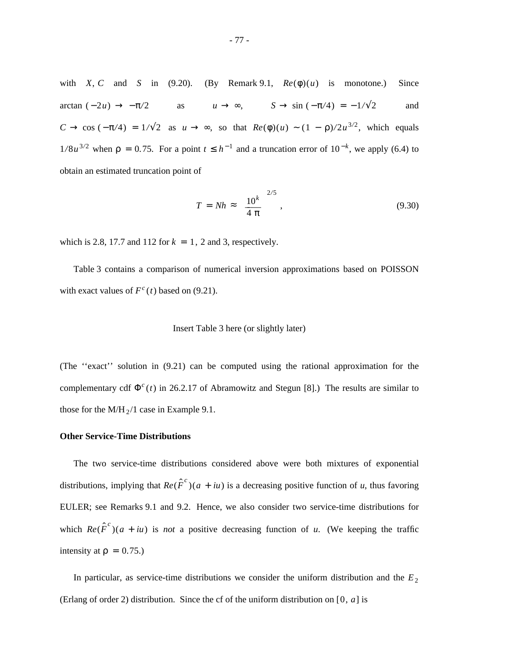with *X*, *C* and *S* in (9.20). (By Remark 9.1,  $Re(\phi)(u)$  is monotone.) Since arctan  $(-2u) \rightarrow -\pi/2$  as  $u \rightarrow \infty$ ,  $S \rightarrow \sin(-\pi/4) = -1/\sqrt{2}$  and  $C \to \cos(-\pi/4) = 1/\sqrt{2}$  as  $u \to \infty$ , so that  $Re(\phi)(u) \sim (1 - \rho)/2u^{3/2}$ , which equals  $1/8u^{3/2}$  when  $\rho = 0.75$ . For a point  $t \leq h^{-1}$  and a truncation error of  $10^{-k}$ , we apply (6.4) to obtain an estimated truncation point of

$$
T = Nh \approx \left(\frac{10^k}{4 \pi}\right)^{2/5},\tag{9.30}
$$

which is 2.8, 17.7 and 112 for  $k = 1$ , 2 and 3, respectively.

Table 3 contains a comparison of numerical inversion approximations based on POISSON with exact values of  $F^c(t)$  based on (9.21).

### Insert Table 3 here (or slightly later)

(The ''exact'' solution in (9.21) can be computed using the rational approximation for the complementary cdf  $\Phi^c(t)$  in 26.2.17 of Abramowitz and Stegun [8].) The results are similar to those for the  $M/H_2/1$  case in Example 9.1.

## **Other Service-Time Distributions**

The two service-time distributions considered above were both mixtures of exponential distributions, implying that  $Re(\hat{F}^c)(a + iu)$  is a decreasing positive function of *u*, thus favoring EULER; see Remarks 9.1 and 9.2. Hence, we also consider two service-time distributions for which  $Re(\hat{F}^c)(a + iu)$  is *not* a positive decreasing function of *u*. (We keeping the traffic intensity at  $\rho = 0.75$ .)

In particular, as service-time distributions we consider the uniform distribution and the  $E_2$ (Erlang of order 2) distribution. Since the cf of the uniform distribution on [0,  $a$ ] is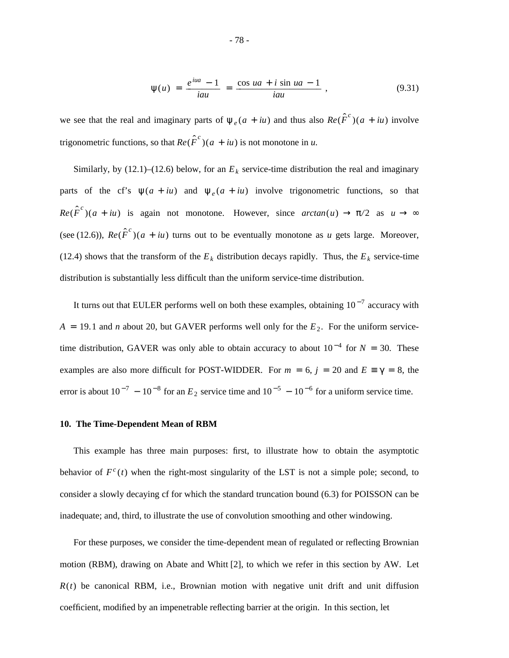$$
\psi(u) = \frac{e^{iua} - 1}{iau} = \frac{\cos ua + i \sin ua - 1}{iau}, \qquad (9.31)
$$

we see that the real and imaginary parts of  $\psi_e(a + iu)$  and thus also  $Re(\hat{F}^c)(a + iu)$  involve trigonometric functions, so that  $Re(\hat{F}^c)(a + iu)$  is not monotone in *u*.

Similarly, by  $(12.1)$ – $(12.6)$  below, for an  $E<sub>k</sub>$  service-time distribution the real and imaginary parts of the cf's  $\psi(a + iu)$  and  $\psi_e(a + iu)$  involve trigonometric functions, so that  $Re(\hat{F}^c)(a + iu)$  is again not monotone. However, since  $arctan(u) \rightarrow \pi/2$  as  $u \rightarrow \infty$ (see (12.6)),  $Re(\hat{F}^c)(a + iu)$  turns out to be eventually monotone as *u* gets large. Moreover, (12.4) shows that the transform of the  $E_k$  distribution decays rapidly. Thus, the  $E_k$  service-time distribution is substantially less difficult than the uniform service-time distribution.

It turns out that EULER performs well on both these examples, obtaining  $10^{-7}$  accuracy with  $A = 19.1$  and *n* about 20, but GAVER performs well only for the  $E_2$ . For the uniform servicetime distribution, GAVER was only able to obtain accuracy to about  $10^{-4}$  for  $N = 30$ . These examples are also more difficult for POST-WIDDER. For  $m = 6$ ,  $j = 20$  and  $E = \gamma = 8$ , the error is about  $10^{-7} - 10^{-8}$  for an  $E_2$  service time and  $10^{-5} - 10^{-6}$  for a uniform service time.

#### **10. The Time-Dependent Mean of RBM**

This example has three main purposes: first, to illustrate how to obtain the asymptotic behavior of  $F^c(t)$  when the right-most singularity of the LST is not a simple pole; second, to consider a slowly decaying cf for which the standard truncation bound (6.3) for POISSON can be inadequate; and, third, to illustrate the use of convolution smoothing and other windowing.

For these purposes, we consider the time-dependent mean of regulated or reflecting Brownian motion (RBM), drawing on Abate and Whitt [2], to which we refer in this section by AW. Let  $R(t)$  be canonical RBM, i.e., Brownian motion with negative unit drift and unit diffusion coefficient, modified by an impenetrable reflecting barrier at the origin. In this section, let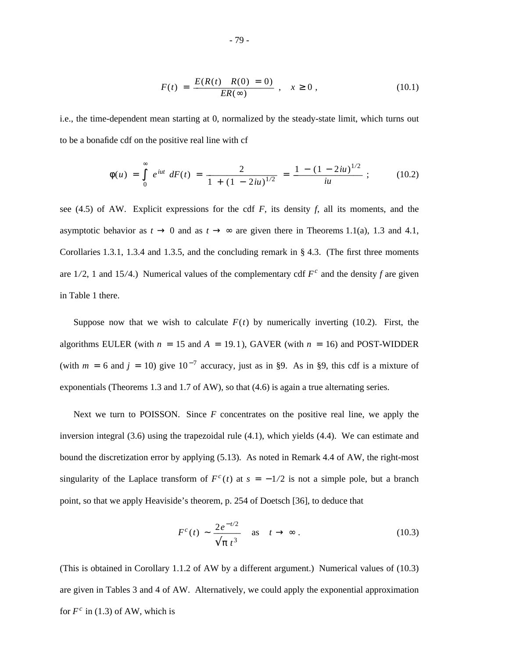$$
F(t) = \frac{E(R(t) | R(0) = 0)}{ER(\infty)}, \quad x \ge 0,
$$
\n(10.1)

i.e., the time-dependent mean starting at 0, normalized by the steady-state limit, which turns out to be a bonafide cdf on the positive real line with cf

$$
\phi(u) = \int_0^\infty e^{iut} \ dF(t) = \frac{2}{1 + (1 - 2iu)^{1/2}} = \frac{1 - (1 - 2iu)^{1/2}}{iu}; \qquad (10.2)
$$

see (4.5) of AW. Explicit expressions for the cdf *F*, its density *f*, all its moments, and the asymptotic behavior as  $t \to 0$  and as  $t \to \infty$  are given there in Theorems 1.1(a), 1.3 and 4.1, Corollaries 1.3.1, 1.3.4 and 1.3.5, and the concluding remark in § 4.3. (The first three moments are  $1/2$ , 1 and  $15/4$ .) Numerical values of the complementary cdf  $F^c$  and the density f are given in Table 1 there.

Suppose now that we wish to calculate  $F(t)$  by numerically inverting (10.2). First, the algorithms EULER (with  $n = 15$  and  $A = 19.1$ ), GAVER (with  $n = 16$ ) and POST-WIDDER (with  $m = 6$  and  $j = 10$ ) give  $10^{-7}$  accuracy, just as in §9. As in §9, this cdf is a mixture of exponentials (Theorems 1.3 and 1.7 of AW), so that (4.6) is again a true alternating series.

Next we turn to POISSON. Since *F* concentrates on the positive real line, we apply the inversion integral (3.6) using the trapezoidal rule (4.1), which yields (4.4). We can estimate and bound the discretization error by applying (5.13). As noted in Remark 4.4 of AW, the right-most singularity of the Laplace transform of  $F^c(t)$  at  $s = -1/2$  is not a simple pole, but a branch point, so that we apply Heaviside's theorem, p. 254 of Doetsch [36], to deduce that

$$
F^{c}(t) \sim \frac{2e^{-t/2}}{\sqrt{\pi t^3}} \quad \text{as} \quad t \to \infty \tag{10.3}
$$

(This is obtained in Corollary 1.1.2 of AW by a different argument.) Numerical values of (10.3) are given in Tables 3 and 4 of AW. Alternatively, we could apply the exponential approximation for  $F^c$  in (1.3) of AW, which is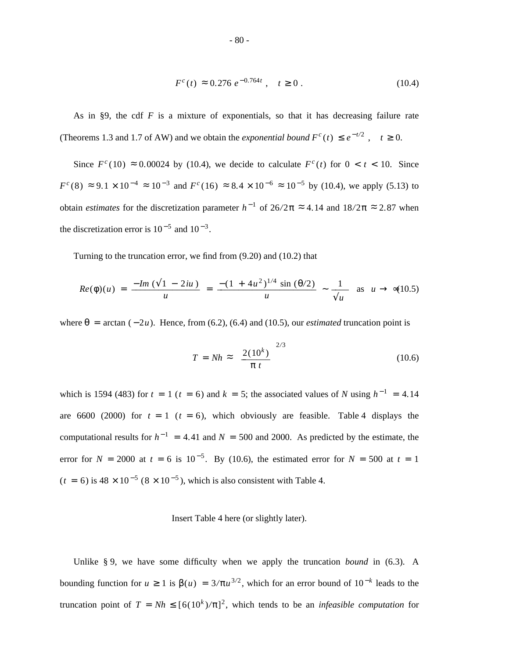$$
F^{c}(t) \approx 0.276 \, e^{-0.764t} \,, \quad t \ge 0 \,. \tag{10.4}
$$

As in §9, the cdf *F* is a mixture of exponentials, so that it has decreasing failure rate (Theorems 1.3 and 1.7 of AW) and we obtain the *exponential bound*  $F^c(t) \leq e^{-t/2}$ ,  $t \geq 0$ .

Since  $F^c(10) \approx 0.00024$  by (10.4), we decide to calculate  $F^c(t)$  for  $0 < t < 10$ . Since  $F^c(8) \approx 9.1 \times 10^{-4} \approx 10^{-3}$  and  $F^c(16) \approx 8.4 \times 10^{-6} \approx 10^{-5}$  by (10.4), we apply (5.13) to obtain *estimates* for the discretization parameter  $h^{-1}$  of 26/2 $\pi \approx 4.14$  and  $18/2\pi \approx 2.87$  when the discretization error is  $10^{-5}$  and  $10^{-3}$ .

Turning to the truncation error, we find from (9.20) and (10.2) that

$$
Re(\phi)(u) = \frac{-Im(\sqrt{1-2iu})}{u} = \frac{-(1+4u^2)^{1/4} \sin(\theta/2)}{u} \sim \frac{1}{\sqrt{u}} \text{ as } u \to \infty (10.5)
$$

where  $\theta$  = arctan  $(-2u)$ . Hence, from (6.2), (6.4) and (10.5), our *estimated* truncation point is

$$
T = Nh \approx \left[\frac{2(10^k)}{\pi t}\right]^{2/3} \tag{10.6}
$$

which is 1594 (483) for  $t = 1$  ( $t = 6$ ) and  $k = 5$ ; the associated values of *N* using  $h^{-1} = 4.14$ are 6600 (2000) for  $t = 1$  ( $t = 6$ ), which obviously are feasible. Table 4 displays the computational results for  $h^{-1} = 4.41$  and  $N = 500$  and 2000. As predicted by the estimate, the error for  $N = 2000$  at  $t = 6$  is  $10^{-5}$ . By (10.6), the estimated error for  $N = 500$  at  $t = 1$  $(t = 6)$  is  $48 \times 10^{-5}$  ( $8 \times 10^{-5}$ ), which is also consistent with Table 4.

#### Insert Table 4 here (or slightly later).

Unlike § 9, we have some difficulty when we apply the truncation *bound* in (6.3). A bounding function for *u* ≥ 1 is  $β(u) = 3/πu^{3/2}$ , which for an error bound of  $10<sup>-k</sup>$  leads to the truncation point of  $T = Nh \leq [6(10<sup>k</sup>)/\pi]<sup>2</sup>$ , which tends to be an *infeasible computation* for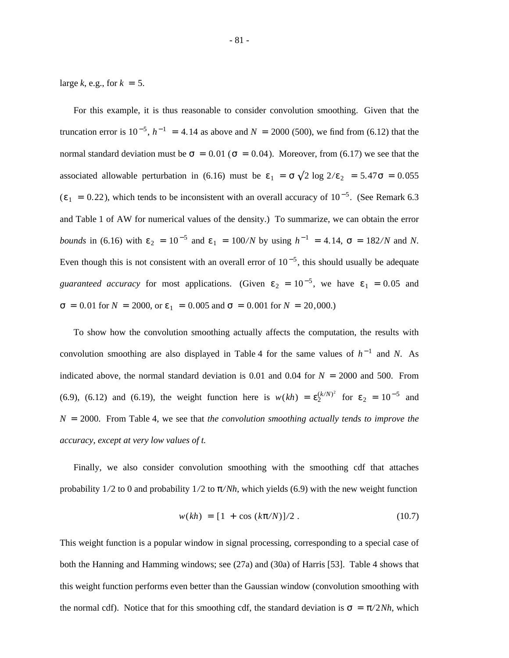large  $k$ , e.g., for  $k = 5$ .

For this example, it is thus reasonable to consider convolution smoothing. Given that the truncation error is  $10^{-5}$ ,  $h^{-1} = 4.14$  as above and  $N = 2000$  (500), we find from (6.12) that the normal standard deviation must be  $\sigma = 0.01$  ( $\sigma = 0.04$ ). Moreover, from (6.17) we see that the associated allowable perturbation in (6.16) must be  $\varepsilon_1 = \sigma \sqrt{2 \log 2/\varepsilon_2} = 5.47 \sigma = 0.055$  $(\epsilon_1 = 0.22)$ , which tends to be inconsistent with an overall accuracy of 10<sup>-5</sup>. (See Remark 6.3) and Table 1 of AW for numerical values of the density.) To summarize, we can obtain the error *bounds* in (6.16) with  $\varepsilon_2 = 10^{-5}$  and  $\varepsilon_1 = 100/N$  by using  $h^{-1} = 4.14$ ,  $\sigma = 182/N$  and N. Even though this is not consistent with an overall error of  $10^{-5}$ , this should usually be adequate *guaranteed accuracy* for most applications. (Given  $\varepsilon_2 = 10^{-5}$ , we have  $\varepsilon_1 = 0.05$  and  $σ = 0.01$  for  $N = 2000$ , or  $ε_1 = 0.005$  and  $σ = 0.001$  for  $N = 20,000$ .)

To show how the convolution smoothing actually affects the computation, the results with convolution smoothing are also displayed in Table 4 for the same values of  $h^{-1}$  and *N*. As indicated above, the normal standard deviation is  $0.01$  and  $0.04$  for  $N = 2000$  and 500. From (6.9), (6.12) and (6.19), the weight function here is  $w(kh) = \varepsilon_2^{(k/N)^2}$  for  $\varepsilon_2 = 10^{-5}$  and *N* = 2000. From Table 4, we see that *the convolution smoothing actually tends to improve the accuracy, except at very low values of t.*

Finally, we also consider convolution smoothing with the smoothing cdf that attaches probability  $1/2$  to 0 and probability  $1/2$  to  $\pi/Nh$ , which yields (6.9) with the new weight function

$$
w(kh) = [1 + \cos (k\pi/N)]/2. \qquad (10.7)
$$

This weight function is a popular window in signal processing, corresponding to a special case of both the Hanning and Hamming windows; see (27a) and (30a) of Harris [53]. Table 4 shows that this weight function performs even better than the Gaussian window (convolution smoothing with the normal cdf). Notice that for this smoothing cdf, the standard deviation is  $\sigma = \pi/2Nh$ , which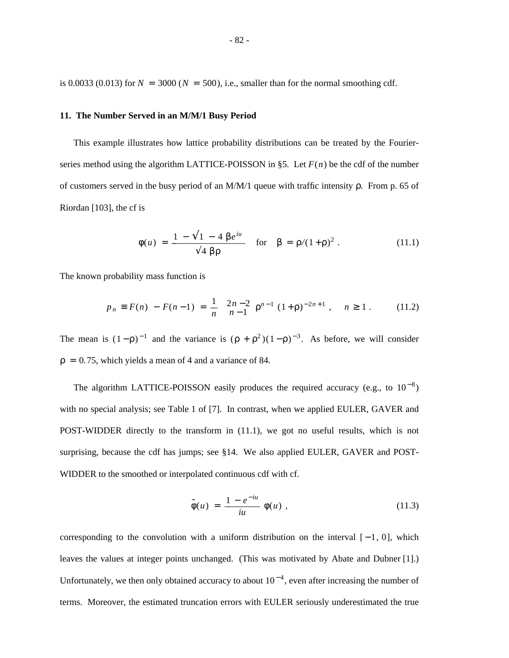is 0.0033 (0.013) for  $N = 3000$  ( $N = 500$ ), i.e., smaller than for the normal smoothing cdf.

### **11. The Number Served in an M/M/1 Busy Period**

This example illustrates how lattice probability distributions can be treated by the Fourierseries method using the algorithm LATTICE-POISSON in §5. Let  $F(n)$  be the cdf of the number of customers served in the busy period of an M/M/1 queue with traffic intensity ρ. From p. 65 of Riordan [103], the cf is

$$
\phi(u) = \frac{1 - \sqrt{1 - 4 \beta e^{iu}}}{\sqrt{4 \beta \rho}}
$$
 for  $\beta = \rho/(1 + \rho)^2$ . (11.1)

The known probability mass function is

$$
p_n \equiv F(n) - F(n-1) = \frac{1}{n} \left[ \frac{2n-2}{n-1} \right] \rho^{n-1} (1+\rho)^{-2n+1}, \quad n \ge 1. \tag{11.2}
$$

The mean is  $(1-\rho)^{-1}$  and the variance is  $(\rho + \rho^2)(1-\rho)^{-3}$ . As before, we will consider  $p = 0.75$ , which yields a mean of 4 and a variance of 84.

The algorithm LATTICE-POISSON easily produces the required accuracy (e.g., to  $10^{-8}$ ) with no special analysis; see Table 1 of [7]. In contrast, when we applied EULER, GAVER and POST-WIDDER directly to the transform in (11.1), we got no useful results, which is not surprising, because the cdf has jumps; see §14. We also applied EULER, GAVER and POST-WIDDER to the smoothed or interpolated continuous cdf with cf.

$$
\tilde{\phi}(u) = \frac{1 - e^{-iu}}{iu} \phi(u) , \qquad (11.3)
$$

corresponding to the convolution with a uniform distribution on the interval  $[-1, 0]$ , which leaves the values at integer points unchanged. (This was motivated by Abate and Dubner [1].) Unfortunately, we then only obtained accuracy to about  $10^{-4}$ , even after increasing the number of terms. Moreover, the estimated truncation errors with EULER seriously underestimated the true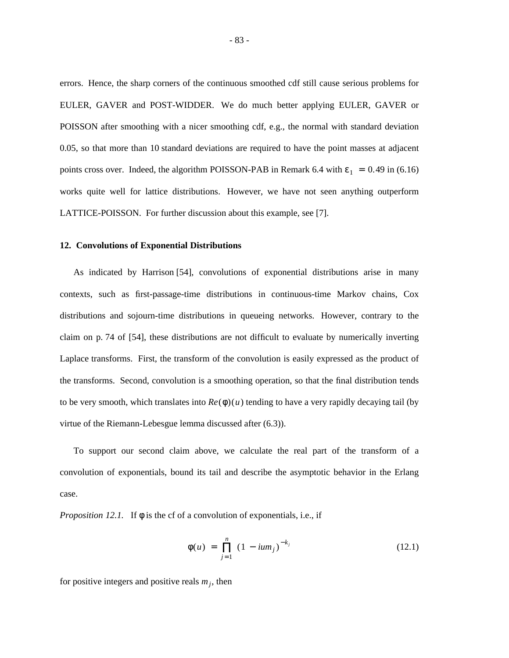errors. Hence, the sharp corners of the continuous smoothed cdf still cause serious problems for EULER, GAVER and POST-WIDDER. We do much better applying EULER, GAVER or POISSON after smoothing with a nicer smoothing cdf, e.g., the normal with standard deviation 0.05, so that more than 10 standard deviations are required to have the point masses at adjacent points cross over. Indeed, the algorithm POISSON-PAB in Remark 6.4 with  $\varepsilon_1 = 0.49$  in (6.16) works quite well for lattice distributions. However, we have not seen anything outperform LATTICE-POISSON. For further discussion about this example, see [7].

## **12. Convolutions of Exponential Distributions**

As indicated by Harrison [54], convolutions of exponential distributions arise in many contexts, such as first-passage-time distributions in continuous-time Markov chains, Cox distributions and sojourn-time distributions in queueing networks. However, contrary to the claim on p. 74 of [54], these distributions are not difficult to evaluate by numerically inverting Laplace transforms. First, the transform of the convolution is easily expressed as the product of the transforms. Second, convolution is a smoothing operation, so that the final distribution tends to be very smooth, which translates into  $Re(\phi)(u)$  tending to have a very rapidly decaying tail (by virtue of the Riemann-Lebesgue lemma discussed after (6.3)).

To support our second claim above, we calculate the real part of the transform of a convolution of exponentials, bound its tail and describe the asymptotic behavior in the Erlang case.

*Proposition 12.1.* If  $\phi$  is the cf of a convolution of exponentials, i.e., if

$$
\phi(u) = \prod_{j=1}^{n} (1 - i u m_j)^{-k_j}
$$
 (12.1)

for positive integers and positive reals  $m_j$ , then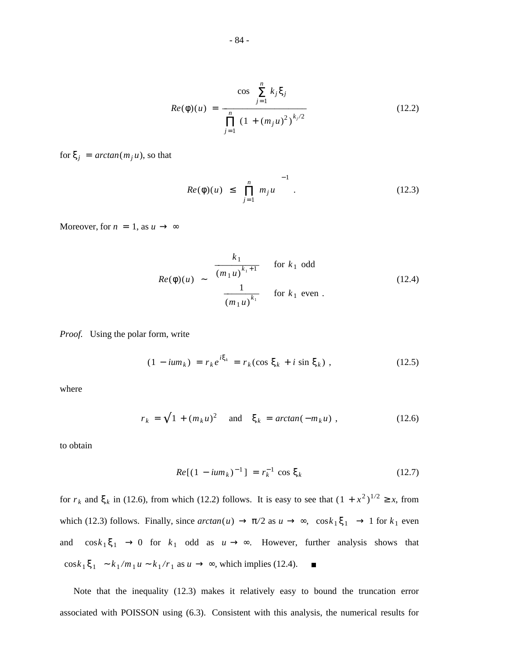$$
Re(\phi)(u) = \frac{\cos\left[\sum_{j=1}^{n} k_j \xi_j\right]}{\prod_{j=1}^{n} (1 + (m_j u)^2)^{k_j/2}}
$$
(12.2)

for  $\xi_j$  =  $arctan(m_j u)$ , so that

$$
|Re(\phi)(u)| \le \left[\prod_{j=1}^{n} m_j u\right]^{-1}.
$$
 (12.3)

Moreover, for  $n = 1$ , as  $u \rightarrow \infty$ 

$$
|Re(\phi)(u)| \sim \begin{cases} \frac{k_1}{(m_1 u)^{k_1+1}} & \text{for } k_1 \text{ odd} \\ \frac{1}{(m_1 u)^{k_1}} & \text{for } k_1 \text{ even} \end{cases}
$$
(12.4)

*Proof.* Using the polar form, write

$$
(1 - i u m_k) = r_k e^{i \xi_k} = r_k (\cos \xi_k + i \sin \xi_k), \qquad (12.5)
$$

where

$$
r_k = \sqrt{1 + (m_k u)^2} \quad \text{and} \quad \xi_k = \arctan(-m_k u) \tag{12.6}
$$

to obtain

$$
Re[(1 - ium_k)^{-1}] = r_k^{-1} \cos \xi_k
$$
 (12.7)

for  $r_k$  and  $\xi_k$  in (12.6), from which (12.2) follows. It is easy to see that  $(1 + x^2)^{1/2} \ge x$ , from which (12.3) follows. Finally, since  $arctan(u) \to \pi/2$  as  $u \to \infty$ ,  $|\cos k_1 \xi_1| \to 1$  for  $k_1$  even and  $|\cos k_1 \xi_1| \to 0$  for  $k_1$  odd as  $u \to \infty$ . However, further analysis shows that  $\left|\cos k_1 \xi_1\right| \sim k_1/m_1 u \sim k_1/r_1$  as  $u \to \infty$ , which implies (12.4).  $\blacksquare$ 

Note that the inequality (12.3) makes it relatively easy to bound the truncation error associated with POISSON using (6.3). Consistent with this analysis, the numerical results for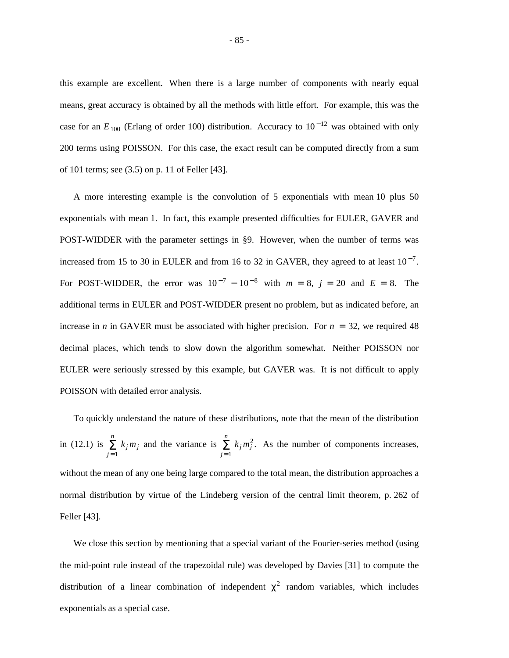this example are excellent. When there is a large number of components with nearly equal means, great accuracy is obtained by all the methods with little effort. For example, this was the case for an  $E_{100}$  (Erlang of order 100) distribution. Accuracy to 10<sup>-12</sup> was obtained with only 200 terms using POISSON. For this case, the exact result can be computed directly from a sum of 101 terms; see (3.5) on p. 11 of Feller [43].

A more interesting example is the convolution of 5 exponentials with mean 10 plus 50 exponentials with mean 1. In fact, this example presented difficulties for EULER, GAVER and POST-WIDDER with the parameter settings in §9. However, when the number of terms was increased from 15 to 30 in EULER and from 16 to 32 in GAVER, they agreed to at least  $10^{-7}$ . For POST-WIDDER, the error was  $10^{-7} - 10^{-8}$  with  $m = 8$ ,  $j = 20$  and  $E = 8$ . The additional terms in EULER and POST-WIDDER present no problem, but as indicated before, an increase in *n* in GAVER must be associated with higher precision. For  $n = 32$ , we required 48 decimal places, which tends to slow down the algorithm somewhat. Neither POISSON nor EULER were seriously stressed by this example, but GAVER was. It is not difficult to apply POISSON with detailed error analysis.

To quickly understand the nature of these distributions, note that the mean of the distribution in (12.1) is  $\sum_{j=1}^n$  $k_j m_j$  and the variance is  $\sum_{j=1}^n$  $k_j m_j^2$ . As the number of components increases, without the mean of any one being large compared to the total mean, the distribution approaches a normal distribution by virtue of the Lindeberg version of the central limit theorem, p. 262 of Feller [43].

We close this section by mentioning that a special variant of the Fourier-series method (using the mid-point rule instead of the trapezoidal rule) was developed by Davies [31] to compute the distribution of a linear combination of independent  $\chi^2$  random variables, which includes exponentials as a special case.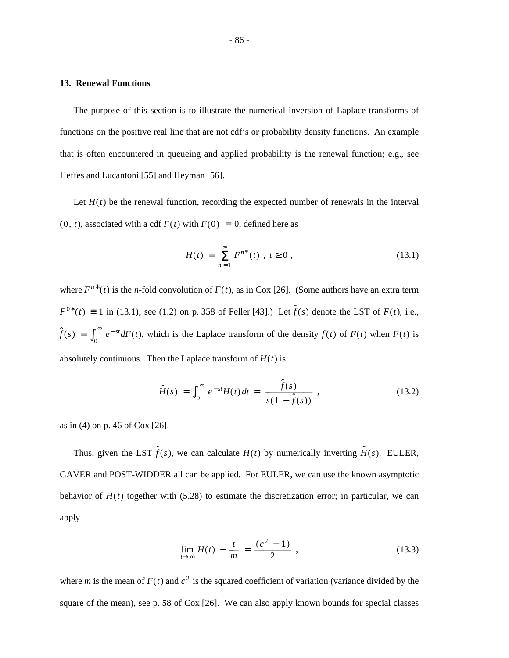### **13. Renewal Functions**

The purpose of this section is to illustrate the numerical inversion of Laplace transforms of functions on the positive real line that are not cdf's or probability density functions. An example that is often encountered in queueing and applied probability is the renewal function; e.g., see Heffes and Lucantoni [55] and Heyman [56].

Let  $H(t)$  be the renewal function, recording the expected number of renewals in the interval  $(0, t)$ , associated with a cdf  $F(t)$  with  $F(0) = 0$ , defined here as

$$
H(t) = \sum_{n=1}^{\infty} F^{n^*}(t) , t \ge 0 , \qquad (13.1)
$$

where  $F^{n*}(t)$  is the *n*-fold convolution of  $F(t)$ , as in Cox [26]. (Some authors have an extra term *F*<sup>0\*</sup>(*t*) ≡ 1 in (13.1); see (1.2) on p. 358 of Feller [43].) Let  $\hat{f}(s)$  denote the LST of *F*(*t*), i.e.,  $\hat{f}(s) = \int_0^s$  $\int_{0}^{\infty} e^{-st} dF(t)$ , which is the Laplace transform of the density  $f(t)$  of  $F(t)$  when  $F(t)$  is absolutely continuous. Then the Laplace transform of  $H(t)$  is

$$
\hat{H}(s) = \int_0^\infty e^{-st} H(t) dt = \frac{\hat{f}(s)}{s(1 - \hat{f}(s))},
$$
\n(13.2)

as in (4) on p. 46 of Cox [26].

Thus, given the LST  $\hat{f}(s)$ , we can calculate  $H(t)$  by numerically inverting  $\hat{H}(s)$ . EULER, GAVER and POST-WIDDER all can be applied. For EULER, we can use the known asymptotic behavior of  $H(t)$  together with (5.28) to estimate the discretization error; in particular, we can apply

$$
\lim_{t \to \infty} H(t) - \frac{t}{m} = \frac{(c^2 - 1)}{2} ,
$$
\n(13.3)

where *m* is the mean of  $F(t)$  and  $c^2$  is the squared coefficient of variation (variance divided by the square of the mean), see p. 58 of Cox [26]. We can also apply known bounds for special classes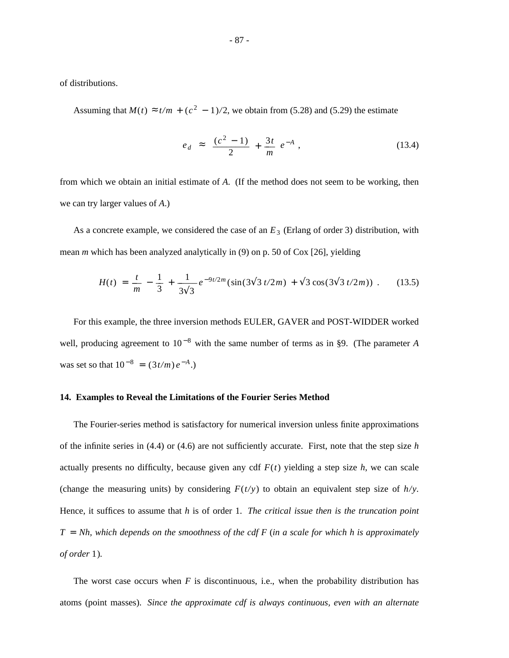of distributions.

Assuming that  $M(t) \approx t/m + (c^2 - 1)/2$ , we obtain from (5.28) and (5.29) the estimate

$$
|e_d| \approx \left[\frac{(c^2 - 1)}{2} + \frac{3t}{m}\right]e^{-A}, \qquad (13.4)
$$

from which we obtain an initial estimate of *A*. (If the method does not seem to be working, then we can try larger values of *A*.)

As a concrete example, we considered the case of an  $E_3$  (Erlang of order 3) distribution, with mean *m* which has been analyzed analytically in (9) on p. 50 of Cox [26], yielding

$$
H(t) = \frac{t}{m} - \frac{1}{3} + \frac{1}{3\sqrt{3}}e^{-9t/2m}(\sin(3\sqrt{3t/2m}) + \sqrt{3}\cos(3\sqrt{3t/2m})) . \tag{13.5}
$$

For this example, the three inversion methods EULER, GAVER and POST-WIDDER worked well, producing agreement to  $10^{-8}$  with the same number of terms as in §9. (The parameter *A* was set so that  $10^{-8} = (3t/m) e^{-A}$ .)

## **14. Examples to Reveal the Limitations of the Fourier Series Method**

The Fourier-series method is satisfactory for numerical inversion unless finite approximations of the infinite series in (4.4) or (4.6) are not sufficiently accurate. First, note that the step size *h* actually presents no difficulty, because given any cdf  $F(t)$  yielding a step size  $h$ , we can scale (change the measuring units) by considering  $F(t/y)$  to obtain an equivalent step size of  $h/y$ . Hence, it suffices to assume that *h* is of order 1. *The critical issue then is the truncation point T* = *Nh, which depends on the smoothness of the cdf F* (*in a scale for which h is approximately of order* 1 )*.*

The worst case occurs when  $F$  is discontinuous, i.e., when the probability distribution has atoms (point masses). *Since the approximate cdf is always continuous, even with an alternate*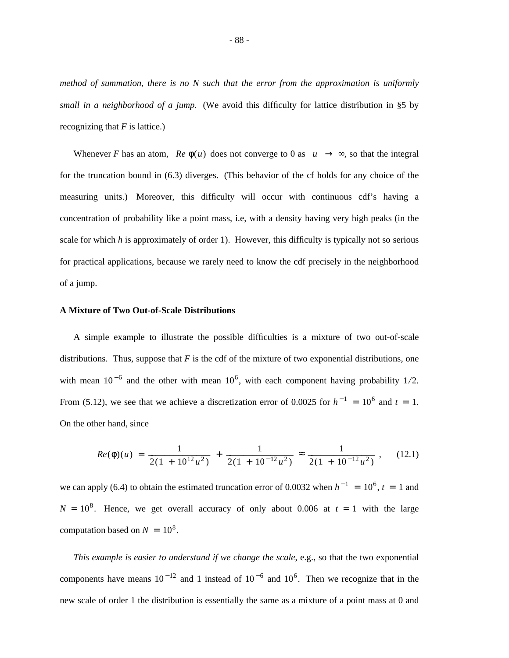*method of summation, there is no N such that the error from the approximation is uniformly small in a neighborhood of a jump.* (We avoid this difficulty for lattice distribution in §5 by recognizing that *F* is lattice.)

Whenever *F* has an atom,  $\left|Re \phi(u)\right|$  does not converge to 0 as  $|u| \to \infty$ , so that the integral for the truncation bound in (6.3) diverges. (This behavior of the cf holds for any choice of the measuring units.) Moreover, this difficulty will occur with continuous cdf's having a concentration of probability like a point mass, i.e, with a density having very high peaks (in the scale for which *h* is approximately of order 1). However, this difficulty is typically not so serious for practical applications, because we rarely need to know the cdf precisely in the neighborhood of a jump.

# **A Mixture of Two Out-of-Scale Distributions**

A simple example to illustrate the possible difficulties is a mixture of two out-of-scale distributions. Thus, suppose that  $F$  is the cdf of the mixture of two exponential distributions, one with mean  $10^{-6}$  and the other with mean  $10^{6}$ , with each component having probability  $1/2$ . From (5.12), we see that we achieve a discretization error of 0.0025 for  $h^{-1} = 10^6$  and  $t = 1$ . On the other hand, since

$$
Re(\phi)(u) = \frac{1}{2(1+10^{12}u^2)} + \frac{1}{2(1+10^{-12}u^2)} \approx \frac{1}{2(1+10^{-12}u^2)},
$$
 (12.1)

we can apply (6.4) to obtain the estimated truncation error of 0.0032 when  $h^{-1} = 10^6$ ,  $t = 1$  and  $N = 10<sup>8</sup>$ . Hence, we get overall accuracy of only about 0.006 at  $t = 1$  with the large computation based on  $N = 10^8$ .

*This example is easier to understand if we change the scale*, e.g., so that the two exponential components have means  $10^{-12}$  and 1 instead of  $10^{-6}$  and  $10^{6}$ . Then we recognize that in the new scale of order 1 the distribution is essentially the same as a mixture of a point mass at 0 and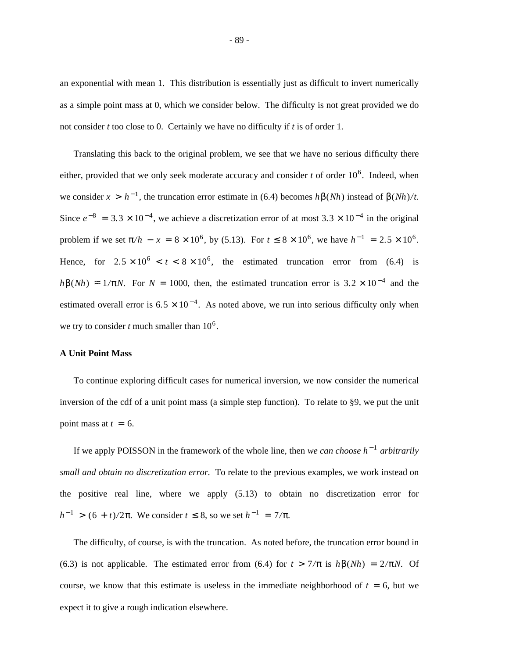an exponential with mean 1. This distribution is essentially just as difficult to invert numerically as a simple point mass at 0, which we consider below. The difficulty is not great provided we do not consider *t* too close to 0. Certainly we have no difficulty if *t* is of order 1.

Translating this back to the original problem, we see that we have no serious difficulty there either, provided that we only seek moderate accuracy and consider  $t$  of order  $10^6$ . Indeed, when we consider  $x > h^{-1}$ , the truncation error estimate in (6.4) becomes  $h\beta(Nh)$  instead of  $\beta(Nh)/t$ . Since  $e^{-8} = 3.3 \times 10^{-4}$ , we achieve a discretization error of at most  $3.3 \times 10^{-4}$  in the original problem if we set  $\pi/h - x = 8 \times 10^6$ , by (5.13). For  $t \le 8 \times 10^6$ , we have  $h^{-1} = 2.5 \times 10^6$ . Hence, for  $2.5 \times 10^6 < t < 8 \times 10^6$ , the estimated truncation error from (6.4) is  $h\beta(Nh) \approx 1/\pi N$ . For  $N = 1000$ , then, the estimated truncation error is 3.2 × 10<sup>-4</sup> and the estimated overall error is  $6.5 \times 10^{-4}$ . As noted above, we run into serious difficulty only when we try to consider  $t$  much smaller than  $10^6$ .

#### **A Unit Point Mass**

To continue exploring difficult cases for numerical inversion, we now consider the numerical inversion of the cdf of a unit point mass (a simple step function). To relate to §9, we put the unit point mass at  $t = 6$ .

If we apply POISSON in the framework of the whole line, then *we can choose h*<sup>-1</sup> arbitrarily *small and obtain no discretization error.* To relate to the previous examples, we work instead on the positive real line, where we apply (5.13) to obtain no discretization error for *h*<sup>-1</sup> > (6 + *t*)/2π. We consider *t* ≤ 8, so we set *h*<sup>-1</sup> = 7/π.

The difficulty, of course, is with the truncation. As noted before, the truncation error bound in (6.3) is not applicable. The estimated error from (6.4) for  $t > \frac{7}{\pi}$  is  $h\beta(Nh) = \frac{2}{\pi}N$ . Of course, we know that this estimate is useless in the immediate neighborhood of  $t = 6$ , but we expect it to give a rough indication elsewhere.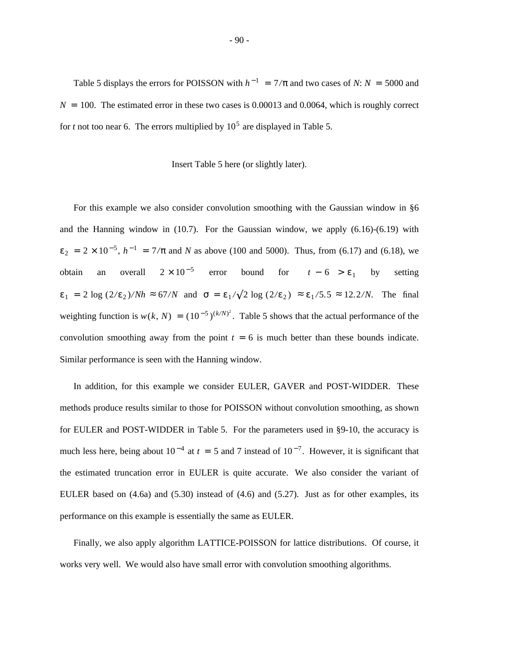Table 5 displays the errors for POISSON with  $h^{-1} = 7/\pi$  and two cases of *N*: *N* = 5000 and  $N = 100$ . The estimated error in these two cases is 0.00013 and 0.0064, which is roughly correct for *t* not too near 6. The errors multiplied by  $10^5$  are displayed in Table 5.

#### Insert Table 5 here (or slightly later).

For this example we also consider convolution smoothing with the Gaussian window in §6 and the Hanning window in  $(10.7)$ . For the Gaussian window, we apply  $(6.16)-(6.19)$  with  $\varepsilon_2 = 2 \times 10^{-5}$ ,  $h^{-1} = 7/\pi$  and *N* as above (100 and 5000). Thus, from (6.17) and (6.18), we obtain an overall  $2 \times 10^{-5}$  error bound for  $|t - 6| > \varepsilon_1$  by setting  $\varepsilon_1 = 2 \log (2/\varepsilon_2) / Nh \approx 67/N$  and  $\sigma = \varepsilon_1 / \sqrt{2 \log (2/\varepsilon_2)} \approx \varepsilon_1 /5.5 \approx 12.2/N$ . The final weighting function is  $w(k, N) = (10^{-5})^{(k/N)^2}$ . Table 5 shows that the actual performance of the convolution smoothing away from the point  $t = 6$  is much better than these bounds indicate. Similar performance is seen with the Hanning window.

In addition, for this example we consider EULER, GAVER and POST-WIDDER. These methods produce results similar to those for POISSON without convolution smoothing, as shown for EULER and POST-WIDDER in Table 5. For the parameters used in §9-10, the accuracy is much less here, being about  $10^{-4}$  at  $t = 5$  and 7 instead of  $10^{-7}$ . However, it is significant that the estimated truncation error in EULER is quite accurate. We also consider the variant of EULER based on  $(4.6a)$  and  $(5.30)$  instead of  $(4.6)$  and  $(5.27)$ . Just as for other examples, its performance on this example is essentially the same as EULER.

Finally, we also apply algorithm LATTICE-POISSON for lattice distributions. Of course, it works very well. We would also have small error with convolution smoothing algorithms.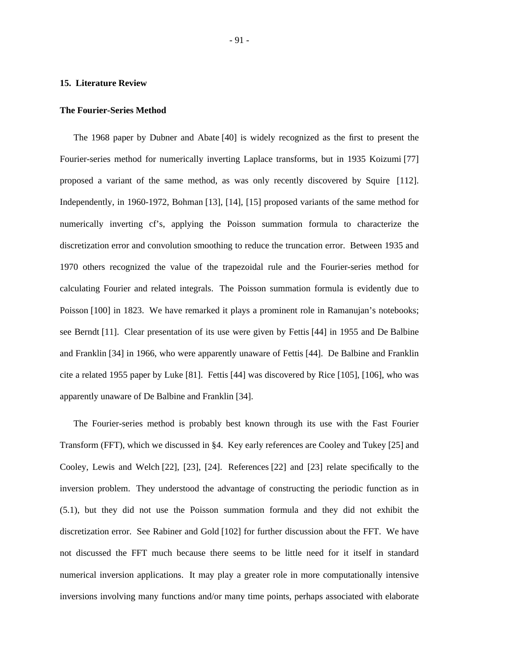#### **15. Literature Review**

## **The Fourier-Series Method**

The 1968 paper by Dubner and Abate [40] is widely recognized as the first to present the Fourier-series method for numerically inverting Laplace transforms, but in 1935 Koizumi [77] proposed a variant of the same method, as was only recently discovered by Squire [112]. Independently, in 1960-1972, Bohman [13], [14], [15] proposed variants of the same method for numerically inverting cf's, applying the Poisson summation formula to characterize the discretization error and convolution smoothing to reduce the truncation error. Between 1935 and 1970 others recognized the value of the trapezoidal rule and the Fourier-series method for calculating Fourier and related integrals. The Poisson summation formula is evidently due to Poisson [100] in 1823. We have remarked it plays a prominent role in Ramanujan's notebooks; see Berndt [11]. Clear presentation of its use were given by Fettis [44] in 1955 and De Balbine and Franklin [34] in 1966, who were apparently unaware of Fettis [44]. De Balbine and Franklin cite a related 1955 paper by Luke [81]. Fettis [44] was discovered by Rice [105], [106], who was apparently unaware of De Balbine and Franklin [34].

The Fourier-series method is probably best known through its use with the Fast Fourier Transform (FFT), which we discussed in §4. Key early references are Cooley and Tukey [25] and Cooley, Lewis and Welch [22], [23], [24]. References [22] and [23] relate specifically to the inversion problem. They understood the advantage of constructing the periodic function as in (5.1), but they did not use the Poisson summation formula and they did not exhibit the discretization error. See Rabiner and Gold [102] for further discussion about the FFT. We have not discussed the FFT much because there seems to be little need for it itself in standard numerical inversion applications. It may play a greater role in more computationally intensive inversions involving many functions and/or many time points, perhaps associated with elaborate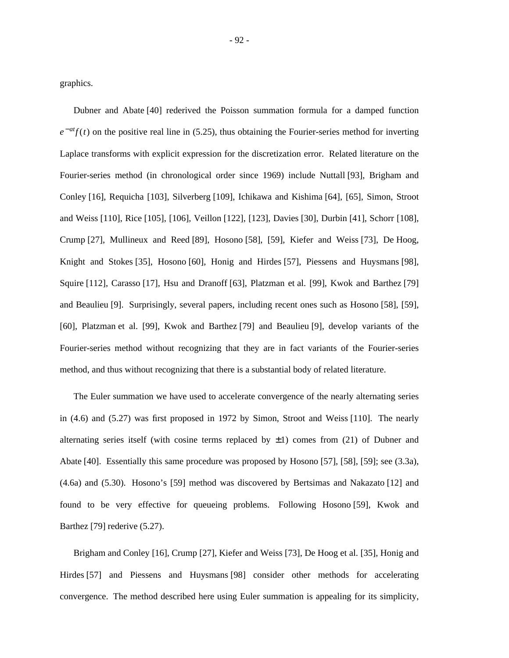graphics.

Dubner and Abate [40] rederived the Poisson summation formula for a damped function  $e^{-at}f(t)$  on the positive real line in (5.25), thus obtaining the Fourier-series method for inverting Laplace transforms with explicit expression for the discretization error. Related literature on the Fourier-series method (in chronological order since 1969) include Nuttall [93], Brigham and Conley [16], Requicha [103], Silverberg [109], Ichikawa and Kishima [64], [65], Simon, Stroot and Weiss [110], Rice [105], [106], Veillon [122], [123], Davies [30], Durbin [41], Schorr [108], Crump [27], Mullineux and Reed [89], Hosono [58], [59], Kiefer and Weiss [73], De Hoog, Knight and Stokes [35], Hosono [60], Honig and Hirdes [57], Piessens and Huysmans [98], Squire [112], Carasso [17], Hsu and Dranoff [63], Platzman et al. [99], Kwok and Barthez [79] and Beaulieu [9]. Surprisingly, several papers, including recent ones such as Hosono [58], [59], [60], Platzman et al. [99], Kwok and Barthez [79] and Beaulieu [9], develop variants of the Fourier-series method without recognizing that they are in fact variants of the Fourier-series method, and thus without recognizing that there is a substantial body of related literature.

The Euler summation we have used to accelerate convergence of the nearly alternating series in (4.6) and (5.27) was first proposed in 1972 by Simon, Stroot and Weiss [110]. The nearly alternating series itself (with cosine terms replaced by  $\pm 1$ ) comes from (21) of Dubner and Abate [40]. Essentially this same procedure was proposed by Hosono [57], [58], [59]; see (3.3a), (4.6a) and (5.30). Hosono's [59] method was discovered by Bertsimas and Nakazato [12] and found to be very effective for queueing problems. Following Hosono [59], Kwok and Barthez [79] rederive (5.27).

Brigham and Conley [16], Crump [27], Kiefer and Weiss [73], De Hoog et al. [35], Honig and Hirdes [57] and Piessens and Huysmans [98] consider other methods for accelerating convergence. The method described here using Euler summation is appealing for its simplicity,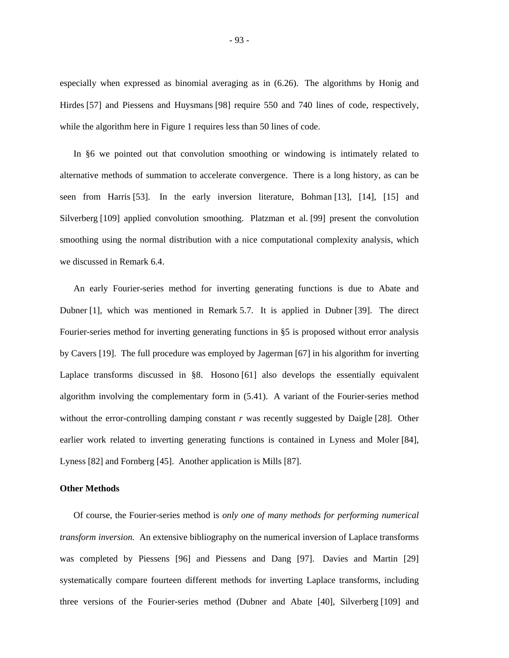especially when expressed as binomial averaging as in (6.26). The algorithms by Honig and Hirdes [57] and Piessens and Huysmans [98] require 550 and 740 lines of code, respectively, while the algorithm here in Figure 1 requires less than 50 lines of code.

In §6 we pointed out that convolution smoothing or windowing is intimately related to alternative methods of summation to accelerate convergence. There is a long history, as can be seen from Harris [53]. In the early inversion literature, Bohman [13], [14], [15] and Silverberg [109] applied convolution smoothing. Platzman et al. [99] present the convolution smoothing using the normal distribution with a nice computational complexity analysis, which we discussed in Remark 6.4.

An early Fourier-series method for inverting generating functions is due to Abate and Dubner [1], which was mentioned in Remark 5.7. It is applied in Dubner [39]. The direct Fourier-series method for inverting generating functions in §5 is proposed without error analysis by Cavers [19]. The full procedure was employed by Jagerman [67] in his algorithm for inverting Laplace transforms discussed in §8. Hosono [61] also develops the essentially equivalent algorithm involving the complementary form in (5.41). A variant of the Fourier-series method without the error-controlling damping constant *r* was recently suggested by Daigle [28]. Other earlier work related to inverting generating functions is contained in Lyness and Moler [84], Lyness [82] and Fornberg [45]. Another application is Mills [87].

# **Other Methods**

Of course, the Fourier-series method is *only one of many methods for performing numerical transform inversion.* An extensive bibliography on the numerical inversion of Laplace transforms was completed by Piessens [96] and Piessens and Dang [97]. Davies and Martin [29] systematically compare fourteen different methods for inverting Laplace transforms, including three versions of the Fourier-series method (Dubner and Abate [40], Silverberg [109] and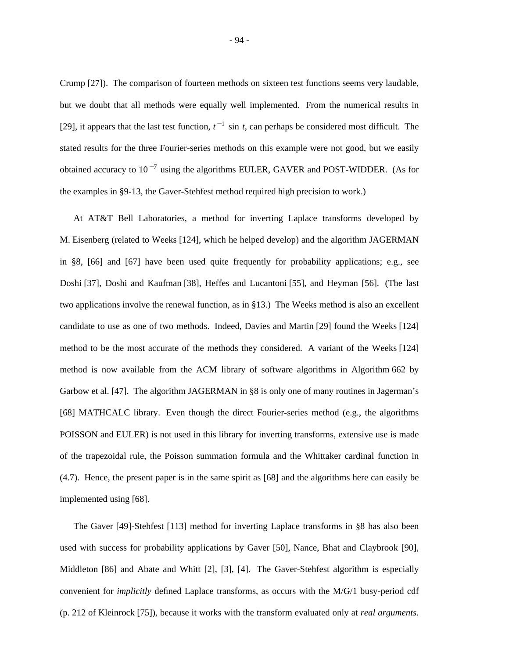Crump [27]). The comparison of fourteen methods on sixteen test functions seems very laudable, but we doubt that all methods were equally well implemented. From the numerical results in [29], it appears that the last test function,  $t^{-1}$  sin *t*, can perhaps be considered most difficult. The stated results for the three Fourier-series methods on this example were not good, but we easily obtained accuracy to  $10^{-7}$  using the algorithms EULER, GAVER and POST-WIDDER. (As for the examples in §9-13, the Gaver-Stehfest method required high precision to work.)

At AT&T Bell Laboratories, a method for inverting Laplace transforms developed by M. Eisenberg (related to Weeks [124], which he helped develop) and the algorithm JAGERMAN in §8, [66] and [67] have been used quite frequently for probability applications; e.g., see Doshi [37], Doshi and Kaufman [38], Heffes and Lucantoni [55], and Heyman [56]. (The last two applications involve the renewal function, as in §13.) The Weeks method is also an excellent candidate to use as one of two methods. Indeed, Davies and Martin [29] found the Weeks [124] method to be the most accurate of the methods they considered. A variant of the Weeks [124] method is now available from the ACM library of software algorithms in Algorithm 662 by Garbow et al. [47]. The algorithm JAGERMAN in §8 is only one of many routines in Jagerman's [68] MATHCALC library. Even though the direct Fourier-series method (e.g., the algorithms POISSON and EULER) is not used in this library for inverting transforms, extensive use is made of the trapezoidal rule, the Poisson summation formula and the Whittaker cardinal function in (4.7). Hence, the present paper is in the same spirit as [68] and the algorithms here can easily be implemented using [68].

The Gaver [49]-Stehfest [113] method for inverting Laplace transforms in §8 has also been used with success for probability applications by Gaver [50], Nance, Bhat and Claybrook [90], Middleton [86] and Abate and Whitt [2], [3], [4]. The Gaver-Stehfest algorithm is especially convenient for *implicitly* defined Laplace transforms, as occurs with the M/G/1 busy-period cdf (p. 212 of Kleinrock [75]), because it works with the transform evaluated only at *real arguments*.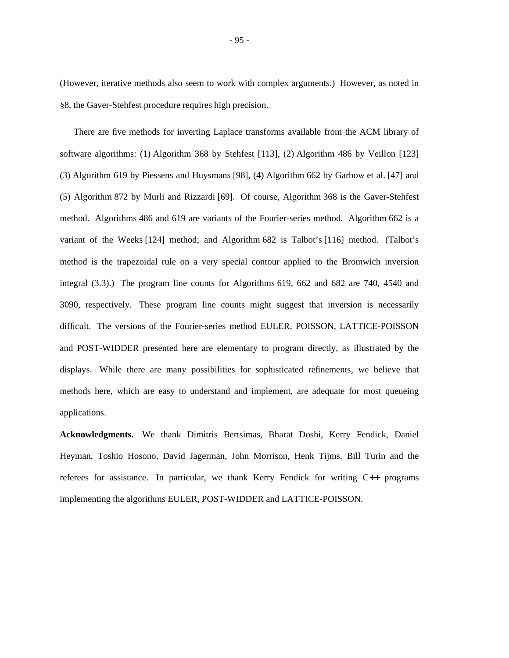(However, iterative methods also seem to work with complex arguments.) However, as noted in §8, the Gaver-Stehfest procedure requires high precision.

There are five methods for inverting Laplace transforms available from the ACM library of software algorithms: (1) Algorithm 368 by Stehfest [113], (2) Algorithm 486 by Veillon [123] (3) Algorithm 619 by Piessens and Huysmans [98], (4) Algorithm 662 by Garbow et al. [47] and (5) Algorithm 872 by Murli and Rizzardi [69]. Of course, Algorithm 368 is the Gaver-Stehfest method. Algorithms 486 and 619 are variants of the Fourier-series method. Algorithm 662 is a variant of the Weeks [124] method; and Algorithm 682 is Talbot's [116] method. (Talbot's method is the trapezoidal rule on a very special contour applied to the Bromwich inversion integral (3.3).) The program line counts for Algorithms 619, 662 and 682 are 740, 4540 and 3090, respectively. These program line counts might suggest that inversion is necessarily difficult. The versions of the Fourier-series method EULER, POISSON, LATTICE-POISSON and POST-WIDDER presented here are elementary to program directly, as illustrated by the displays. While there are many possibilities for sophisticated refinements, we believe that methods here, which are easy to understand and implement, are adequate for most queueing applications.

**Acknowledgments.** We thank Dimitris Bertsimas, Bharat Doshi, Kerry Fendick, Daniel Heyman, Toshio Hosono, David Jagerman, John Morrison, Henk Tijms, Bill Turin and the referees for assistance. In particular, we thank Kerry Fendick for writing C++ programs implementing the algorithms EULER, POST-WIDDER and LATTICE-POISSON.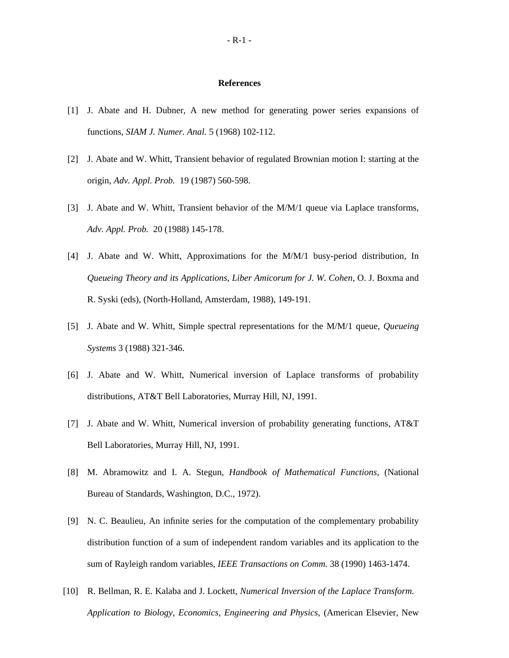#### **References**

- [1] J. Abate and H. Dubner, A new method for generating power series expansions of functions, *SIAM J. Numer. Anal.* 5 (1968) 102-112.
- [2] J. Abate and W. Whitt, Transient behavior of regulated Brownian motion I: starting at the origin, *Adv. Appl. Prob.* 19 (1987) 560-598.
- [3] J. Abate and W. Whitt, Transient behavior of the M/M/1 queue via Laplace transforms, *Adv. Appl. Prob.* 20 (1988) 145-178.
- [4] J. Abate and W. Whitt, Approximations for the M/M/1 busy-period distribution, In *Queueing Theory and its Applications, Liber Amicorum for J. W. Cohen*, O. J. Boxma and R. Syski (eds), (North-Holland, Amsterdam, 1988), 149-191.
- [5] J. Abate and W. Whitt, Simple spectral representations for the M/M/1 queue, *Queueing Systems* 3 (1988) 321-346.
- [6] J. Abate and W. Whitt, Numerical inversion of Laplace transforms of probability distributions, AT&T Bell Laboratories, Murray Hill, NJ, 1991.
- [7] J. Abate and W. Whitt, Numerical inversion of probability generating functions, AT&T Bell Laboratories, Murray Hill, NJ, 1991.
- [8] M. Abramowitz and I. A. Stegun, *Handbook of Mathematical Functions,* (National Bureau of Standards, Washington, D.C., 1972).
- [9] N. C. Beaulieu, An infinite series for the computation of the complementary probability distribution function of a sum of independent random variables and its application to the sum of Rayleigh random variables, *IEEE Transactions on Comm.* 38 (1990) 1463-1474.
- [10] R. Bellman, R. E. Kalaba and J. Lockett, *Numerical Inversion of the Laplace Transform. Application to Biology, Economics, Engineering and Physics,* (American Elsevier, New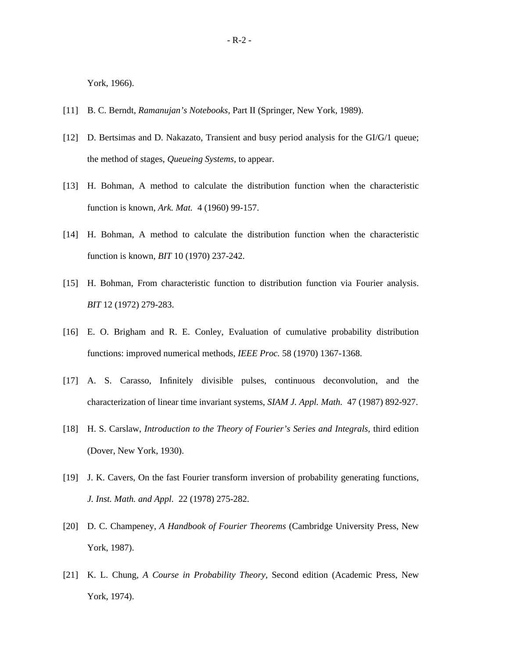York, 1966).

- [11] B. C. Berndt, *Ramanujan's Notebooks,* Part II (Springer, New York, 1989).
- [12] D. Bertsimas and D. Nakazato, Transient and busy period analysis for the GI/G/1 queue; the method of stages, *Queueing Systems,* to appear.
- [13] H. Bohman, A method to calculate the distribution function when the characteristic function is known, *Ark. Mat.* 4 (1960) 99-157.
- [14] H. Bohman, A method to calculate the distribution function when the characteristic function is known, *BIT* 10 (1970) 237-242.
- [15] H. Bohman, From characteristic function to distribution function via Fourier analysis. *BIT* 12 (1972) 279-283.
- [16] E. O. Brigham and R. E. Conley, Evaluation of cumulative probability distribution functions: improved numerical methods, *IEEE Proc.* 58 (1970) 1367-1368.
- [17] A. S. Carasso, Infinitely divisible pulses, continuous deconvolution, and the characterization of linear time invariant systems, *SIAM J. Appl. Math.* 47 (1987) 892-927.
- [18] H. S. Carslaw, *Introduction to the Theory of Fourier's Series and Integrals,* third edition (Dover, New York, 1930).
- [19] J. K. Cavers, On the fast Fourier transform inversion of probability generating functions, *J. Inst. Math. and Appl.* 22 (1978) 275-282.
- [20] D. C. Champeney, *A Handbook of Fourier Theorems* (Cambridge University Press, New York, 1987).
- [21] K. L. Chung, *A Course in Probability Theory,* Second edition (Academic Press, New York, 1974).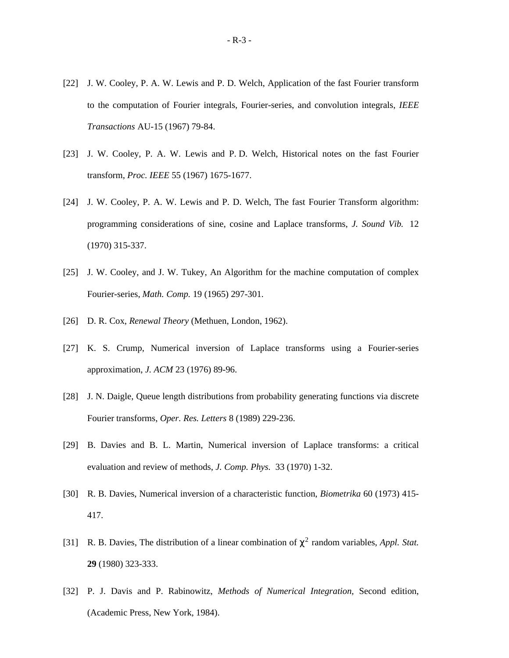- [22] J. W. Cooley, P. A. W. Lewis and P. D. Welch, Application of the fast Fourier transform to the computation of Fourier integrals, Fourier-series, and convolution integrals, *IEEE Transactions* AU-15 (1967) 79-84.
- [23] J. W. Cooley, P. A. W. Lewis and P. D. Welch, Historical notes on the fast Fourier transform, *Proc. IEEE* 55 (1967) 1675-1677.
- [24] J. W. Cooley, P. A. W. Lewis and P. D. Welch, The fast Fourier Transform algorithm: programming considerations of sine, cosine and Laplace transforms, *J. Sound Vib.* 12 (1970) 315-337.
- [25] J. W. Cooley, and J. W. Tukey, An Algorithm for the machine computation of complex Fourier-series, *Math. Comp.* 19 (1965) 297-301.
- [26] D. R. Cox, *Renewal Theory* (Methuen, London, 1962).
- [27] K. S. Crump, Numerical inversion of Laplace transforms using a Fourier-series approximation, *J. ACM* 23 (1976) 89-96.
- [28] J. N. Daigle, Queue length distributions from probability generating functions via discrete Fourier transforms, *Oper. Res. Letters* 8 (1989) 229-236.
- [29] B. Davies and B. L. Martin, Numerical inversion of Laplace transforms: a critical evaluation and review of methods, *J. Comp. Phys.* 33 (1970) 1-32.
- [30] R. B. Davies, Numerical inversion of a characteristic function, *Biometrika* 60 (1973) 415- 417.
- [31] R. B. Davies, The distribution of a linear combination of  $\chi^2$  random variables, *Appl. Stat.* **29** (1980) 323-333.
- [32] P. J. Davis and P. Rabinowitz, *Methods of Numerical Integration,* Second edition, (Academic Press, New York, 1984).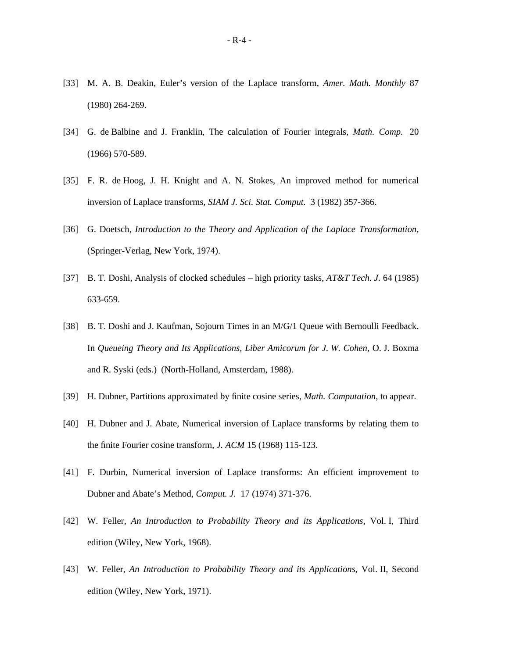- [33] M. A. B. Deakin, Euler's version of the Laplace transform, *Amer. Math. Monthly* 87 (1980) 264-269.
- [34] G. de Balbine and J. Franklin, The calculation of Fourier integrals, *Math. Comp.* 20 (1966) 570-589.
- [35] F. R. de Hoog, J. H. Knight and A. N. Stokes, An improved method for numerical inversion of Laplace transforms, *SIAM J. Sci. Stat. Comput.* 3 (1982) 357-366.
- [36] G. Doetsch, *Introduction to the Theory and Application of the Laplace Transformation,* (Springer-Verlag, New York, 1974).
- [37] B. T. Doshi, Analysis of clocked schedules high priority tasks, *AT&T Tech. J.* 64 (1985) 633-659.
- [38] B. T. Doshi and J. Kaufman, Sojourn Times in an M/G/1 Queue with Bernoulli Feedback. In *Queueing Theory and Its Applications, Liber Amicorum for J. W. Cohen*, O. J. Boxma and R. Syski (eds.) (North-Holland, Amsterdam, 1988).
- [39] H. Dubner, Partitions approximated by finite cosine series, *Math. Computation,* to appear.
- [40] H. Dubner and J. Abate, Numerical inversion of Laplace transforms by relating them to the finite Fourier cosine transform, *J. ACM* 15 (1968) 115-123.
- [41] F. Durbin, Numerical inversion of Laplace transforms: An efficient improvement to Dubner and Abate's Method, *Comput. J.* 17 (1974) 371-376.
- [42] W. Feller, *An Introduction to Probability Theory and its Applications,* Vol. I, Third edition (Wiley, New York, 1968).
- [43] W. Feller, *An Introduction to Probability Theory and its Applications,* Vol. II, Second edition (Wiley, New York, 1971).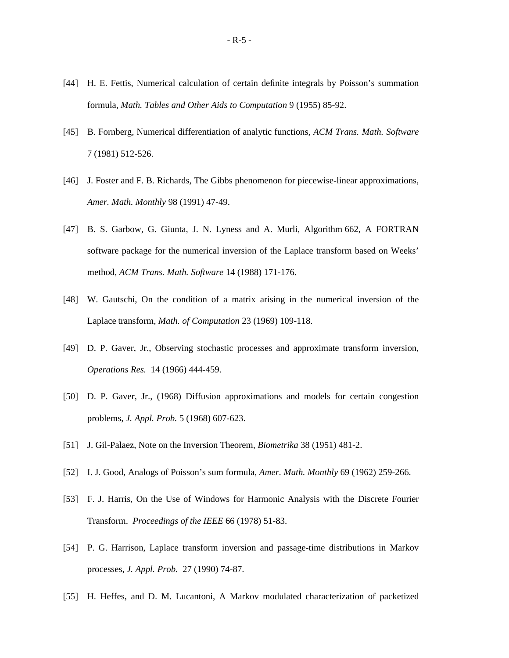- [44] H. E. Fettis, Numerical calculation of certain definite integrals by Poisson's summation formula, *Math. Tables and Other Aids to Computation* 9 (1955) 85-92.
- [45] B. Fornberg, Numerical differentiation of analytic functions, *ACM Trans. Math. Software* 7 (1981) 512-526.
- [46] J. Foster and F. B. Richards, The Gibbs phenomenon for piecewise-linear approximations, *Amer. Math. Monthly* 98 (1991) 47-49.
- [47] B. S. Garbow, G. Giunta, J. N. Lyness and A. Murli, Algorithm 662, A FORTRAN software package for the numerical inversion of the Laplace transform based on Weeks' method, *ACM Trans. Math. Software* 14 (1988) 171-176.
- [48] W. Gautschi, On the condition of a matrix arising in the numerical inversion of the Laplace transform, *Math. of Computation* 23 (1969) 109-118.
- [49] D. P. Gaver, Jr., Observing stochastic processes and approximate transform inversion, *Operations Res.* 14 (1966) 444-459.
- [50] D. P. Gaver, Jr., (1968) Diffusion approximations and models for certain congestion problems, *J. Appl. Prob.* 5 (1968) 607-623.
- [51] J. Gil-Palaez, Note on the Inversion Theorem, *Biometrika* 38 (1951) 481-2.
- [52] I. J. Good, Analogs of Poisson's sum formula, *Amer. Math. Monthly* 69 (1962) 259-266.
- [53] F. J. Harris, On the Use of Windows for Harmonic Analysis with the Discrete Fourier Transform. *Proceedings of the IEEE* 66 (1978) 51-83.
- [54] P. G. Harrison, Laplace transform inversion and passage-time distributions in Markov processes, *J. Appl. Prob.* 27 (1990) 74-87.
- [55] H. Heffes, and D. M. Lucantoni, A Markov modulated characterization of packetized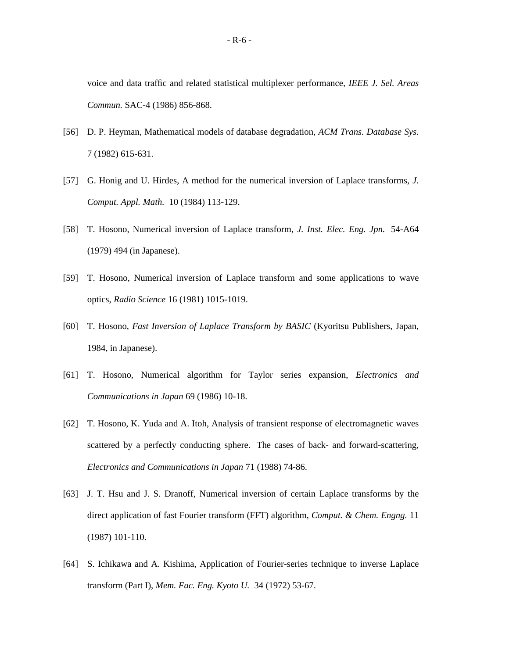voice and data traffic and related statistical multiplexer performance, *IEEE J. Sel. Areas Commun.* SAC-4 (1986) 856-868.

- [56] D. P. Heyman, Mathematical models of database degradation, *ACM Trans. Database Sys.* 7 (1982) 615-631.
- [57] G. Honig and U. Hirdes, A method for the numerical inversion of Laplace transforms, *J. Comput. Appl. Math.* 10 (1984) 113-129.
- [58] T. Hosono, Numerical inversion of Laplace transform, *J. Inst. Elec. Eng. Jpn.* 54-A64 (1979) 494 (in Japanese).
- [59] T. Hosono, Numerical inversion of Laplace transform and some applications to wave optics, *Radio Science* 16 (1981) 1015-1019.
- [60] T. Hosono, *Fast Inversion of Laplace Transform by BASIC* (Kyoritsu Publishers, Japan, 1984, in Japanese).
- [61] T. Hosono, Numerical algorithm for Taylor series expansion, *Electronics and Communications in Japan* 69 (1986) 10-18.
- [62] T. Hosono, K. Yuda and A. Itoh, Analysis of transient response of electromagnetic waves scattered by a perfectly conducting sphere. The cases of back- and forward-scattering, *Electronics and Communications in Japan* 71 (1988) 74-86.
- [63] J. T. Hsu and J. S. Dranoff, Numerical inversion of certain Laplace transforms by the direct application of fast Fourier transform (FFT) algorithm, *Comput. & Chem. Engng.* 11 (1987) 101-110.
- [64] S. Ichikawa and A. Kishima, Application of Fourier-series technique to inverse Laplace transform (Part I), *Mem. Fac. Eng. Kyoto U.* 34 (1972) 53-67.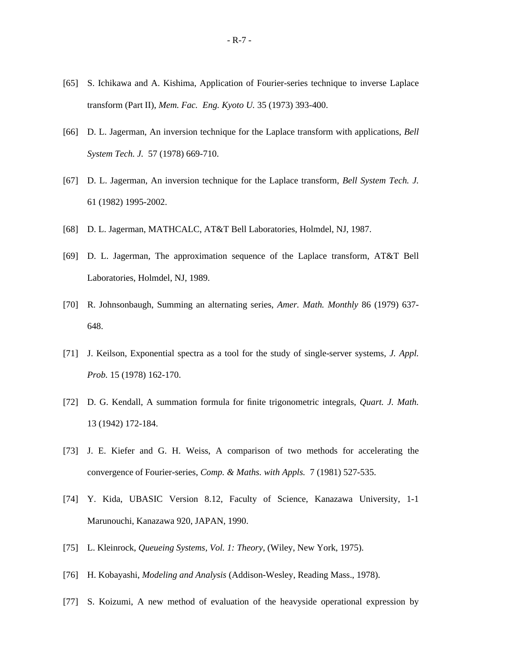- [65] S. Ichikawa and A. Kishima, Application of Fourier-series technique to inverse Laplace transform (Part II), *Mem. Fac. Eng. Kyoto U.* 35 (1973) 393-400.
- [66] D. L. Jagerman, An inversion technique for the Laplace transform with applications, *Bell System Tech. J.* 57 (1978) 669-710.
- [67] D. L. Jagerman, An inversion technique for the Laplace transform, *Bell System Tech. J.* 61 (1982) 1995-2002.
- [68] D. L. Jagerman, MATHCALC, AT&T Bell Laboratories, Holmdel, NJ, 1987.
- [69] D. L. Jagerman, The approximation sequence of the Laplace transform, AT&T Bell Laboratories, Holmdel, NJ, 1989.
- [70] R. Johnsonbaugh, Summing an alternating series, *Amer. Math. Monthly* 86 (1979) 637- 648.
- [71] J. Keilson, Exponential spectra as a tool for the study of single-server systems, *J. Appl. Prob.* 15 (1978) 162-170.
- [72] D. G. Kendall, A summation formula for finite trigonometric integrals, *Quart. J. Math.* 13 (1942) 172-184.
- [73] J. E. Kiefer and G. H. Weiss, A comparison of two methods for accelerating the convergence of Fourier-series, *Comp. & Maths. with Appls.* 7 (1981) 527-535.
- [74] Y. Kida, UBASIC Version 8.12, Faculty of Science, Kanazawa University, 1-1 Marunouchi, Kanazawa 920, JAPAN, 1990.
- [75] L. Kleinrock, *Queueing Systems, Vol. 1: Theory*, (Wiley, New York, 1975).
- [76] H. Kobayashi, *Modeling and Analysis* (Addison-Wesley, Reading Mass., 1978).
- [77] S. Koizumi, A new method of evaluation of the heavyside operational expression by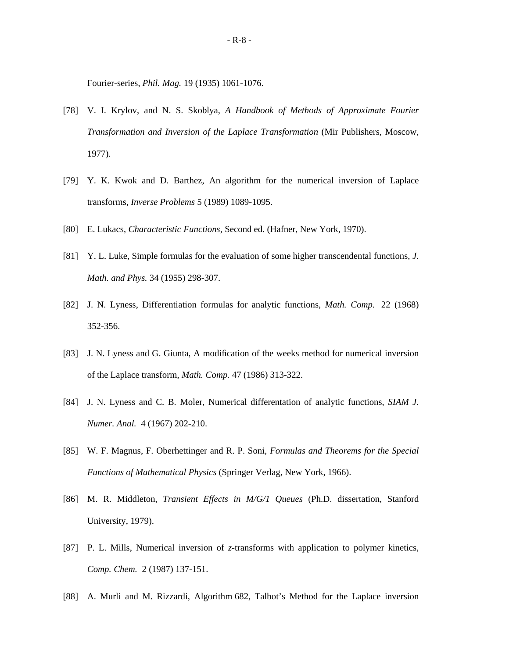Fourier-series, *Phil. Mag.* 19 (1935) 1061-1076.

- [78] V. I. Krylov, and N. S. Skoblya, *A Handbook of Methods of Approximate Fourier Transformation and Inversion of the Laplace Transformation* (Mir Publishers, Moscow, 1977).
- [79] Y. K. Kwok and D. Barthez, An algorithm for the numerical inversion of Laplace transforms, *Inverse Problems* 5 (1989) 1089-1095.
- [80] E. Lukacs, *Characteristic Functions,* Second ed. (Hafner, New York, 1970).
- [81] Y. L. Luke, Simple formulas for the evaluation of some higher transcendental functions, *J. Math. and Phys.* 34 (1955) 298-307.
- [82] J. N. Lyness, Differentiation formulas for analytic functions, *Math. Comp.* 22 (1968) 352-356.
- [83] J. N. Lyness and G. Giunta, A modification of the weeks method for numerical inversion of the Laplace transform, *Math. Comp.* 47 (1986) 313-322.
- [84] J. N. Lyness and C. B. Moler, Numerical differentation of analytic functions, *SIAM J. Numer. Anal.* 4 (1967) 202-210.
- [85] W. F. Magnus, F. Oberhettinger and R. P. Soni, *Formulas and Theorems for the Special Functions of Mathematical Physics* (Springer Verlag, New York, 1966).
- [86] M. R. Middleton, *Transient Effects in M/G/1 Queues* (Ph.D. dissertation, Stanford University, 1979).
- [87] P. L. Mills, Numerical inversion of *z*-transforms with application to polymer kinetics, *Comp. Chem.* 2 (1987) 137-151.
- [88] A. Murli and M. Rizzardi, Algorithm 682, Talbot's Method for the Laplace inversion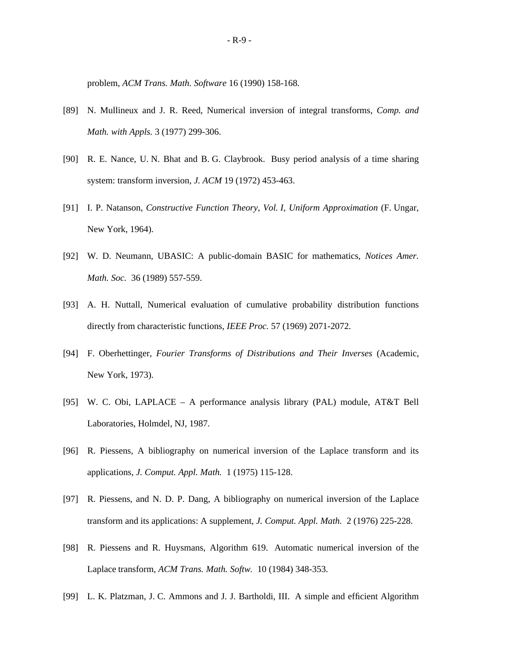problem, *ACM Trans. Math. Software* 16 (1990) 158-168.

- [89] N. Mullineux and J. R. Reed, Numerical inversion of integral transforms, *Comp. and Math. with Appls.* 3 (1977) 299-306.
- [90] R. E. Nance, U. N. Bhat and B. G. Claybrook. Busy period analysis of a time sharing system: transform inversion, *J. ACM* 19 (1972) 453-463.
- [91] I. P. Natanson, *Constructive Function Theory, Vol. I, Uniform Approximation* (F. Ungar, New York, 1964).
- [92] W. D. Neumann, UBASIC: A public-domain BASIC for mathematics, *Notices Amer. Math. Soc.* 36 (1989) 557-559.
- [93] A. H. Nuttall, Numerical evaluation of cumulative probability distribution functions directly from characteristic functions, *IEEE Proc.* 57 (1969) 2071-2072.
- [94] F. Oberhettinger, *Fourier Transforms of Distributions and Their Inverses* (Academic, New York, 1973).
- [95] W. C. Obi, LAPLACE A performance analysis library (PAL) module, AT&T Bell Laboratories, Holmdel, NJ, 1987.
- [96] R. Piessens, A bibliography on numerical inversion of the Laplace transform and its applications, *J. Comput. Appl. Math.* 1 (1975) 115-128.
- [97] R. Piessens, and N. D. P. Dang, A bibliography on numerical inversion of the Laplace transform and its applications: A supplement, *J. Comput. Appl. Math.* 2 (1976) 225-228.
- [98] R. Piessens and R. Huysmans, Algorithm 619. Automatic numerical inversion of the Laplace transform, *ACM Trans. Math. Softw.* 10 (1984) 348-353.
- [99] L. K. Platzman, J. C. Ammons and J. J. Bartholdi, III. A simple and efficient Algorithm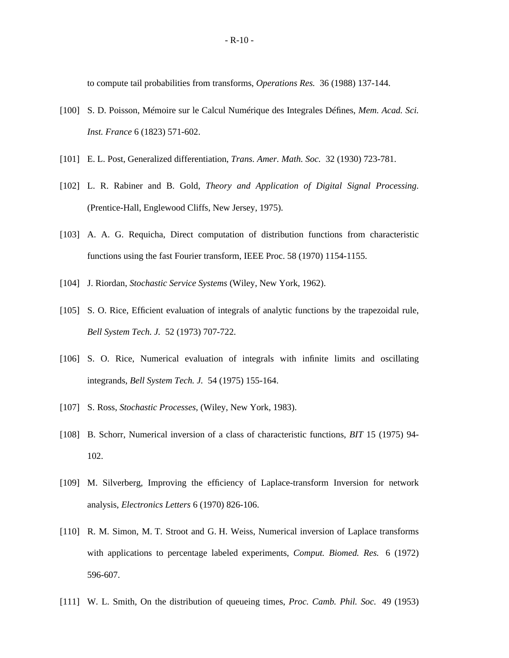to compute tail probabilities from transforms, *Operations Res.* 36 (1988) 137-144.

- [100] S. D. Poisson, Mémoire sur le Calcul Numérique des Integrales Défines, *Mem. Acad. Sci. Inst. France* 6 (1823) 571-602.
- [101] E. L. Post, Generalized differentiation, *Trans. Amer. Math. Soc.* 32 (1930) 723-781.
- [102] L. R. Rabiner and B. Gold, *Theory and Application of Digital Signal Processing*. (Prentice-Hall, Englewood Cliffs, New Jersey, 1975).
- [103] A. A. G. Requicha, Direct computation of distribution functions from characteristic functions using the fast Fourier transform, IEEE Proc. 58 (1970) 1154-1155.
- [104] J. Riordan, *Stochastic Service Systems* (Wiley, New York, 1962).
- [105] S. O. Rice, Efficient evaluation of integrals of analytic functions by the trapezoidal rule, *Bell System Tech. J.* 52 (1973) 707-722.
- [106] S. O. Rice, Numerical evaluation of integrals with infinite limits and oscillating integrands, *Bell System Tech. J.* 54 (1975) 155-164.
- [107] S. Ross, *Stochastic Processes*, (Wiley, New York, 1983).
- [108] B. Schorr, Numerical inversion of a class of characteristic functions, *BIT* 15 (1975) 94- 102.
- [109] M. Silverberg, Improving the efficiency of Laplace-transform Inversion for network analysis, *Electronics Letters* 6 (1970) 826-106.
- [110] R. M. Simon, M. T. Stroot and G. H. Weiss, Numerical inversion of Laplace transforms with applications to percentage labeled experiments, *Comput. Biomed. Res.* 6 (1972) 596-607.
- [111] W. L. Smith, On the distribution of queueing times, *Proc. Camb. Phil. Soc.* 49 (1953)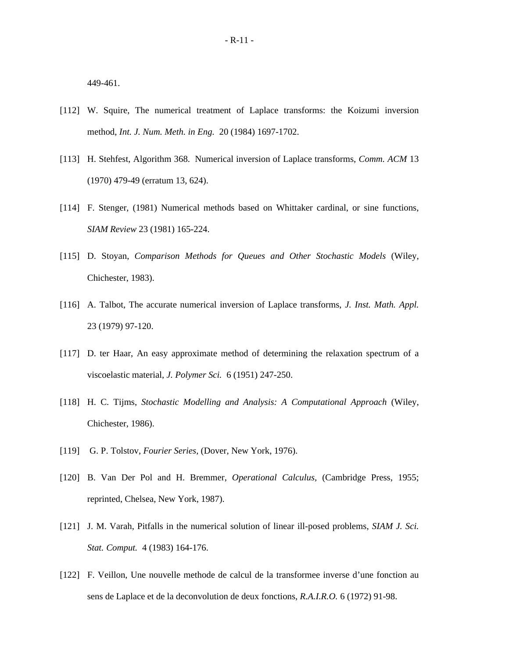449-461.

- [112] W. Squire, The numerical treatment of Laplace transforms: the Koizumi inversion method, *Int. J. Num. Meth. in Eng.* 20 (1984) 1697-1702.
- [113] H. Stehfest, Algorithm 368. Numerical inversion of Laplace transforms, *Comm. ACM* 13 (1970) 479-49 (erratum 13, 624).
- [114] F. Stenger, (1981) Numerical methods based on Whittaker cardinal, or sine functions, *SIAM Review* 23 (1981) 165-224.
- [115] D. Stoyan, *Comparison Methods for Queues and Other Stochastic Models* (Wiley, Chichester, 1983).
- [116] A. Talbot, The accurate numerical inversion of Laplace transforms, *J. Inst. Math. Appl.* 23 (1979) 97-120.
- [117] D. ter Haar, An easy approximate method of determining the relaxation spectrum of a viscoelastic material, *J. Polymer Sci.* 6 (1951) 247-250.
- [118] H. C. Tijms, *Stochastic Modelling and Analysis: A Computational Approach* (Wiley, Chichester, 1986).
- [119] G. P. Tolstov, *Fourier Series*, (Dover, New York, 1976).
- [120] B. Van Der Pol and H. Bremmer, *Operational Calculus,* (Cambridge Press, 1955; reprinted, Chelsea, New York, 1987).
- [121] J. M. Varah, Pitfalls in the numerical solution of linear ill-posed problems, *SIAM J. Sci. Stat. Comput.* 4 (1983) 164-176.
- [122] F. Veillon, Une nouvelle methode de calcul de la transformee inverse d'une fonction au sens de Laplace et de la deconvolution de deux fonctions, *R.A.I.R.O.* 6 (1972) 91-98.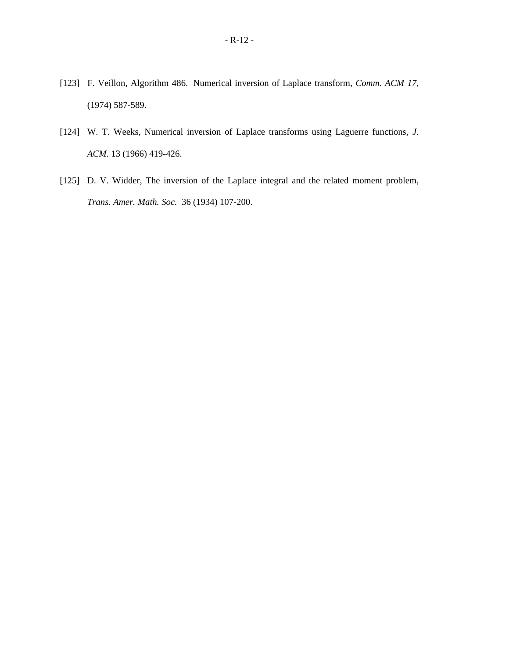- [123] F. Veillon, Algorithm 486. Numerical inversion of Laplace transform, *Comm. ACM 17,* (1974) 587-589.
- [124] W. T. Weeks, Numerical inversion of Laplace transforms using Laguerre functions, *J. ACM.* 13 (1966) 419-426.
- [125] D. V. Widder, The inversion of the Laplace integral and the related moment problem, *Trans. Amer. Math. Soc.* 36 (1934) 107-200.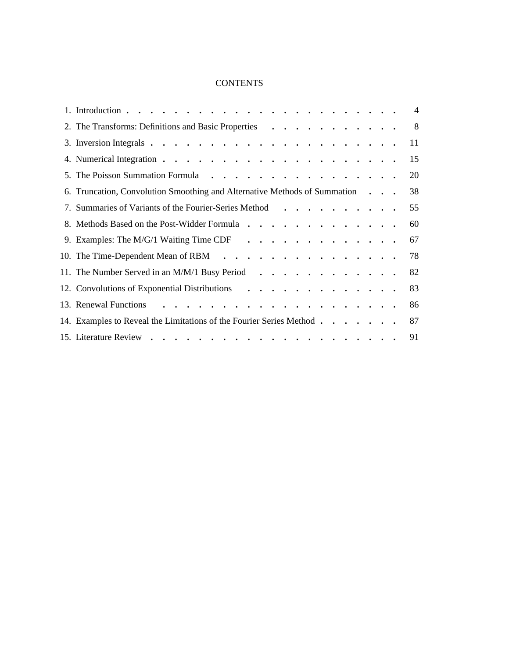## **CONTENTS**

|    |                                                                                                                         |                   | $\overline{4}$ |
|----|-------------------------------------------------------------------------------------------------------------------------|-------------------|----------------|
|    | 2. The Transforms: Definitions and Basic Properties                                                                     |                   | 8              |
|    |                                                                                                                         |                   | 11             |
|    |                                                                                                                         |                   | 15             |
|    |                                                                                                                         |                   | 20             |
|    | 6. Truncation, Convolution Smoothing and Alternative Methods of Summation                                               | $\ddots$ $\ddots$ | 38             |
| 7. | Summaries of Variants of the Fourier-Series Method                                                                      |                   | 55             |
|    | 8. Methods Based on the Post-Widder Formula                                                                             |                   | 60             |
|    | 9. Examples: The M/G/1 Waiting Time CDF $\cdots$ , $\cdots$ , $\cdots$ , $\cdots$ , $\cdots$                            |                   | 67             |
|    | 10. The Time-Dependent Mean of RBM                                                                                      |                   | 78             |
|    | 11. The Number Served in an M/M/1 Busy Period $\cdot \cdot \cdot \cdot \cdot \cdot \cdot \cdot \cdot \cdot \cdot \cdot$ |                   | 82             |
|    | 12. Convolutions of Exponential Distributions                                                                           |                   | 83             |
|    | 13. Renewal Functions                                                                                                   |                   | 86             |
|    | 14. Examples to Reveal the Limitations of the Fourier Series Method                                                     |                   | 87             |
|    |                                                                                                                         |                   | 91             |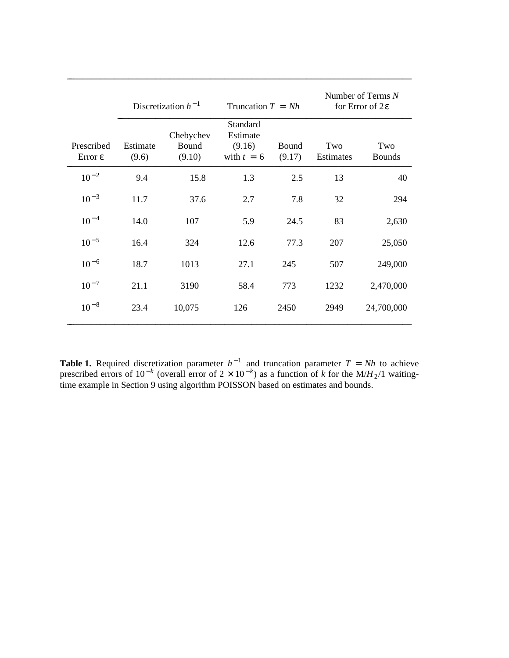|                                   |                                                   | Discretization $h^{-1}$<br>Truncation $T = Nh$ |                                                |                 | Number of Terms N<br>for Error of $2\varepsilon$ |                      |  |
|-----------------------------------|---------------------------------------------------|------------------------------------------------|------------------------------------------------|-----------------|--------------------------------------------------|----------------------|--|
| Prescribed<br>Error $\varepsilon$ | Chebychev<br>Estimate<br>Bound<br>(9.10)<br>(9.6) |                                                | Standard<br>Estimate<br>(9.16)<br>with $t = 6$ | Bound<br>(9.17) | Two<br>Estimates                                 | Two<br><b>Bounds</b> |  |
| $10^{-2}$                         | 9.4                                               | 15.8                                           | 1.3                                            | 2.5             | 13                                               | 40                   |  |
| $10^{-3}$                         | 11.7<br>37.6                                      |                                                | 2.7                                            | 7.8             | 32                                               | 294                  |  |
| $10^{-4}$                         | 14.0                                              | 107                                            | 5.9                                            | 24.5            | 83                                               | 2,630                |  |
| $10^{-5}$                         | 16.4                                              | 324                                            | 12.6                                           | 77.3            | 207                                              | 25,050               |  |
| $10^{-6}$                         | 18.7                                              | 1013                                           | 27.1                                           | 245             | 507                                              | 249,000              |  |
| $10^{-7}$                         | 21.1<br>3190                                      |                                                | 58.4                                           | 773             | 1232                                             | 2,470,000            |  |
| $10^{-8}$                         | 23.4<br>10,075                                    |                                                | 126                                            | 2450            | 2949                                             | 24,700,000           |  |

**Table 1.** Required discretization parameter  $h^{-1}$  and truncation parameter  $T = Nh$  to achieve prescribed errors of  $10^{-k}$  (overall error of  $2 \times 10^{-k}$ ) as a function of *k* for the M/*H*<sub>2</sub>/1 waitingtime example in Section 9 using algorithm POISSON based on estimates and bounds.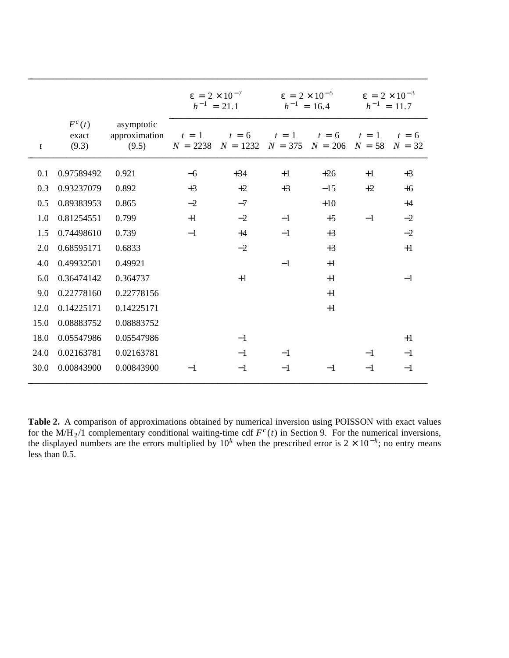|                |                            |                                      | $\epsilon = 2 \times 10^{-7}$<br>$h^{-1} = 21.1$ |                                                   | $\epsilon = 2 \times 10^{-5}$<br>$h^{-1} = 16.4$ |                      | $\epsilon = 2 \times 10^{-3}$<br>$h^{-1} = 11.7$ |                     |
|----------------|----------------------------|--------------------------------------|--------------------------------------------------|---------------------------------------------------|--------------------------------------------------|----------------------|--------------------------------------------------|---------------------|
| $\mathfrak{t}$ | $F^c(t)$<br>exact<br>(9.3) | asymptotic<br>approximation<br>(9.5) | $t = 1$<br>$N = 2238$                            | $t = 6$<br>$N = 1232 \parallel N = 375 \parallel$ | $t = 1$                                          | $t = 6$<br>$N = 206$ | $t = 1$<br>$N = 58$                              | $t = 6$<br>$N = 32$ |
| 0.1            | 0.97589492                 | 0.921                                | $-6$                                             | $+34$                                             | $+1$                                             | $+26$                | $+1$                                             | $+3$                |
| 0.3            | 0.93237079                 | 0.892                                | $+3$                                             | $+2$                                              | $+3$                                             | $-15$                | $+2$                                             | $+6$                |
| 0.5            | 0.89383953                 | 0.865                                | $-2$                                             | $-7$                                              |                                                  | $+10$                |                                                  | $+4$                |
| 1.0            | 0.81254551                 | 0.799                                | $+1$                                             | $-2$                                              | $-1$                                             | $+5$                 | $-1$                                             | $-2$                |
| 1.5            | 0.74498610                 | 0.739                                | $-1$                                             | $+4$                                              | $-1$                                             | $+3$                 |                                                  | $-2$                |
| 2.0            | 0.68595171                 | 0.6833                               |                                                  | $-2$                                              |                                                  | $+3$                 |                                                  | $+1$                |
| 4.0            | 0.49932501                 | 0.49921                              |                                                  |                                                   | $-1$                                             | $+1$                 |                                                  |                     |
| 6.0            | 0.36474142                 | 0.364737                             |                                                  | $+1$                                              |                                                  | $+1$                 |                                                  | $-1$                |
| 9.0            | 0.22778160                 | 0.22778156                           |                                                  |                                                   |                                                  | $+1$                 |                                                  |                     |
| 12.0           | 0.14225171                 | 0.14225171                           |                                                  |                                                   |                                                  | $+1$                 |                                                  |                     |
| 15.0           | 0.08883752                 | 0.08883752                           |                                                  |                                                   |                                                  |                      |                                                  |                     |
| 18.0           | 0.05547986                 | 0.05547986                           |                                                  | $-1$                                              |                                                  |                      |                                                  | $+1$                |
| 24.0           | 0.02163781                 | 0.02163781                           |                                                  | $-1$                                              | $-1$                                             |                      | $-1$                                             | $-1$                |
| 30.0           | 0.00843900                 | 0.00843900                           | $-1$                                             | $-1$                                              | $-1$                                             | $-1$                 | $-1$                                             | $-1$                |

**Table 2.** A comparison of approximations obtained by numerical inversion using POISSON with exact values for the M/H<sub>2</sub>/1 complementary conditional waiting-time cdf  $F^c(t)$  in Section 9. For the numerical inversions, the displayed numbers are the errors multiplied by  $10^k$  when the prescribed error is  $2 \times 10^{-k}$ ; no entry means less than 0.5.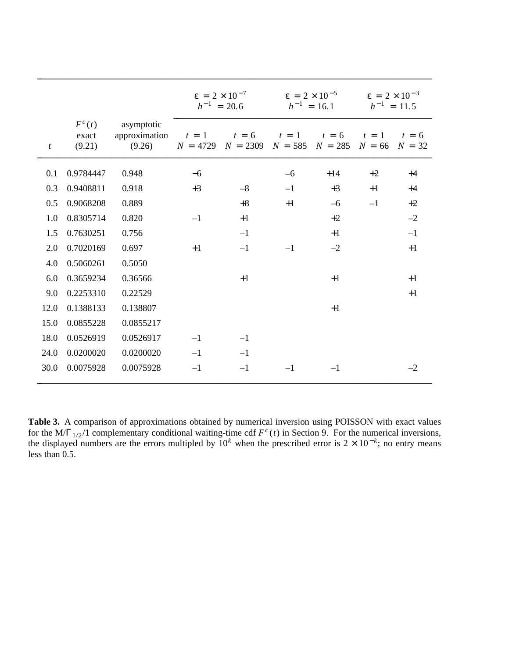|                  |                               |                                       | $\epsilon = 2 \times 10^{-7}$<br>$h^{-1} = 20.6$ |                                         | $\epsilon = 2 \times 10^{-5}$<br>$h^{-1} = 16.1$ |                                       | $\epsilon = 2 \times 10^{-3}$<br>$h^{-1} = 11.5$ |                     |
|------------------|-------------------------------|---------------------------------------|--------------------------------------------------|-----------------------------------------|--------------------------------------------------|---------------------------------------|--------------------------------------------------|---------------------|
| $\boldsymbol{t}$ | $F^{c}(t)$<br>exact<br>(9.21) | asymptotic<br>approximation<br>(9.26) | $t = 1$<br>$N = 4729$                            | $t = 6$<br>$N = 2309 \parallel N = 585$ | $t = 1$                                          | $t = 6$<br>$N = 285 \parallel N = 66$ | $t = 1$                                          | $t = 6$<br>$N = 32$ |
| 0.1              | 0.9784447                     | 0.948                                 | $-6$                                             |                                         | $-6$                                             | $+14$                                 | $+2$                                             | $+4$                |
| 0.3              | 0.9408811                     | 0.918                                 | $+3$                                             | $-8$                                    | $-1$                                             | $+3$                                  | $+1$                                             | $+4$                |
| 0.5              | 0.9068208                     | 0.889                                 |                                                  | $+8$                                    | $+1$                                             | $-6$                                  | $-1$                                             | $+2$                |
| 1.0              | 0.8305714                     | 0.820                                 | $-1$                                             | $+1$                                    |                                                  | $+2$                                  |                                                  | $-2$                |
| 1.5              | 0.7630251                     | 0.756                                 |                                                  | $-1$                                    |                                                  | $+1$                                  |                                                  | $-1$                |
| 2.0              | 0.7020169                     | 0.697                                 | $+1$                                             | $-1$                                    | $-1$                                             | $-2$                                  |                                                  | $+1$                |
| 4.0              | 0.5060261                     | 0.5050                                |                                                  |                                         |                                                  |                                       |                                                  |                     |
| 6.0              | 0.3659234                     | 0.36566                               |                                                  | $+1$                                    |                                                  | $+1$                                  |                                                  | $+1$                |
| 9.0              | 0.2253310                     | 0.22529                               |                                                  |                                         |                                                  |                                       |                                                  | $+1$                |
| 12.0             | 0.1388133                     | 0.138807                              |                                                  |                                         |                                                  | $+1$                                  |                                                  |                     |
| 15.0             | 0.0855228                     | 0.0855217                             |                                                  |                                         |                                                  |                                       |                                                  |                     |
| 18.0             | 0.0526919                     | 0.0526917                             | $-1$                                             | $-1$                                    |                                                  |                                       |                                                  |                     |
| 24.0             | 0.0200020                     | 0.0200020                             | $-1$                                             | $-1$                                    |                                                  |                                       |                                                  |                     |
| 30.0             | 0.0075928                     | 0.0075928                             | $-1$                                             | $-1\,$                                  | $-1$                                             | $-1$                                  |                                                  | $-2$                |

**Table 3.** A comparison of approximations obtained by numerical inversion using POISSON with exact values for the M/ $\Gamma_{1/2}$ /1 complementary conditional waiting-time cdf  $F^c(t)$  in Section 9. For the numerical inversions, the displayed numbers are the errors multipled by  $10^k$  when the prescribed error is  $2 \times 10^{-k}$ ; no entry means less than 0.5.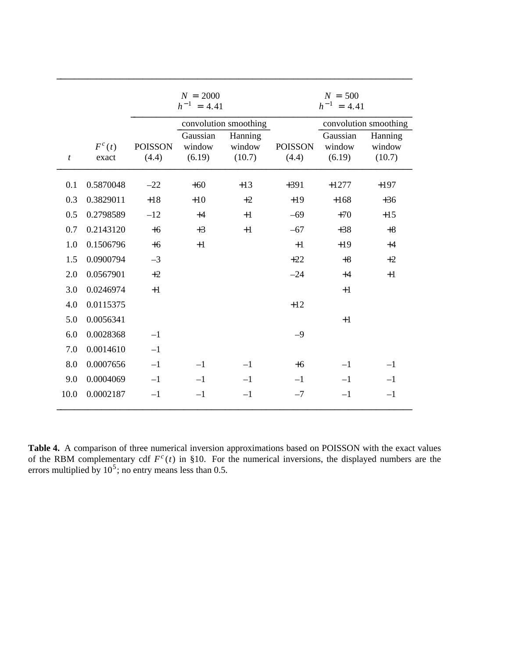|                  |                     |                         | $N = 2000$<br>$h^{-1} = 4.41$ |                             |                         | $N = 500$<br>$h^{-1} = 4.41$ |                             |
|------------------|---------------------|-------------------------|-------------------------------|-----------------------------|-------------------------|------------------------------|-----------------------------|
|                  |                     |                         |                               | convolution smoothing       |                         |                              | convolution smoothing       |
| $\boldsymbol{t}$ | $F^{c}(t)$<br>exact | <b>POISSON</b><br>(4.4) | Gaussian<br>window<br>(6.19)  | Hanning<br>window<br>(10.7) | <b>POISSON</b><br>(4.4) | Gaussian<br>window<br>(6.19) | Hanning<br>window<br>(10.7) |
| 0.1              | 0.5870048           | $-22$                   | $+60$                         | $+13$                       | $+391$                  | $+1277$                      | $+197$                      |
| 0.3              | 0.3829011           | $+18$                   | $+10$                         | $+2$                        | $+19$                   | $+168$                       | $+36$                       |
| 0.5              | 0.2798589           | $-12$                   | $+4$                          | $+1$                        | $-69$                   | $+70$                        | $+15$                       |
| 0.7              | 0.2143120           | $+6$                    | $+3$                          | $+1$                        | $-67$                   | $+38$                        | $+8$                        |
| 1.0              | 0.1506796           | $+6$                    | $+1$                          |                             | $+1$                    | $+19$                        | $+4$                        |
| 1.5              | 0.0900794           | $-3$                    |                               |                             | $+22$                   | $+8$                         | $+2$                        |
| 2.0              | 0.0567901           | $+2$                    |                               |                             | $-24$                   | $+4$                         | $+1$                        |
| 3.0              | 0.0246974           | $+1$                    |                               |                             |                         | $+1$                         |                             |
| 4.0              | 0.0115375           |                         |                               |                             | $+12$                   |                              |                             |
| 5.0              | 0.0056341           |                         |                               |                             |                         | $+1$                         |                             |
| 6.0              | 0.0028368           | $-1$                    |                               |                             | $-9$                    |                              |                             |
| 7.0              | 0.0014610           | $-1$                    |                               |                             |                         |                              |                             |
| 8.0              | 0.0007656           | $-1$                    | $-1$                          | $-1$                        | $+6$                    | $-1$                         | $-1$                        |
| 9.0              | 0.0004069           | $-1$                    | $-1$                          | $-1$                        | $-1$                    | $-1$                         | $-1$                        |
| 10.0             | 0.0002187           | $-1$                    | $-1$                          | $-1$                        | $-7$                    | $-1$                         | $-1$                        |

**Table 4.** A comparison of three numerical inversion approximations based on POISSON with the exact values of the RBM complementary cdf  $F^c(t)$  in §10. For the numerical inversions, the displayed numbers are the errors multiplied by  $10^5$ ; no entry means less than 0.5.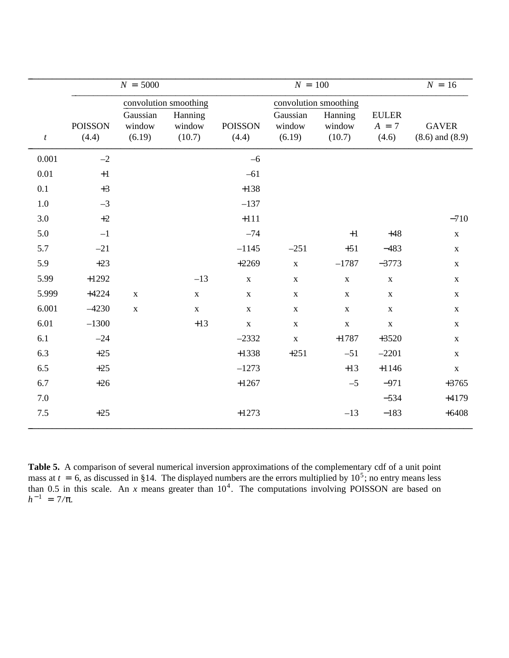|                  |                | $N = 5000$  |                       |                       | $N = 100$    |             |              | $N = 16$            |
|------------------|----------------|-------------|-----------------------|-----------------------|--------------|-------------|--------------|---------------------|
|                  |                |             | convolution smoothing | convolution smoothing |              |             |              |                     |
|                  |                | Gaussian    | Hanning               |                       | Gaussian     | Hanning     | <b>EULER</b> |                     |
|                  | <b>POISSON</b> | window      | window                | <b>POISSON</b>        | window       | window      | $A = 7$      | <b>GAVER</b>        |
| $\boldsymbol{t}$ | (4.4)          | (6.19)      | (10.7)                | (4.4)                 | (6.19)       | (10.7)      | (4.6)        | $(8.6)$ and $(8.9)$ |
| 0.001            | $-2$           |             |                       | $-6$                  |              |             |              |                     |
| $0.01\,$         | $+1$           |             |                       | $-61$                 |              |             |              |                     |
| 0.1              | $+3$           |             |                       | $+138$                |              |             |              |                     |
| $1.0\,$          | $-3$           |             |                       | $-137$                |              |             |              |                     |
| 3.0              | $+2$           |             |                       | $+111$                |              |             |              | $-710$              |
| 5.0              | $-1$           |             |                       | $-74$                 |              | $+1$        | $+48$        | $\mathbf X$         |
| 5.7              | $-21$          |             |                       | $-1145$               | $-251$       | $+51$       | $-483$       | $\mathbf X$         |
| 5.9              | $+23$          |             |                       | $+2269$               | $\mathbf X$  | $-1787$     | $-3773$      | $\mathbf X$         |
| 5.99             | $+1292$        |             | $-13$                 | $\mathbf X$           | $\mathbf X$  | $\mathbf X$ | $\mathbf X$  | $\mathbf X$         |
| 5.999            | $+4224$        | $\mathbf X$ | $\mathbf X$           | $\mathbf X$           | $\mathbf{X}$ | $\mathbf X$ | $\mathbf{X}$ | $\mathbf X$         |
| 6.001            | $-4230$        | $\mathbf X$ | $\mathbf X$           | $\mathbf X$           | $\mathbf X$  | $\mathbf X$ | $\mathbf{X}$ | $\mathbf X$         |
| 6.01             | $-1300$        |             | $+13$                 | $\mathbf X$           | $\mathbf X$  | $\mathbf X$ | $\mathbf X$  | $\mathbf X$         |
| 6.1              | $-24$          |             |                       | $-2332$               | $\mathbf X$  | $+1787$     | $+3520$      | $\mathbf X$         |
| 6.3              | $+25$          |             |                       | $+1338$               | $+251$       | $-51$       | $-2201$      | $\mathbf{X}$        |
| 6.5              | $+25$          |             |                       | $-1273$               |              | $+13$       | $+1146$      | $\mathbf X$         |
| 6.7              | $+26$          |             |                       | $+1267$               |              | $-5$        | $-971$       | $+3765$             |
| 7.0              |                |             |                       |                       |              |             | $-534$       | $+4179$             |
| 7.5              | $+25$          |             |                       | $+1273$               |              | $-13$       | $-183$       | $+6408$             |
|                  |                |             |                       |                       |              |             |              |                     |

**Table 5.** A comparison of several numerical inversion approximations of the complementary cdf of a unit point mass at  $t = 6$ , as discussed in §14. The displayed numbers are the errors multiplied by  $10^5$ ; no entry means less than 0.5 in this scale. An *x* means greater than  $10^4$ . The computations involving POISSON are based on  $h^{-1} = 7/\pi$ .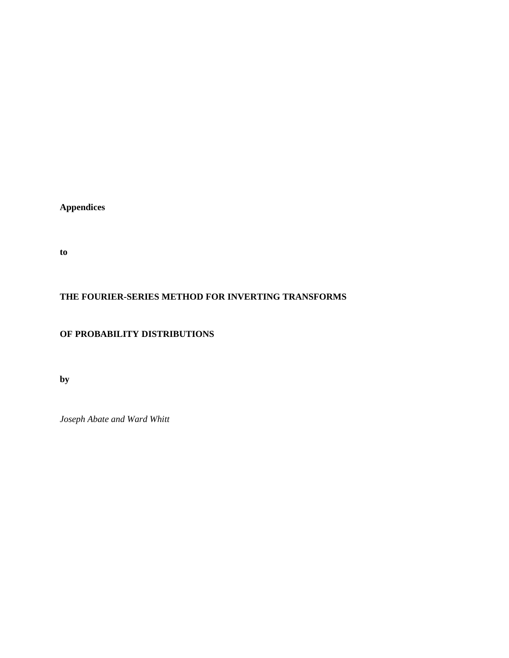**Appendices**

**to**

## **THE FOURIER-SERIES METHOD FOR INVERTING TRANSFORMS**

## **OF PROBABILITY DISTRIBUTIONS**

**by**

*Joseph Abate and Ward Whitt*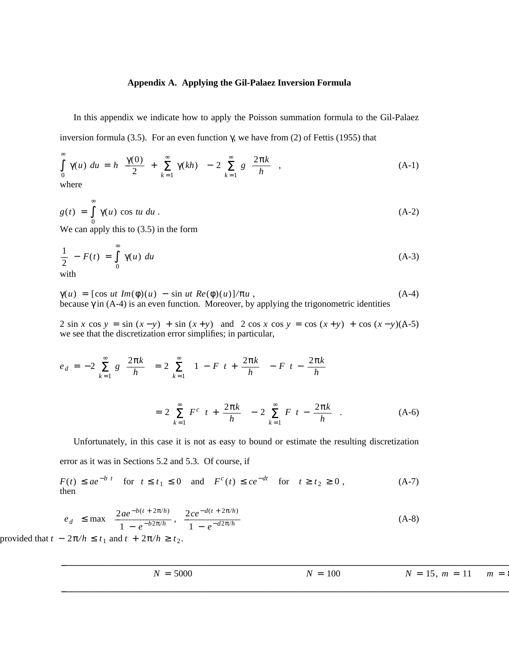## **Appendix A. Applying the Gil-Palaez Inversion Formula**

In this appendix we indicate how to apply the Poisson summation formula to the Gil-Palaez inversion formula (3.5). For an even function γ, we have from (2) of Fettis (1955) that

$$
\int_{0}^{\infty} \gamma(u) \ du = h \left[ \frac{\gamma(0)}{2} + \sum_{k=1}^{\infty} \gamma(kh) \right] - 2 \sum_{k=1}^{\infty} g \left[ \frac{2\pi k}{h} \right],
$$
\n(A-1)

$$
g(t) = \int_{0}^{\infty} \gamma(u) \cos tu \, du \tag{A-2}
$$

We can apply this to (3.5) in the form

$$
\frac{1}{2} - F(t) = \int_{0}^{\infty} \gamma(u) \ du
$$
\n(A-3)

$$
\gamma(u) = [\cos ut \ Im(\phi)(u) - \sin ut \ Re(\phi)(u)]/\pi u,
$$
  
because  $\gamma$  in (A-4) is an even function. Moreover, by applying the trigonometric identities

2 sin *x* cos  $y = \sin (x - y) + \sin (x + y)$  and 2 cos *x* cos  $y = \cos (x + y) + \cos (x - y) (A - 5)$ we see that the discretization error simplifies; in particular,

$$
e_d = -2 \sum_{k=1}^{\infty} g\left[\frac{2\pi k}{h}\right] = 2 \sum_{k=1}^{\infty} \left[1 - F\left[t + \frac{2\pi k}{h}\right] - F\left[t - \frac{2\pi k}{h}\right]\right]
$$

$$
= 2 \sum_{k=1}^{\infty} F^c\left[t + \frac{2\pi k}{h}\right] - 2 \sum_{k=1}^{\infty} F\left[t - \frac{2\pi k}{h}\right].
$$
(A-6)

Unfortunately, in this case it is not as easy to bound or estimate the resulting discretization error as it was in Sections 5.2 and 5.3. Of course, if

 $F(t) \leq ae^{-b|t|}$  for  $t \leq t_1 \leq 0$  and  $F^c(t) \leq ce^{-dt}$  for  $t \geq t_2 \geq 0$ , (A-7) then

$$
|e_d| \le \max \left\{ \frac{2ae^{-b(t + 2\pi/h)}}{1 - e^{-b2\pi/h}}, \frac{2ce^{-d(t + 2\pi/h)}}{1 - e^{-d2\pi/h}} \right\}
$$
(A-8)  
-  $2\pi/h \le t_1$  and  $t + 2\pi/h \ge t_2$ .

provided that  $t - 2\pi/h \le t_1$  and  $t + 2\pi/h \ge t_2$ 

| 5000<br>- -<br>$\overline{\phantom{0}}$<br>$\bf{N}$<br>$\overline{\phantom{0}}$ | 100<br>$\mathbf{r}$<br>$N =$ | . .<br>$-$<br>- -<br>$15, m =$<br>N.<br>$\overline{\phantom{0}}$<br>$\overline{\phantom{0}}$<br>$\mathbf{r}$ | $m =$ |
|---------------------------------------------------------------------------------|------------------------------|--------------------------------------------------------------------------------------------------------------|-------|
|                                                                                 |                              |                                                                                                              |       |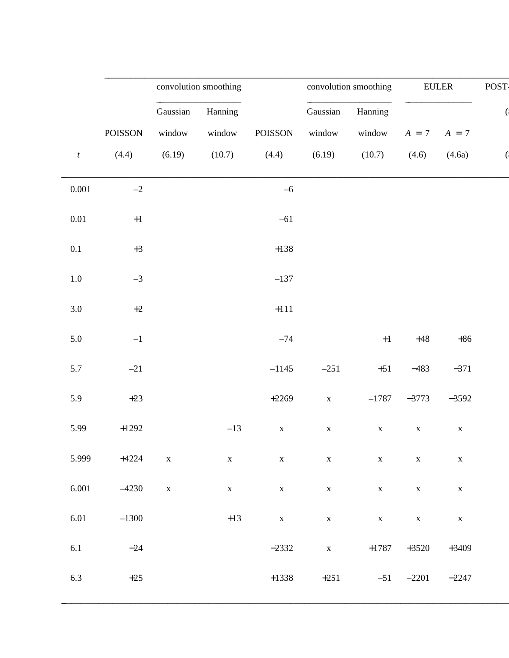|                  |         |             | convolution smoothing |             |             | convolution smoothing |             | <b>EULER</b> | POST- |
|------------------|---------|-------------|-----------------------|-------------|-------------|-----------------------|-------------|--------------|-------|
|                  |         | Gaussian    | Hanning               |             | Gaussian    | Hanning               |             |              |       |
|                  | POISSON | window      | window                | POISSON     | window      | window                | $A = 7$     | $A = 7$      |       |
| $\boldsymbol{t}$ | (4.4)   | (6.19)      | (10.7)                | (4.4)       | (6.19)      | (10.7)                | (4.6)       | (4.6a)       |       |
| $0.001\,$        | $-2$    |             |                       | $-6$        |             |                       |             |              |       |
| $0.01\,$         | $\pm 1$ |             |                       | $-61$       |             |                       |             |              |       |
| $0.1\,$          | $+3$    |             |                       | $+138$      |             |                       |             |              |       |
| $1.0\,$          | $-3$    |             |                       | $-137$      |             |                       |             |              |       |
| 3.0              | $+2$    |             |                       | $+111$      |             |                       |             |              |       |
| 5.0              | $-1\,$  |             |                       | $-74$       |             | $\pm 1$               | $+48$       | $+86$        |       |
| 5.7              | $-21$   |             |                       | $-1145$     | $-251$      | $+51$                 | $-483$      | $-371$       |       |
| 5.9              | $+23$   |             |                       | $+2269$     | $\mathbf X$ | $-1787$               | $-3773$     | $-3592$      |       |
| 5.99             | $+1292$ |             | $-13$                 | $\mathbf X$ | $\mathbf X$ | $\mathbf X$           | $\mathbf X$ | $\mathbf X$  |       |
| 5.999            | $+4224$ | $\mathbf X$ | $\mathbf X$           | $\mathbf X$ | $\mathbf X$ | $\mathbf X$           | $\mathbf X$ | $\mathbf X$  |       |
| 6.001            | $-4230$ | $\mathbf X$ | $\mathbf X$           | $\mathbf X$ | $\mathbf X$ | $\mathbf X$           | $\mathbf X$ | $\mathbf X$  |       |
| 6.01             | $-1300$ |             | $+13\,$               | $\mathbf X$ | $\mathbf X$ | $\mathbf X$           | $\mathbf X$ | $\mathbf X$  |       |
| $6.1\,$          | $-24$   |             |                       | $-2332$     | $\mathbf X$ | $+1787$               | $+3520$     | $+3409$      |       |
| 6.3              | $+25$   |             |                       | $+1338$     | $+251$      | $-51$                 | $-2201$     | $-2247$      |       |
|                  |         |             |                       |             |             |                       |             |              |       |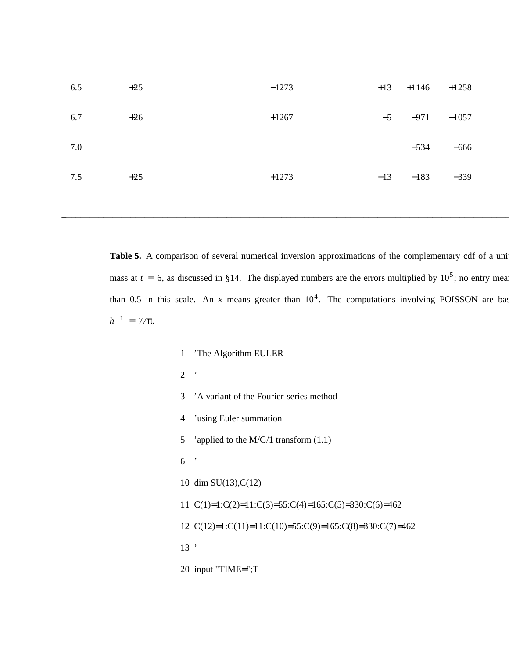| 6.5     | $+25$ |  | $-1273$ | $+13$ | $+1146$ | $+1258$ |  |
|---------|-------|--|---------|-------|---------|---------|--|
| 6.7     | $+26$ |  | $+1267$ | $-5$  | $-971$  | $-1057$ |  |
| $7.0\,$ |       |  |         |       | $-534$  | $-666$  |  |
| 7.5     | $+25$ |  | $+1273$ | $-13$ | $-183$  | $-339$  |  |
|         |       |  |         |       |         |         |  |

Table 5. A comparison of several numerical inversion approximations of the complementary cdf of a uni mass at  $t = 6$ , as discussed in §14. The displayed numbers are the errors multiplied by  $10^5$ ; no entry means than 0.5 in this scale. An *x* means greater than  $10^4$ . The computations involving POISSON are based  $h^{-1} = 7/\pi$ .

> 1 'The Algorithm EULER 2 ' 3 'A variant of the Fourier-series method 4 'using Euler summation 5 'applied to the M/G/1 transform  $(1.1)$ 6 ' 10 dim SU(13),C(12) 11 C(1)=1:C(2)=11:C(3)=55:C(4)=165:C(5)=330:C(6)=462 12 C(12)=1:C(11)=11:C(10)=55:C(9)=165:C(8)=330:C(7)=462 13 ' 20 input "TIME=";T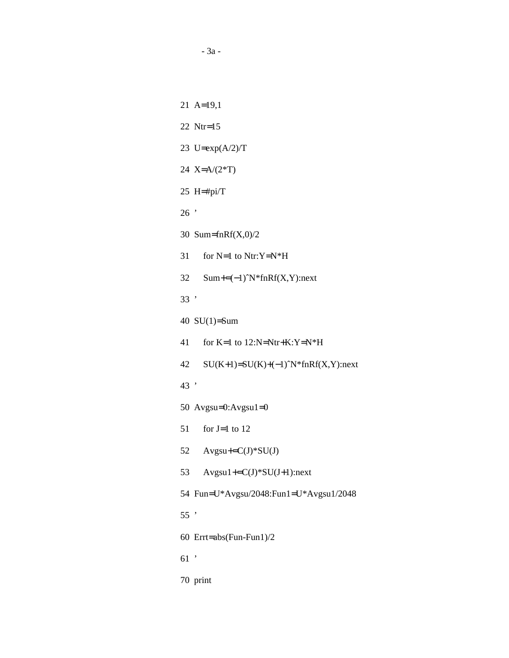21 A=19,1 22 Ntr=15 23 U=exp(A/2)/T 24 X=A/(2\*T) 25 H=#pi/T 26 ' 30 Sum=fnRf(X,0)/2 31 for N=1 to Ntr:Y=N\*H 32 Sum+=(−1)ˆN\*fnRf(X,Y):next 33 ' 40 SU(1)=Sum 41 for K=1 to 12:N=Ntr+K:Y=N\*H 42 SU(K+1)=SU(K)+(−1)ˆN\*fnRf(X,Y):next 43 ' 50 Avgsu=0:Avgsu1=0 51 for  $J=1$  to 12 52  $Avgsu+=C(J)*SU(J)$ 53 Avgsu1+=C(J)\*SU(J+1):next 54 Fun=U\*Avgsu/2048:Fun1=U\*Avgsu1/2048 55 ' 60 Errt=abs(Fun-Fun1)/2 61 ' 70 print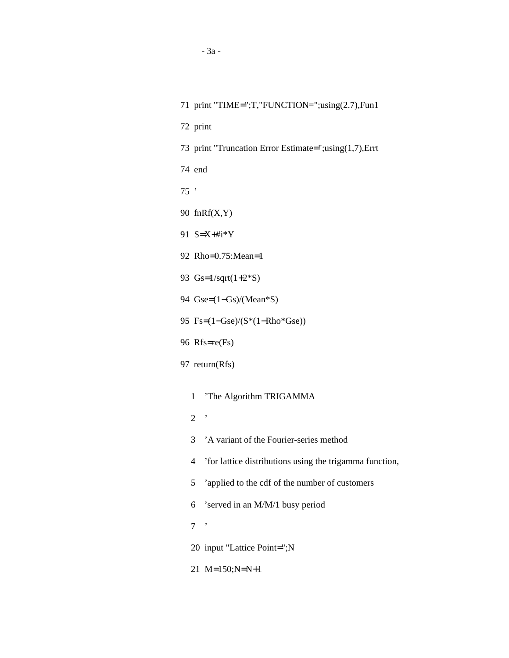| 71 print "TIME=";T,"FUNCTION=";using(2.7),Fun1               |  |
|--------------------------------------------------------------|--|
| 72 print                                                     |  |
| 73 print "Truncation Error Estimate=";using(1,7), Errt       |  |
| 74 end                                                       |  |
| $75$ ,                                                       |  |
| 90 $fnRf(X,Y)$                                               |  |
| 91 $S = X + \#i * Y$                                         |  |
| 92 Rho=0.75:Mean=1                                           |  |
| 93 $Gs=1/sqrt(1+2*S)$                                        |  |
| 94 $Gse=(1-Gs)/(Mean*S)$                                     |  |
| 95 Fs= $(1-\text{Gse})/(S^*(1-\text{Rho*Gse}))$              |  |
| 96 Rfs=re(Fs)                                                |  |
| 97 return(Rfs)                                               |  |
| 'The Algorithm TRIGAMMA<br>1                                 |  |
| $\,$<br>$\overline{2}$                                       |  |
| 'A variant of the Fourier-series method<br>3                 |  |
| 'for lattice distributions using the trigamma function,<br>4 |  |
| 'applied to the cdf of the number of customers<br>5          |  |
| 'served in an M/M/1 busy period<br>6                         |  |
| ,<br>7                                                       |  |
| 20 input "Lattice Point=";N                                  |  |
|                                                              |  |
| 21 M=150;N=N+1                                               |  |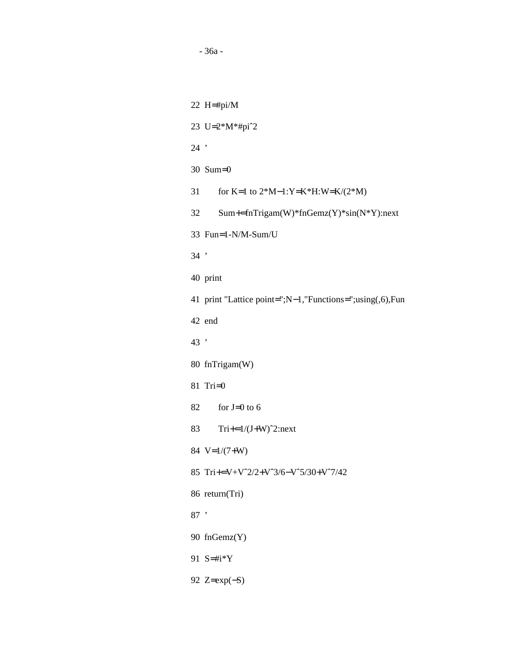22 H=#pi/M 23 U=2\*M\*#piˆ2 24 ' 30 Sum=0 31 for K=1 to 2\*M−1:Y=K\*H:W=K/(2\*M) 32 Sum+=fnTrigam(W)\*fnGemz(Y)\*sin(N\*Y):next 33 Fun=1-N/M-Sum/U 34 ' 40 print 41 print "Lattice point=";N−1,"Functions=";using(,6),Fun 42 end 43 ' 80 fnTrigam(W) 81 Tri=0 82 for  $J=0$  to 6 83  $Tri+=1/(J+W)^2$ :next 84 V=1/(7+W) 85 Tri+=V+Vˆ2/2+Vˆ3/6−Vˆ5/30+Vˆ7/42 86 return(Tri) 87 ' 90 fnGemz(Y) 91 S=#i\*Y 92 Z=exp(−S)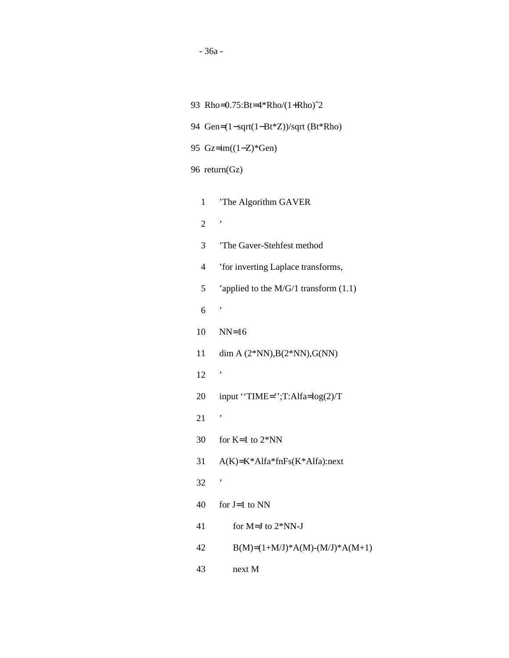|                                       | 93 Rho=0.75:Bt=4*Rho/(1+Rho) <sup>2</sup> |  |  |  |  |  |  |
|---------------------------------------|-------------------------------------------|--|--|--|--|--|--|
| 94 Gen=(1-sqrt(1-Bt*Z))/sqrt (Bt*Rho) |                                           |  |  |  |  |  |  |
|                                       | 95 $Gz = im((1-Z)*Gen)$                   |  |  |  |  |  |  |
|                                       | 96 return(Gz)                             |  |  |  |  |  |  |
| $\mathbf 1$                           |                                           |  |  |  |  |  |  |
|                                       | 'The Algorithm GAVER<br>,                 |  |  |  |  |  |  |
| $\overline{2}$                        |                                           |  |  |  |  |  |  |
| 3                                     | 'The Gaver-Stehfest method                |  |  |  |  |  |  |
| 4                                     | 'for inverting Laplace transforms,        |  |  |  |  |  |  |
| 5                                     | 'applied to the $M/G/1$ transform $(1.1)$ |  |  |  |  |  |  |
| 6                                     | ,                                         |  |  |  |  |  |  |
| 10                                    | $NN=16$                                   |  |  |  |  |  |  |
| 11                                    | dim A $(2*NN),B(2*NN),G(NN)$              |  |  |  |  |  |  |
| 12                                    | ,                                         |  |  |  |  |  |  |
| 20                                    | input "TIME=";T:Alfa=log(2)/T             |  |  |  |  |  |  |
| 21                                    | ,                                         |  |  |  |  |  |  |
| 30                                    | for $K=1$ to $2*NN$                       |  |  |  |  |  |  |
| 31                                    | $A(K)=K^*A1fa^*fnFs(K^*A1fa)$ :next       |  |  |  |  |  |  |
| 32                                    | ,                                         |  |  |  |  |  |  |
| 40                                    | for $J=1$ to NN                           |  |  |  |  |  |  |
| 41                                    | for M=J to 2*NN-J                         |  |  |  |  |  |  |
| 42                                    | $B(M)=(1+M/J)*A(M)-(M/J)*A(M+1)$          |  |  |  |  |  |  |
| 43                                    | next M                                    |  |  |  |  |  |  |